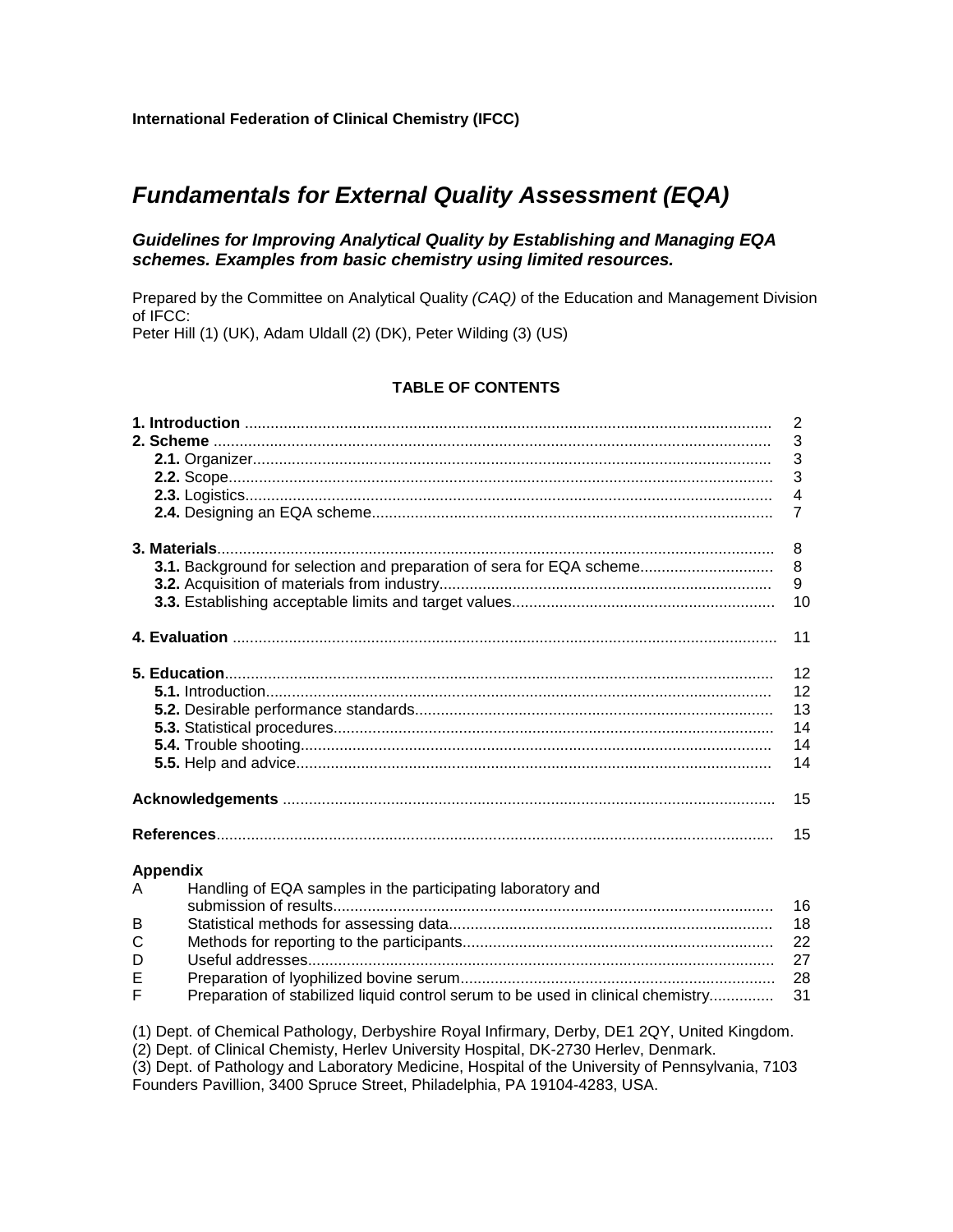# **Fundamentals for External Quality Assessment (EQA)**

# **Guidelines for Improving Analytical Quality by Establishing and Managing EQA schemes. Examples from basic chemistry using limited resources.**

Prepared by the Committee on Analytical Quality *(CAQ)* of the Education and Management Division of IFCC:

Peter Hill (1) (UK), Adam Uldall (2) (DK), Peter Wilding (3) (US)

# **TABLE OF CONTENTS**

|                 |                                                                                                                                                                                      | 2<br>3<br>3<br>3<br>$\overline{4}$<br>$\overline{7}$ |
|-----------------|--------------------------------------------------------------------------------------------------------------------------------------------------------------------------------------|------------------------------------------------------|
|                 |                                                                                                                                                                                      |                                                      |
|                 |                                                                                                                                                                                      | 8                                                    |
|                 | 3.1. Background for selection and preparation of sera for EQA scheme                                                                                                                 | 8                                                    |
|                 |                                                                                                                                                                                      | 9                                                    |
|                 |                                                                                                                                                                                      | 10                                                   |
|                 |                                                                                                                                                                                      | 11                                                   |
|                 |                                                                                                                                                                                      | 12                                                   |
|                 |                                                                                                                                                                                      | 12                                                   |
|                 |                                                                                                                                                                                      | 13                                                   |
|                 |                                                                                                                                                                                      | 14                                                   |
|                 |                                                                                                                                                                                      | 14                                                   |
|                 |                                                                                                                                                                                      | 14                                                   |
|                 |                                                                                                                                                                                      | 15                                                   |
|                 |                                                                                                                                                                                      | 15                                                   |
| <b>Appendix</b> |                                                                                                                                                                                      |                                                      |
| A               | Handling of EQA samples in the participating laboratory and                                                                                                                          |                                                      |
|                 |                                                                                                                                                                                      | 16                                                   |
| B               |                                                                                                                                                                                      | 18                                                   |
| $\mathsf{C}$    |                                                                                                                                                                                      | 22                                                   |
| D               |                                                                                                                                                                                      | 27                                                   |
| Е<br>F          | Preparation of stabilized liquid control serum to be used in clinical chemistry                                                                                                      | 28<br>31                                             |
|                 |                                                                                                                                                                                      |                                                      |
|                 | (1) Dept. of Chemical Pathology, Derbyshire Royal Infirmary, Derby, DE1 2QY, United Kingdom.<br>(2) Dept. of Clinical Chemisty, Herlev University Hospital, DK-2730 Herlev, Denmark. |                                                      |

(3) Dept. of Pathology and Laboratory Medicine, Hospital of the University of Pennsylvania, 7103 Founders Pavillion, 3400 Spruce Street, Philadelphia, PA 19104-4283, USA.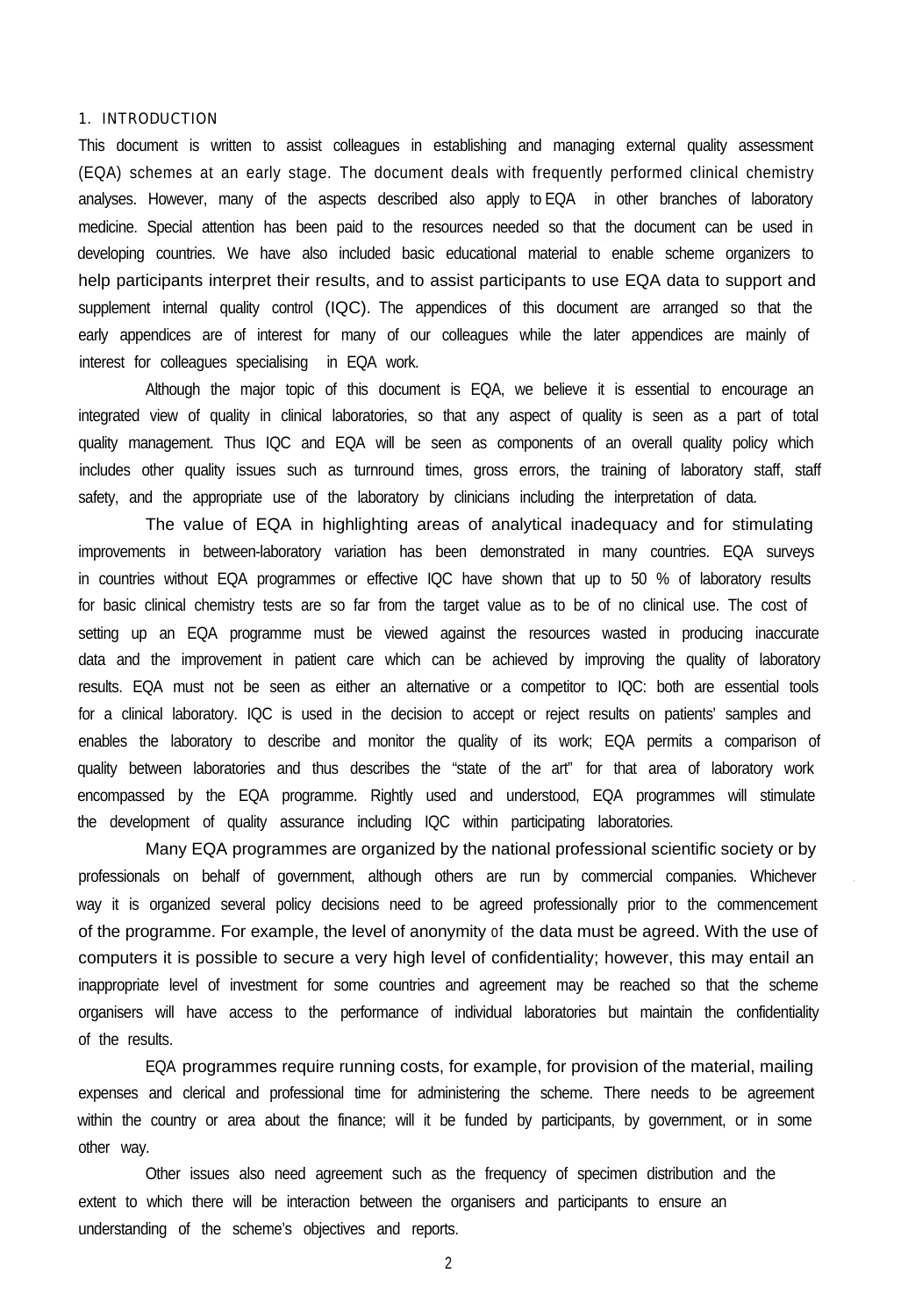## 1. INTRODUCTION

This document is written to assist colleagues in establishing and managing external quality assessment (EQA) schemes at an early stage. The document deals with frequently performed clinical chemistry analyses. However, many of the aspects described also apply to EQA in other branches of laboratory medicine. Special attention has been paid to the resources needed so that the document can be used in developing countries. We have also included basic educational material to enable scheme organizers to help participants interpret their results, and to assist participants to use EQA data to support and supplement internal quality control (IQC). The appendices of this document are arranged so that the early appendices are of interest for many of our colleagues while the later appendices are mainly of interest for colleagues specialising in EQA work.

Although the major topic of this document is EQA, we believe it is essential to encourage an integrated view of quality in clinical laboratories, so that any aspect of quality is seen as a part of total quality management. Thus IQC and EQA will be seen as components of an overall quality policy which includes other quality issues such as turnround times, gross errors, the training of laboratory staff, staff safety, and the appropriate use of the laboratory by clinicians including the interpretation of data.

The value of EQA in highlighting areas of analytical inadequacy and for stimulating improvements in between-laboratory variation has been demonstrated in many countries. EQA surveys in countries without EQA programmes or effective IQC have shown that up to 50 % of laboratory results for basic clinical chemistry tests are so far from the target value as to be of no clinical use. The cost of setting up an EQA programme must be viewed against the resources wasted in producing inaccurate data and the improvement in patient care which can be achieved by improving the quality of laboratory results. EQA must not be seen as either an alternative or a competitor to IQC: both are essential tools for a clinical laboratory. IQC is used in the decision to accept or reject results on patients' samples and enables the laboratory to describe and monitor the quality of its work; EQA permits a comparison of quality between laboratories and thus describes the "state of the art" for that area of laboratory work encompassed by the EQA programme. Rightly used and understood, EQA programmes will stimulate the development of quality assurance including IQC within participating laboratories.

Many EQA programmes are organized by the national professional scientific society or by professionals on behalf of government, although others are run by commercial companies. Whichever way it is organized several policy decisions need to be agreed professionally prior to the commencement of the programme. For example, the level of anonymity of the data must be agreed. With the use of computers it is possible to secure a very high level of confidentiality; however, this may entail an inappropriate level of investment for some countries and agreement may be reached so that the scheme organisers will have access to the performance of individual laboratories but maintain the confidentiality of the results.

EQA programmes require running costs, for example, for provision of the material, mailing expenses and clerical and professional time for administering the scheme. There needs to be agreement within the country or area about the finance; will it be funded by participants, by government, or in some other way.

Other issues also need agreement such as the frequency of specimen distribution and the extent to which there will be interaction between the organisers and participants to ensure an understanding of the scheme's objectives and reports.

2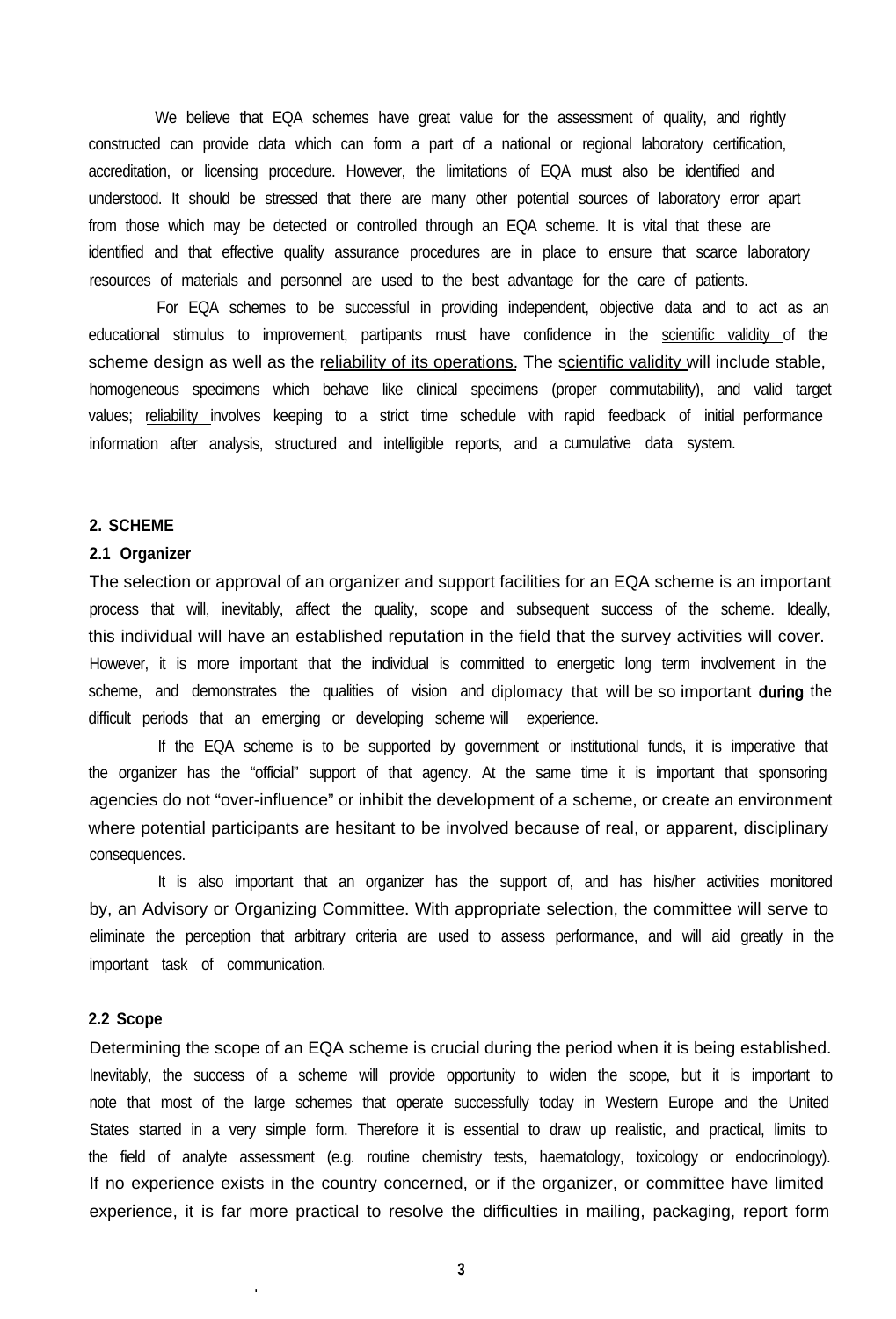We believe that EQA schemes have great value for the assessment of quality, and rightly constructed can provide data which can form a part of a national or regional laboratory certification, accreditation, or licensing procedure. However, the limitations of EQA must also be identified and understood. It should be stressed that there are many other potential sources of laboratory error apart from those which may be detected or controlled through an EQA scheme. It is vital that these are identified and that effective quality assurance procedures are in place to ensure that scarce laboratory resources of materials and personnel are used to the best advantage for the care of patients.

For EQA schemes to be successful in providing independent, objective data and to act as an educational stimulus to improvement, partipants must have confidence in the scientific validity of the scheme design as well as the reliability of its operations. The scientific validity will include stable, homogeneous specimens which behave like clinical specimens (proper commutability), and valid target values; <u>reliability i</u>nvolves keeping to a strict time schedule with rapid feedback of initial performance information after analysis, structured and intelligible reports, and a cumulative data system.

# **2. SCHEME**

### **2.1 Organizer**

The selection or approval of an organizer and support facilities for an EQA scheme is an important process that will, inevitably, affect the quality, scope and subsequent success of the scheme. Ideally, this individual will have an established reputation in the field that the survey activities will cover. However, it is more important that the individual is committed to energetic long term involvement in the scheme, and demonstrates the qualities of vision and diplomacy that will be so important during the difficult periods that an emerging or developing scheme will experience.

If the EQA scheme is to be supported by government or institutional funds, it is imperative that the organizer has the "official" support of that agency. At the same time it is important that sponsoring agencies do not "over-influence" or inhibit the development of a scheme, or create an environment where potential participants are hesitant to be involved because of real, or apparent, disciplinary consequences.

It is also important that an organizer has the support of, and has his/her activities monitored by, an Advisory or Organizing Committee. With appropriate selection, the committee will serve to eliminate the perception that arbitrary criteria are used to assess performance, and will aid greatly in the important task of communication.

#### **2.2 Scope**

**.**

Determining the scope of an EQA scheme is crucial during the period when it is being established. Inevitably, the success of a scheme will provide opportunity to widen the scope, but it is important to note that most of the large schemes that operate successfully today in Western Europe and the United States started in a very simple form. Therefore it is essential to draw up realistic, and practical, limits to the field of analyte assessment (e.g. routine chemistry tests, haematology, toxicology or endocrinology). If no experience exists in the country concerned, or if the organizer, or committee have limited experience, it is far more practical to resolve the difficulties in mailing, packaging, report form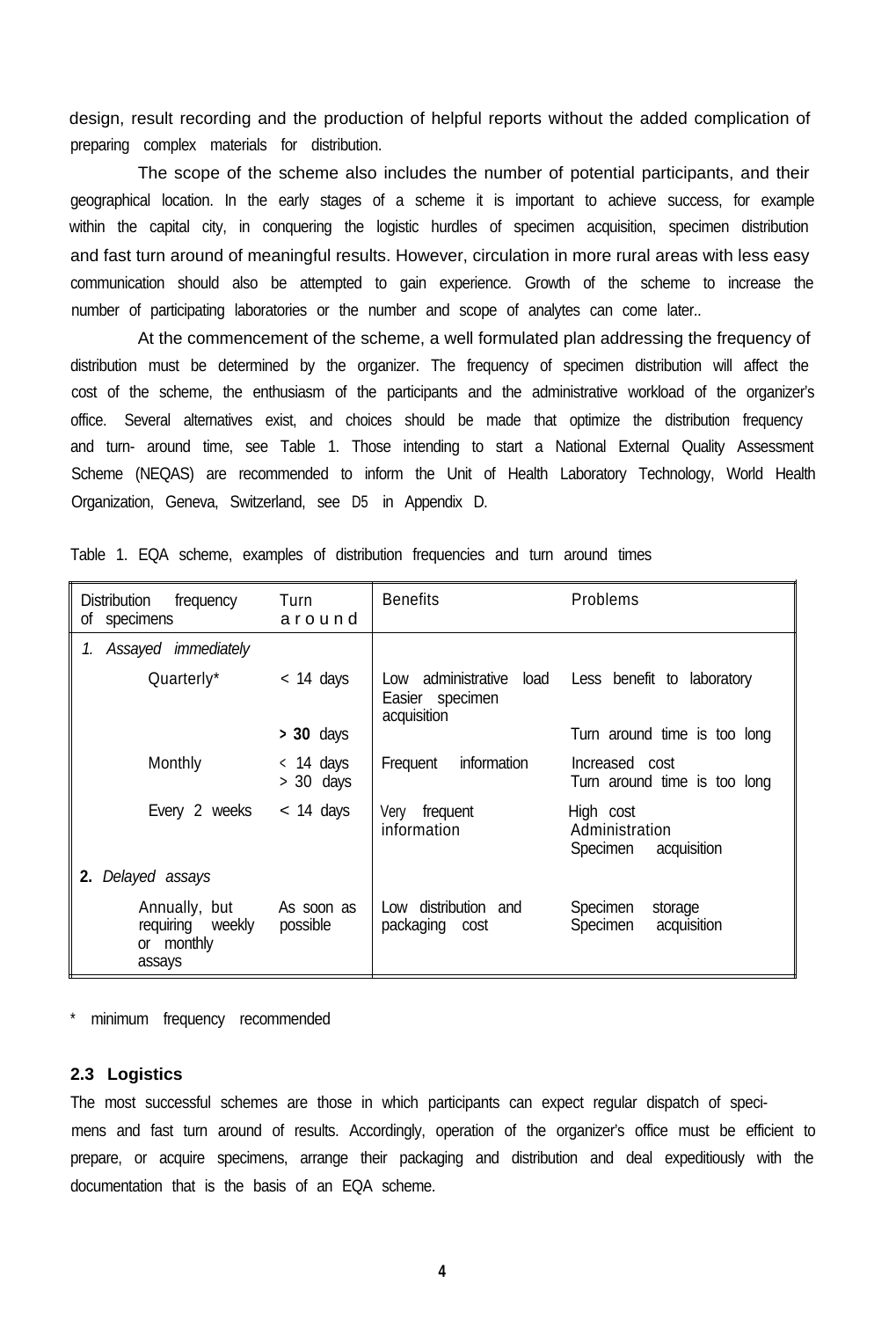design, result recording and the production of helpful reports without the added complication of preparing complex materials for distribution.

The scope of the scheme also includes the number of potential participants, and their geographical location. In the early stages of a scheme it is important to achieve success, for example within the capital city, in conquering the logistic hurdles of specimen acquisition, specimen distribution and fast turn around of meaningful results. However, circulation in more rural areas with less easy communication should also be attempted to gain experience. Growth of the scheme to increase the number of participating laboratories or the number and scope of analytes can come later..

At the commencement of the scheme, a well formulated plan addressing the frequency of distribution must be determined by the organizer. The frequency of specimen distribution will affect the cost of the scheme, the enthusiasm of the participants and the administrative workload of the organizer's office. Several alternatives exist, and choices should be made that optimize the distribution frequency and turn- around time, see Table 1. Those intending to start a National External Quality Assessment Scheme (NEQAS) are recommended to inform the Unit of Health Laboratory Technology, World Health Organization, Geneva, Switzerland, see D5 in Appendix D.

| <b>Distribution</b><br>frequency<br>specimens<br>οf       | Turn<br>around             | <b>Benefits</b>                                                 | Problems                                               |
|-----------------------------------------------------------|----------------------------|-----------------------------------------------------------------|--------------------------------------------------------|
| Assayed immediately<br>1.                                 |                            |                                                                 |                                                        |
| Quarterly*                                                | $<$ 14 days                | administrative<br>load<br>Low<br>Easier specimen<br>acquisition | Less benefit to laboratory                             |
|                                                           | $> 30$ days                |                                                                 | Turn around time is too long                           |
| Monthly                                                   | $<$ 14 days<br>$> 30$ days | information<br>Frequent                                         | Increased cost<br>Turn around time is too long         |
| Every 2 weeks                                             | $<$ 14 days                | frequent<br>Verv<br>information                                 | High cost<br>Administration<br>Specimen<br>acquisition |
| 2.<br>Delayed assays                                      |                            |                                                                 |                                                        |
| Annually, but<br>requiring weekly<br>or monthly<br>assays | As soon as<br>possible     | distribution and<br>Low<br>packaging cost                       | Specimen<br>storage<br>Specimen<br>acquisition         |

Table 1. EQA scheme, examples of distribution frequencies and turn around times

minimum frequency recommended

### **2.3 Logistics**

The most successful schemes are those in which participants can expect regular dispatch of specimens and fast turn around of results. Accordingly, operation of the organizer's office must be efficient to prepare, or acquire specimens, arrange their packaging and distribution and deal expeditiously with the documentation that is the basis of an EQA scheme.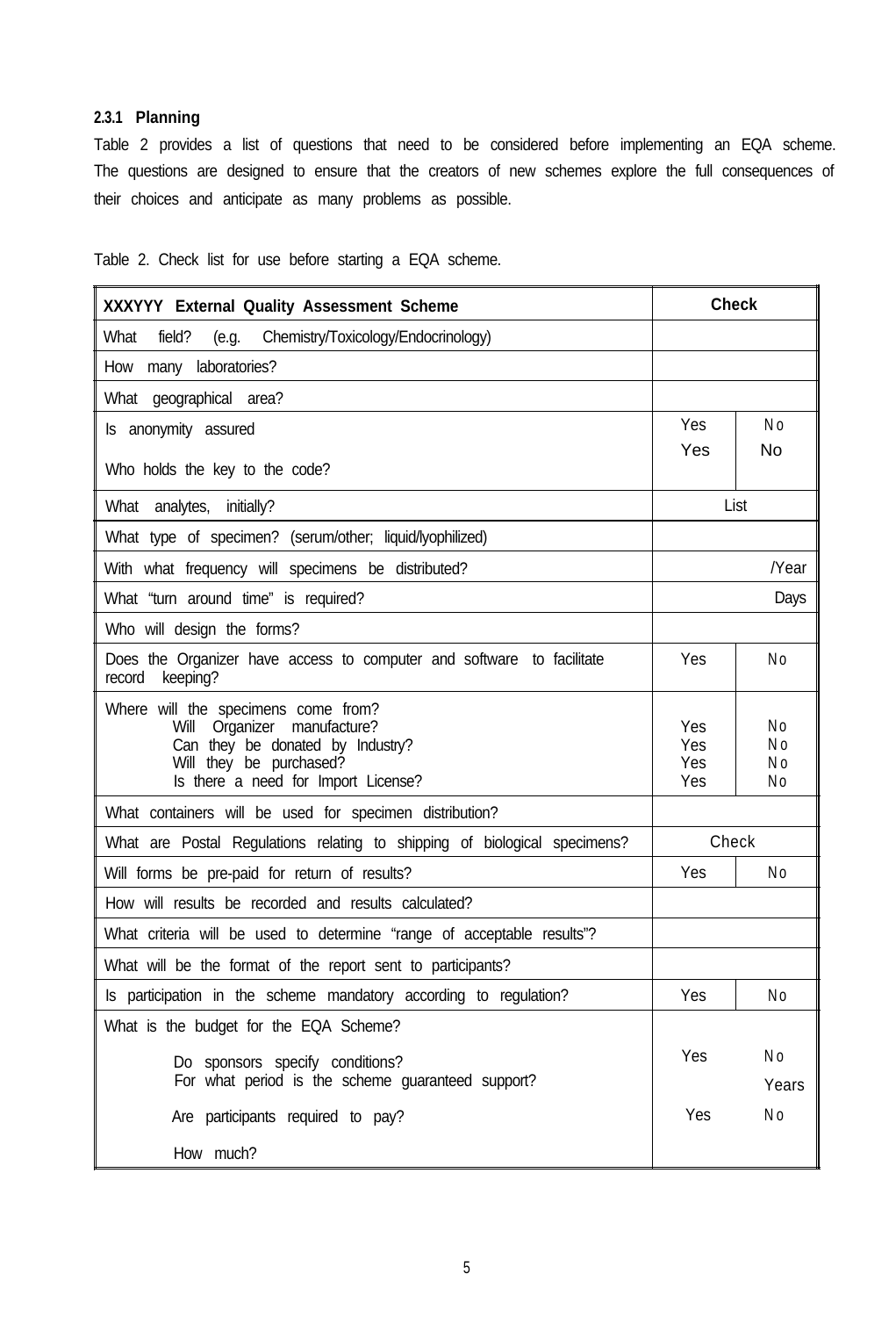# **2.3.1 Planning**

Table 2 provides a list of questions that need to be considered before implementing an EQA scheme. The questions are designed to ensure that the creators of new schemes explore the full consequences of their choices and anticipate as many problems as possible.

Table 2. Check list for use before starting a EQA scheme.

| XXXYYY External Quality Assessment Scheme                                                                                                                                   | <b>Check</b>             |                       |  |  |  |
|-----------------------------------------------------------------------------------------------------------------------------------------------------------------------------|--------------------------|-----------------------|--|--|--|
| Chemistry/Toxicology/Endocrinology)<br>What<br>field?<br>(e.g.                                                                                                              |                          |                       |  |  |  |
| many laboratories?<br>How                                                                                                                                                   |                          |                       |  |  |  |
| What geographical area?                                                                                                                                                     |                          |                       |  |  |  |
| Is anonymity assured                                                                                                                                                        | Yes                      | N <sub>o</sub>        |  |  |  |
| Who holds the key to the code?                                                                                                                                              | Yes                      | No                    |  |  |  |
| What analytes, initially?                                                                                                                                                   |                          | List                  |  |  |  |
| What type of specimen? (serum/other; liquid/lyophilized)                                                                                                                    |                          |                       |  |  |  |
| With what frequency will specimens be distributed?                                                                                                                          |                          | /Year                 |  |  |  |
| What "turn around time" is required?                                                                                                                                        |                          | Days                  |  |  |  |
| Who will design the forms?                                                                                                                                                  |                          |                       |  |  |  |
| Does the Organizer have access to computer and software to facilitate<br>record<br>keeping?                                                                                 | Yes                      | No                    |  |  |  |
| Where will the specimens come from?<br>Organizer manufacture?<br>Will<br>Can they be donated by Industry?<br>Will they be purchased?<br>Is there a need for Import License? | Yes<br>Yes<br>Yes<br>Yes | N٥<br>Νo<br>N o<br>N٥ |  |  |  |
| What containers will be used for specimen distribution?                                                                                                                     |                          |                       |  |  |  |
| What are Postal Regulations relating to shipping of biological specimens?                                                                                                   | Check                    |                       |  |  |  |
| Will forms be pre-paid for return of results?                                                                                                                               | Yes                      | No                    |  |  |  |
| How will results be recorded and results calculated?                                                                                                                        |                          |                       |  |  |  |
| What criteria will be used to determine "range of acceptable results"?                                                                                                      |                          |                       |  |  |  |
| What will be the format of the report sent to participants?                                                                                                                 |                          |                       |  |  |  |
| Is participation in the scheme mandatory according to regulation?                                                                                                           | Yes                      | N <sub>o</sub>        |  |  |  |
| What is the budget for the EQA Scheme?                                                                                                                                      |                          |                       |  |  |  |
| Do sponsors specify conditions?<br>For what period is the scheme guaranteed support?                                                                                        | Yes                      | N o<br>Years          |  |  |  |
| Are participants required to pay?                                                                                                                                           | Yes                      | N o                   |  |  |  |
| How much?                                                                                                                                                                   |                          |                       |  |  |  |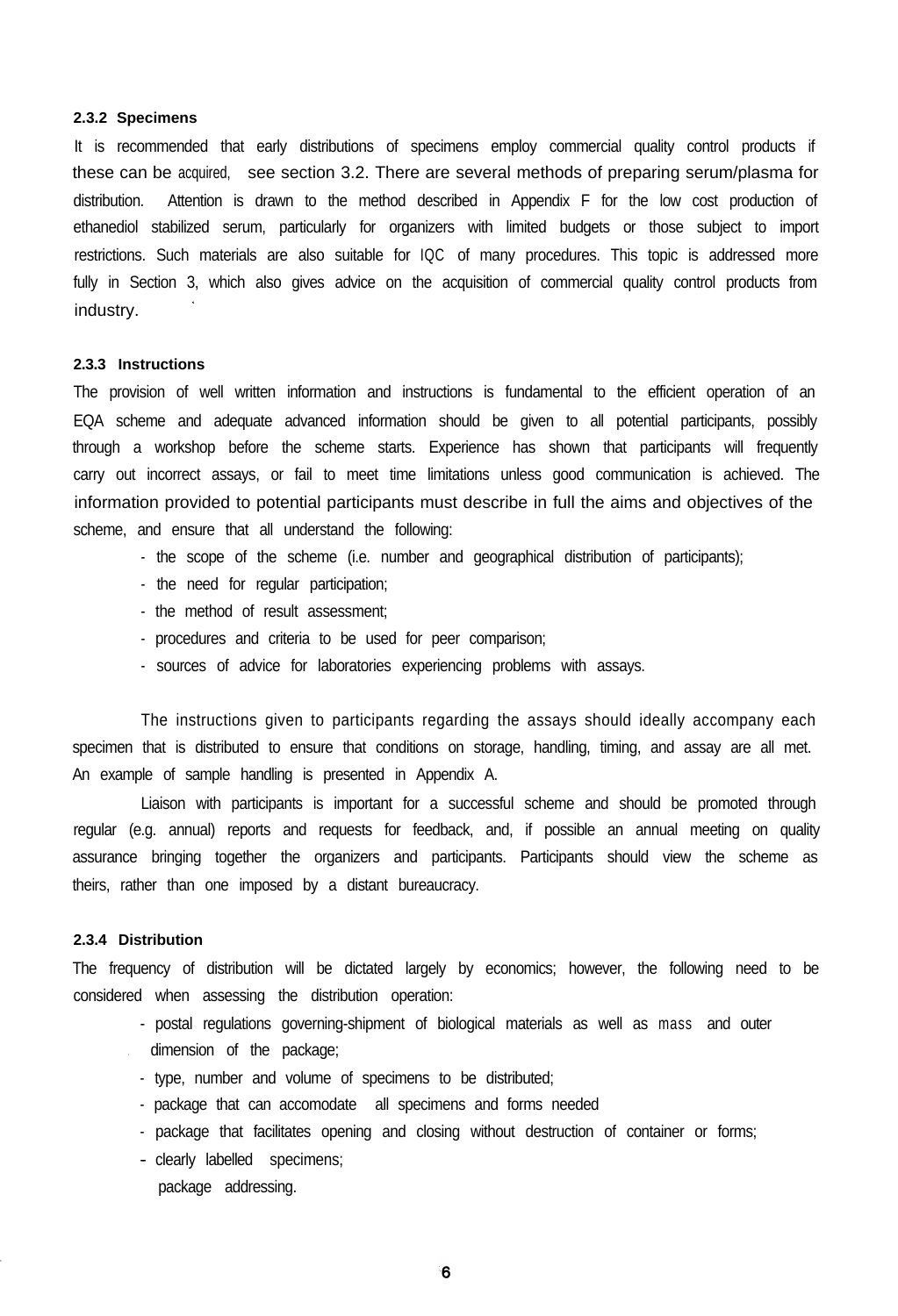#### **2.3.2 Specimens**

It is recommended that early distributions of specimens employ commercial quality control products if these can be acquired, see section 3.2. There are several methods of preparing serum/plasma for distribution. Attention is drawn to the method described in Appendix F for the low cost production of ethanediol stabilized serum, particularly for organizers with limited budgets or those subject to import restrictions. Such materials are also suitable for IQC of many procedures. This topic is addressed more fully in Section 3, which also gives advice on the acquisition of commercial quality control products from industry.

#### **2.3.3 Instructions**

The provision of well written information and instructions is fundamental to the efficient operation of an EQA scheme and adequate advanced information should be given to all potential participants, possibly through a workshop before the scheme starts. Experience has shown that participants will frequently carry out incorrect assays, or fail to meet time limitations unless good communication is achieved. The information provided to potential participants must describe in full the aims and objectives of the scheme, and ensure that all understand the following:

- the scope of the scheme (i.e. number and geographical distribution of participants);
- the need for regular participation;
- the method of result assessment;
- procedures and criteria to be used for peer comparison;
- sources of advice for laboratories experiencing problems with assays.

The instructions given to participants regarding the assays should ideally accompany each specimen that is distributed to ensure that conditions on storage, handling, timing, and assay are all met. An example of sample handling is presented in Appendix A.

Liaison with participants is important for a successful scheme and should be promoted through regular (e.g. annual) reports and requests for feedback, and, if possible an annual meeting on quality assurance bringing together the organizers and participants. Participants should view the scheme as theirs, rather than one imposed by a distant bureaucracy.

#### **2.3.4 Distribution**

The frequency of distribution will be dictated largely by economics; however, the following need to be considered when assessing the distribution operation:

- postal regulations governing-shipment of biological materials as well as mass and outer dimension of the package;
- type, number and volume of specimens to be distributed;
- package that can accomodate all specimens and forms needed
- package that facilitates opening and closing without destruction of container or forms;
- clearly labelled specimens; package addressing.

6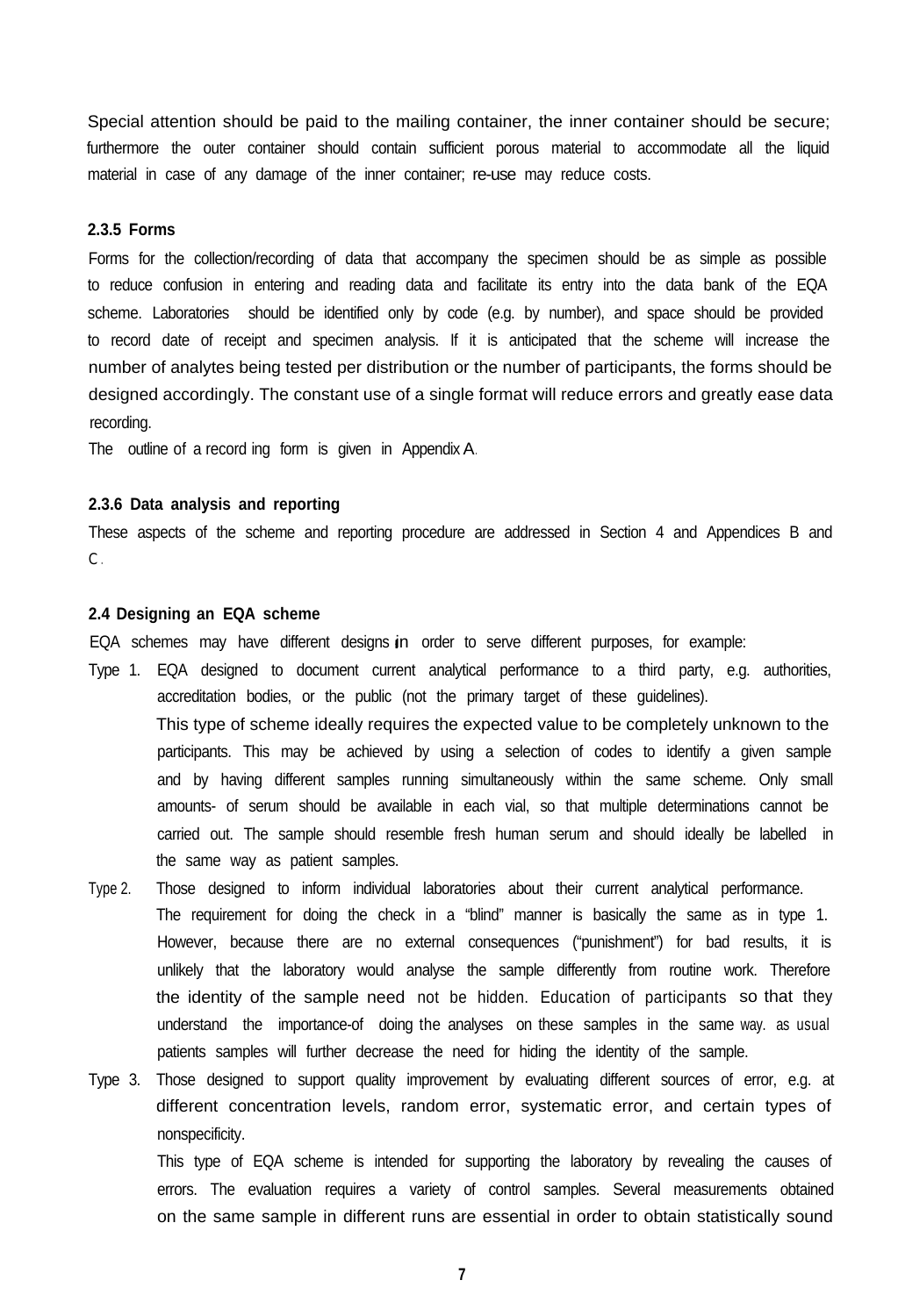Special attention should be paid to the mailing container, the inner container should be secure; furthermore the outer container should contain sufficient porous material to accommodate all the liquid material in case of any damage of the inner container; re-use may reduce costs.

# **2.3.5 Forms**

Forms for the collection/recording of data that accompany the specimen should be as simple as possible to reduce confusion in entering and reading data and facilitate its entry into the data bank of the EQA scheme. Laboratories should be identified only by code (e.g. by number), and space should be provided to record date of receipt and specimen analysis. If it is anticipated that the scheme will increase the number of analytes being tested per distribution or the number of participants, the forms should be designed accordingly. The constant use of a single format will reduce errors and greatly ease data recording.

The outline of a record ing form is given in Appendix A.

## **2.3.6 Data analysis and reporting**

These aspects of the scheme and reporting procedure are addressed in Section 4 and Appendices B and  $C_{\cdot}$ 

#### **2.4 Designing an EQA scheme**

EQA schemes may have different designs in order to serve different purposes, for example:

- Type 1. EQA designed to document current analytical performance to a third party, e.g. authorities, accreditation bodies, or the public (not the primary target of these guidelines). This type of scheme ideally requires the expected value to be completely unknown to the participants. This may be achieved by using a selection of codes to identify a given sample and by having different samples running simultaneously within the same scheme. Only small amounts- of serum should be available in each vial, so that multiple determinations cannot be carried out. The sample should resemble fresh human serum and should ideally be labelled in the same way as patient samples.
- Type 2. Those designed to inform individual laboratories about their current analytical performance. The requirement for doing the check in a "blind" manner is basically the same as in type 1. However, because there are no external consequences ("punishment") for bad results, it is unlikely that the laboratory would analyse the sample differently from routine work. Therefore the identity of the sample need not be hidden. Education of participants so that they understand the importance-of doing the analyses on these samples in the same way. as usual patients samples will further decrease the need for hiding the identity of the sample.
- Type 3. Those designed to support quality improvement by evaluating different sources of error, e.g. at different concentration levels, random error, systematic error, and certain types of nonspecificity.

This type of EQA scheme is intended for supporting the laboratory by revealing the causes of errors. The evaluation requires a variety of control samples. Several measurements obtained on the same sample in different runs are essential in order to obtain statistically sound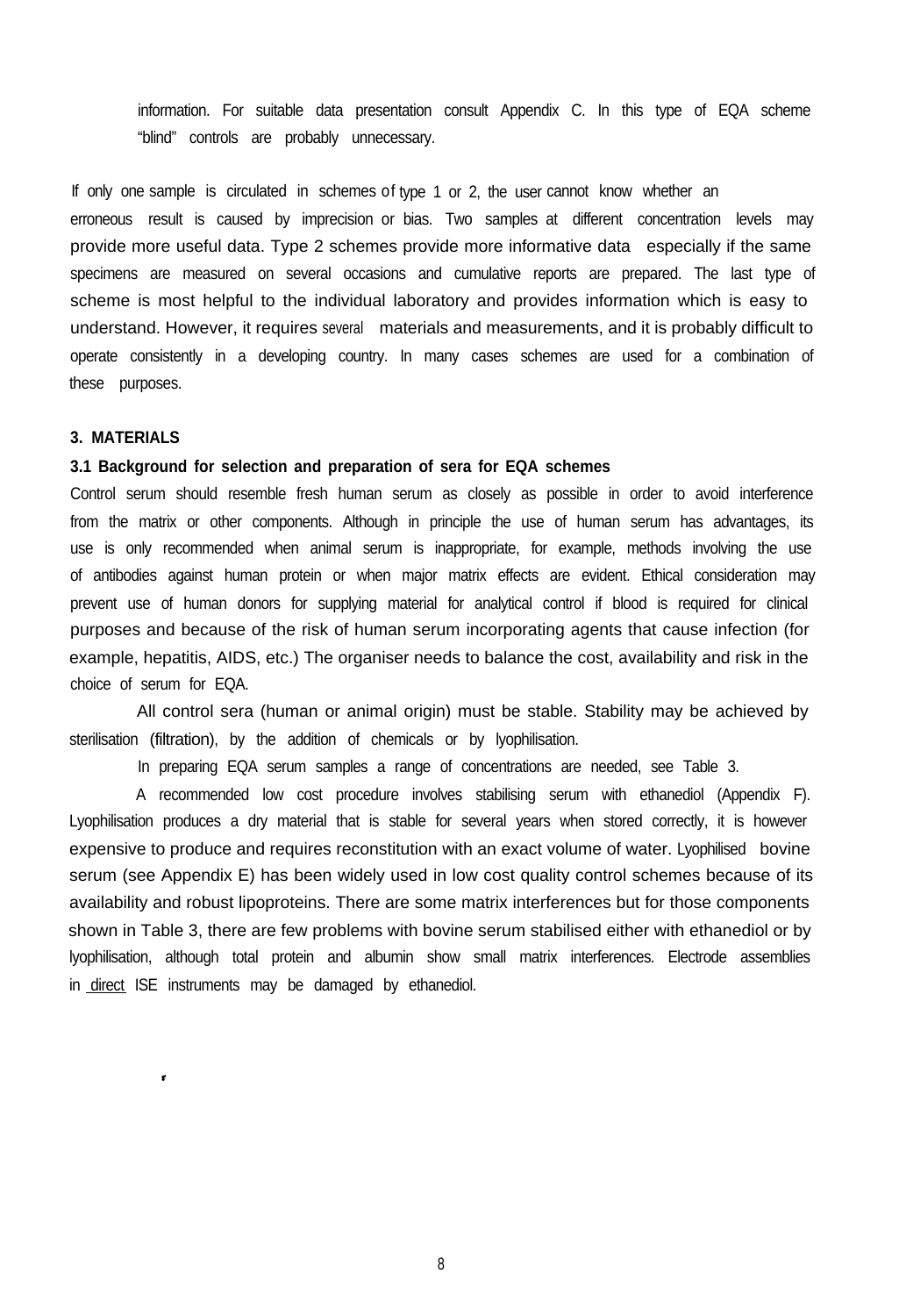information. For suitable data presentation consult Appendix C. In this type of EQA scheme "blind" controls are probably unnecessary.

If only one sample is circulated in schemes of type 1 or 2, the user cannot know whether an erroneous result is caused by imprecision or bias. Two samples at different concentration levels may provide more useful data. Type 2 schemes provide more informative data especially if the same specimens are measured on several occasions and cumulative reports are prepared. The last type of scheme is most helpful to the individual laboratory and provides information which is easy to understand. However, it requires several materials and measurements, and it is probably difficult to operate consistently in a developing country. In many cases schemes are used for a combination of these purposes.

# **3. MATERIALS**

 $\pmb{\epsilon}$ 

# **3.1 Background for selection and preparation of sera for EQA schemes**

Control serum should resemble fresh human serum as closely as possible in order to avoid interference from the matrix or other components. Although in principle the use of human serum has advantages, its use is only recommended when animal serum is inappropriate, for example, methods involving the use of antibodies against human protein or when major matrix effects are evident. Ethical consideration may prevent use of human donors for supplying material for analytical control if blood is required for clinical purposes and because of the risk of human serum incorporating agents that cause infection (for example, hepatitis, AIDS, etc.) The organiser needs to balance the cost, availability and risk in the choice of serum for EQA.

All control sera (human or animal origin) must be stable. Stability may be achieved by sterilisation (filtration), by the addition of chemicals or by lyophilisation.

In preparing EQA serum samples a range of concentrations are needed, see Table 3.

A recommended low cost procedure involves stabilising serum with ethanediol (Appendix F). Lyophilisation produces a dry material that is stable for several years when stored correctly, it is however expensive to produce and requires reconstitution with an exact volume of water. Lyophilised bovine serum (see Appendix E) has been widely used in low cost quality control schemes because of its availability and robust lipoproteins. There are some matrix interferences but for those components shown in Table 3, there are few problems with bovine serum stabilised either with ethanediol or by lyophilisation, although total protein and albumin show small matrix interferences. Electrode assemblies in direct ISE instruments may be damaged by ethanediol.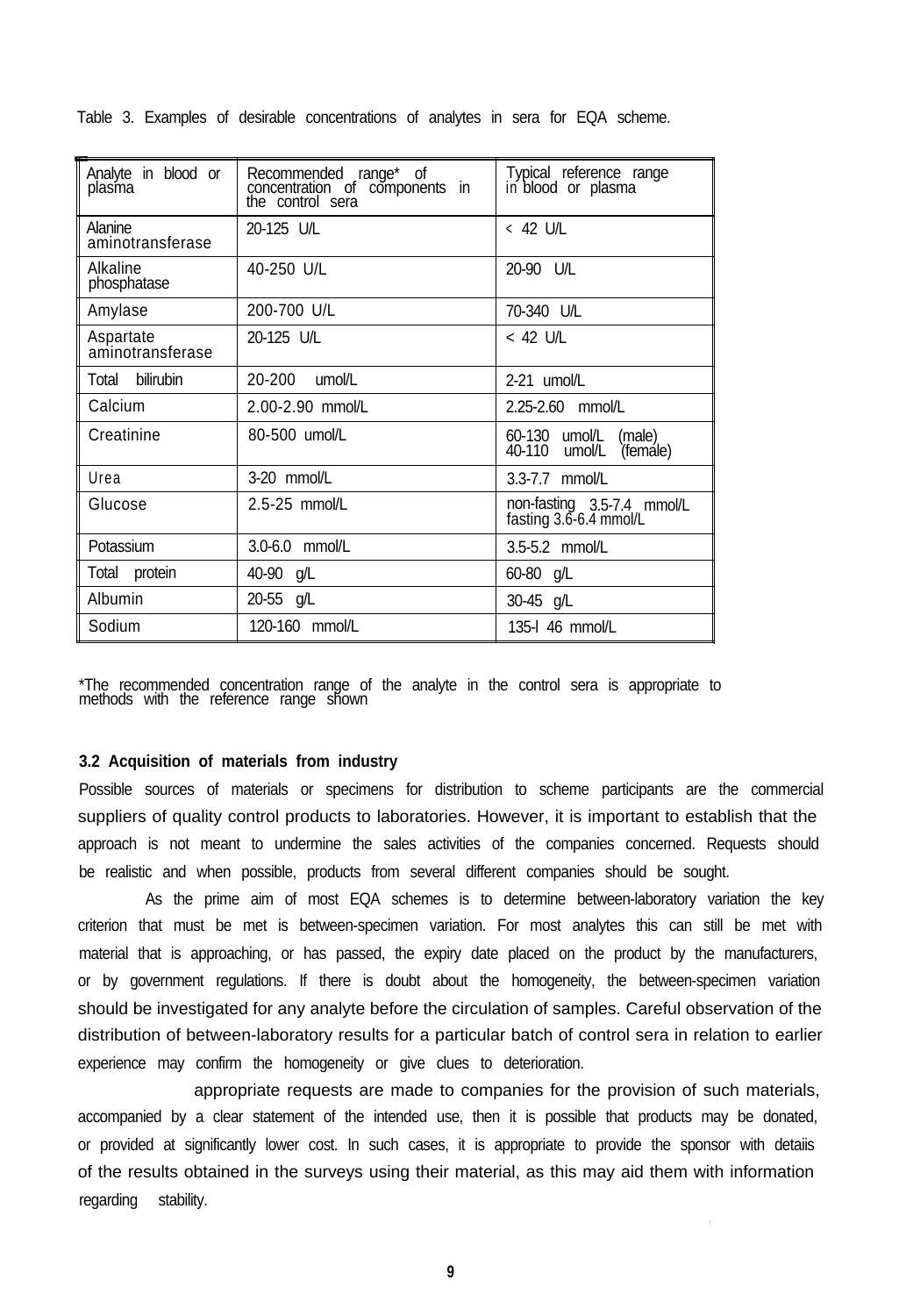| Analyte in blood or<br>plasma | Recommended range* of<br>concentration of components in<br>the control sera | Typical reference range<br>in blood or plasma        |
|-------------------------------|-----------------------------------------------------------------------------|------------------------------------------------------|
| Alanine<br>aminotransferase   | 20-125 U/L                                                                  | < 42 U/L                                             |
| Alkaline<br>phosphatase       | 40-250 U/L                                                                  | 20-90 U/L                                            |
| Amylase                       | 200-700 U/L                                                                 | 70-340 U/L                                           |
| Aspartate<br>aminotransferase | 20-125 U/L                                                                  | < 42 U/L                                             |
| Total bilirubin               | 20-200 umol/L                                                               | $2-21$ umol/L                                        |
| Calcium                       | 2.00-2.90 mmol/L                                                            | 2.25-2.60 mmol/L                                     |
| Creatinine                    | 80-500 umol/L                                                               | 60-130 umol/L<br>(male)<br>40-110 umol/L<br>(femále) |
| Urea<br>3-20 mmol/L           |                                                                             | 3.3-7.7 mmol/L                                       |
| 2.5-25 mmol/L<br>Glucose      |                                                                             | non-fasting 3.5-7.4 mmol/L<br>fasting 3.6-6.4 mmol/L |
| Potassium                     | 3.0-6.0 mmol/L                                                              | 3.5-5.2 mmol/L                                       |
| Total protein                 | 40-90 g/L                                                                   | 60-80 g/L                                            |
| Albumin                       | 20-55 g/L                                                                   | 30-45 g/L                                            |
| Sodium                        | 120-160 mmol/L                                                              | 135-I 46 mmol/L                                      |

Table 3. Examples of desirable concentrations of analytes in sera for EQA scheme.

\*The recommended concentration range of the analyte in the control sera is appropriate to methods with the reference range shown

# **3.2 Acquisition of materials from industry**

Possible sources of materials or specimens for distribution to scheme participants are the commercial suppliers of quality control products to laboratories. However, it is important to establish that the approach is not meant to undermine the sales activities of the companies concerned. Requests should be realistic and when possible, products from several different companies should be sought.

As the prime aim of most EQA schemes is to determine between-laboratory variation the key criterion that must be met is between-specimen variation. For most analytes this can still be met with material that is approaching, or has passed, the expiry date placed on the product by the manufacturers, or by government regulations. If there is doubt about the homogeneity, the between-specimen variation should be investigated for any analyte before the circulation of samples. Careful observation of the distribution of between-laboratory results for a particular batch of control sera in relation to earlier experience may confirm the homogeneity or give clues to deterioration.

appropriate requests are made to companies for the provision of such materials, accompanied by a clear statement of the intended use, then it is possible that products may be donated, or provided at significantly lower cost. In such cases, it is appropriate to provide the sponsor with detaiis of the results obtained in the surveys using their material, as this may aid them with information regarding stability.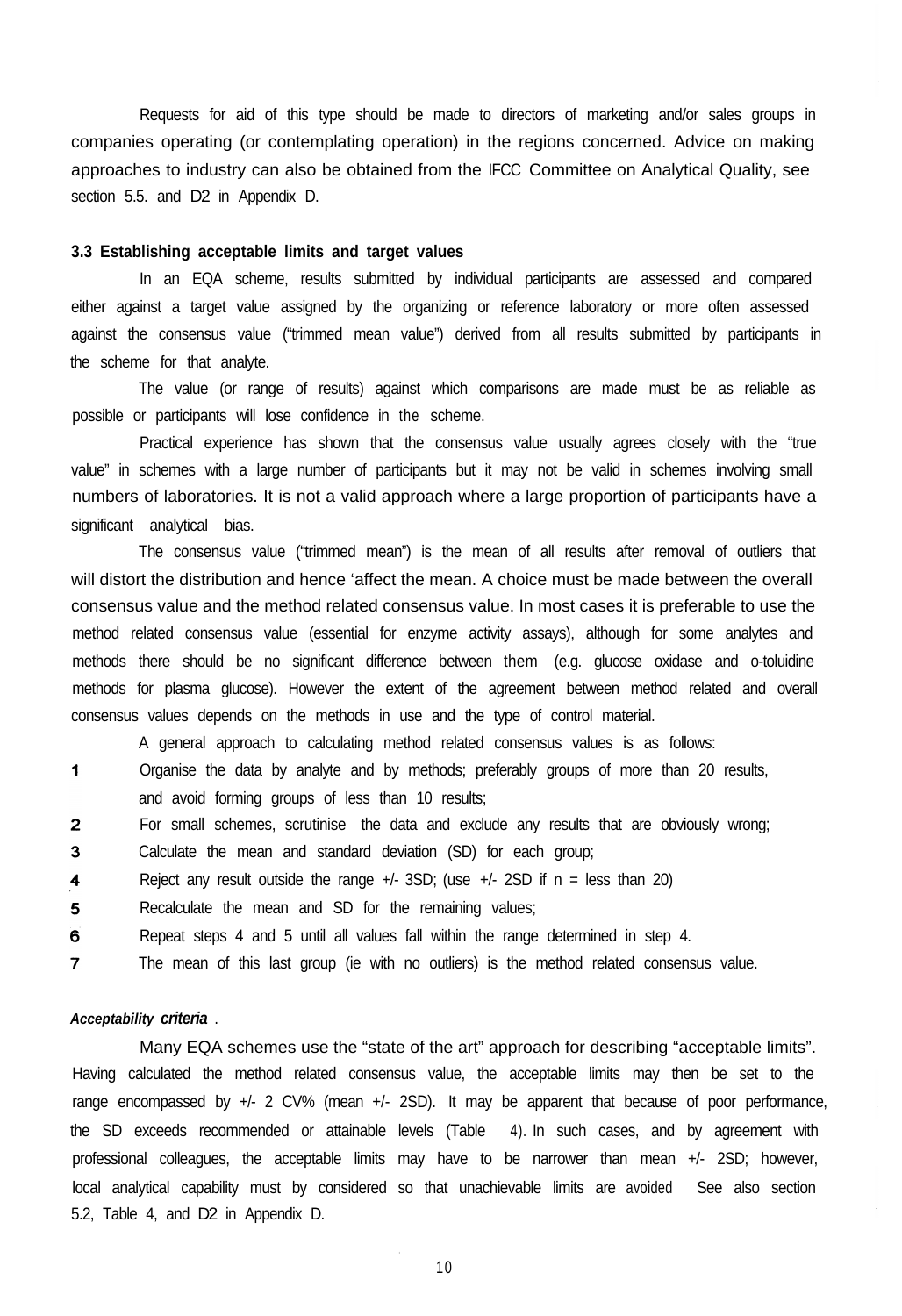Requests for aid of this type should be made to directors of marketing and/or sales groups in companies operating (or contemplating operation) in the regions concerned. Advice on making approaches to industry can also be obtained from the IFCC Committee on Analytical Quality, see section 5.5. and D2 in Appendix D.

# **3.3 Establishing acceptable limits and target values**

In an EQA scheme, results submitted by individual participants are assessed and compared either against a target value assigned by the organizing or reference laboratory or more often assessed against the consensus value ("trimmed mean value") derived from all results submitted by participants in the scheme for that analyte.

The value (or range of results) against which comparisons are made must be as reliable as possible or participants will lose confidence in the scheme.

Practical experience has shown that the consensus value usually agrees closely with the "true value" in schemes with a large number of participants but it may not be valid in schemes involving small numbers of laboratories. It is not a valid approach where a large proportion of participants have a significant analytical bias.

The consensus value ("trimmed mean") is the mean of all results after removal of outliers that will distort the distribution and hence 'affect the mean. A choice must be made between the overall consensus value and the method related consensus value. In most cases it is preferable to use the method related consensus value (essential for enzyme activity assays), although for some analytes and methods there should be no significant difference between them (e.g. glucose oxidase and o-toluidine methods for plasma glucose). However the extent of the agreement between method related and overall consensus values depends on the methods in use and the type of control material.

A general approach to calculating method related consensus values is as follows:

- $\mathbf{1}$ Organise the data by analyte and by methods; preferably groups of more than 20 results, and avoid forming groups of less than 10 results;
- $\overline{2}$ For small schemes, scrutinise the data and exclude any results that are obviously wrong;
- 3 Calculate the mean and standard deviation (SD) for each group;
- $\overline{\mathbf{4}}$ Reject any result outside the range  $+/-$  3SD; (use  $+/-$  2SD if n = less than 20)
- 5 Recalculate the mean and SD for the remaining values;
- 6 Repeat steps 4 and 5 until all values fall within the range determined in step 4.
- $\overline{7}$ The mean of this last group (ie with no outliers) is the method related consensus value.

#### *Acceptability criteria* .

Many EQA schemes use the "state of the art" approach for describing "acceptable limits". Having calculated the method related consensus value, the acceptable limits may then be set to the range encompassed by +/- 2 CV% (mean +/- 2SD). It may be apparent that because of poor performance, the SD exceeds recommended or attainable levels (Table 4). In such cases, and by agreement with professional colleagues, the acceptable limits may have to be narrower than mean +/- 2SD; however, local analytical capability must by considered so that unachievable limits are avoided See also section 5.2, Table 4, and D2 in Appendix D.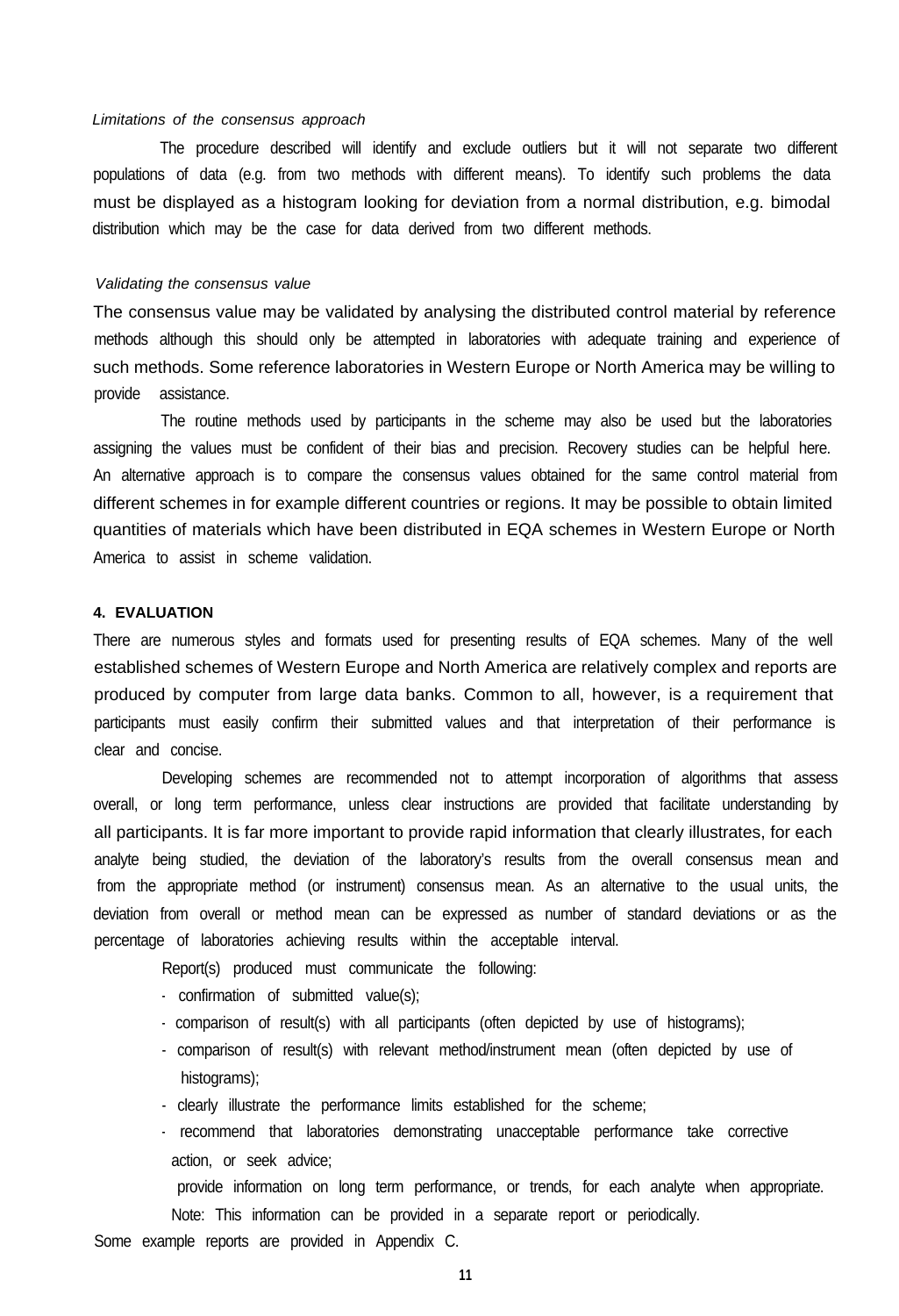#### *Limitations of the consensus approach*

The procedure described will identify and exclude outliers but it will not separate two different populations of data (e.g. from two methods with different means). To identify such problems the data must be displayed as a histogram looking for deviation from a normal distribution, e.g. bimodal distribution which may be the case for data derived from two different methods.

#### *Validating the consensus value*

The consensus value may be validated by analysing the distributed control material by reference methods although this should only be attempted in laboratories with adequate training and experience of such methods. Some reference laboratories in Western Europe or North America may be willing to provide assistance.

The routine methods used by participants in the scheme may also be used but the laboratories assigning the values must be confident of their bias and precision. Recovery studies can be helpful here. An alternative approach is to compare the consensus values obtained for the same control material from different schemes in for example different countries or regions. It may be possible to obtain limited quantities of materials which have been distributed in EQA schemes in Western Europe or North America to assist in scheme validation.

# **4. EVALUATION**

There are numerous styles and formats used for presenting results of EQA schemes. Many of the well established schemes of Western Europe and North America are relatively complex and reports are produced by computer from large data banks. Common to all, however, is a requirement that participants must easily confirm their submitted values and that interpretation of their performance is clear and concise.

Developing schemes are recommended not to attempt incorporation of algorithms that assess overall, or long term performance, unless clear instructions are provided that facilitate understanding by all participants. It is far more important to provide rapid information that clearly illustrates, for each analyte being studied, the deviation of the laboratory's results from the overall consensus mean and from the appropriate method (or instrument) consensus mean. As an alternative to the usual units, the deviation from overall or method mean can be expressed as number of standard deviations or as the percentage of laboratories achieving results within the acceptable interval.

Report(s) produced must communicate the following:

- confirmation of submitted value(s);
- comparison of result(s) with all participants (often depicted by use of histograms);
- comparison of result(s) with relevant method/instrument mean (often depicted by use of histograms);
- clearly illustrate the performance limits established for the scheme;
- recommend that laboratories demonstrating unacceptable performance take corrective action, or seek advice;

provide information on long term performance, or trends, for each analyte when appropriate. Note: This information can be provided in a separate report or periodically.

Some example reports are provided in Appendix C.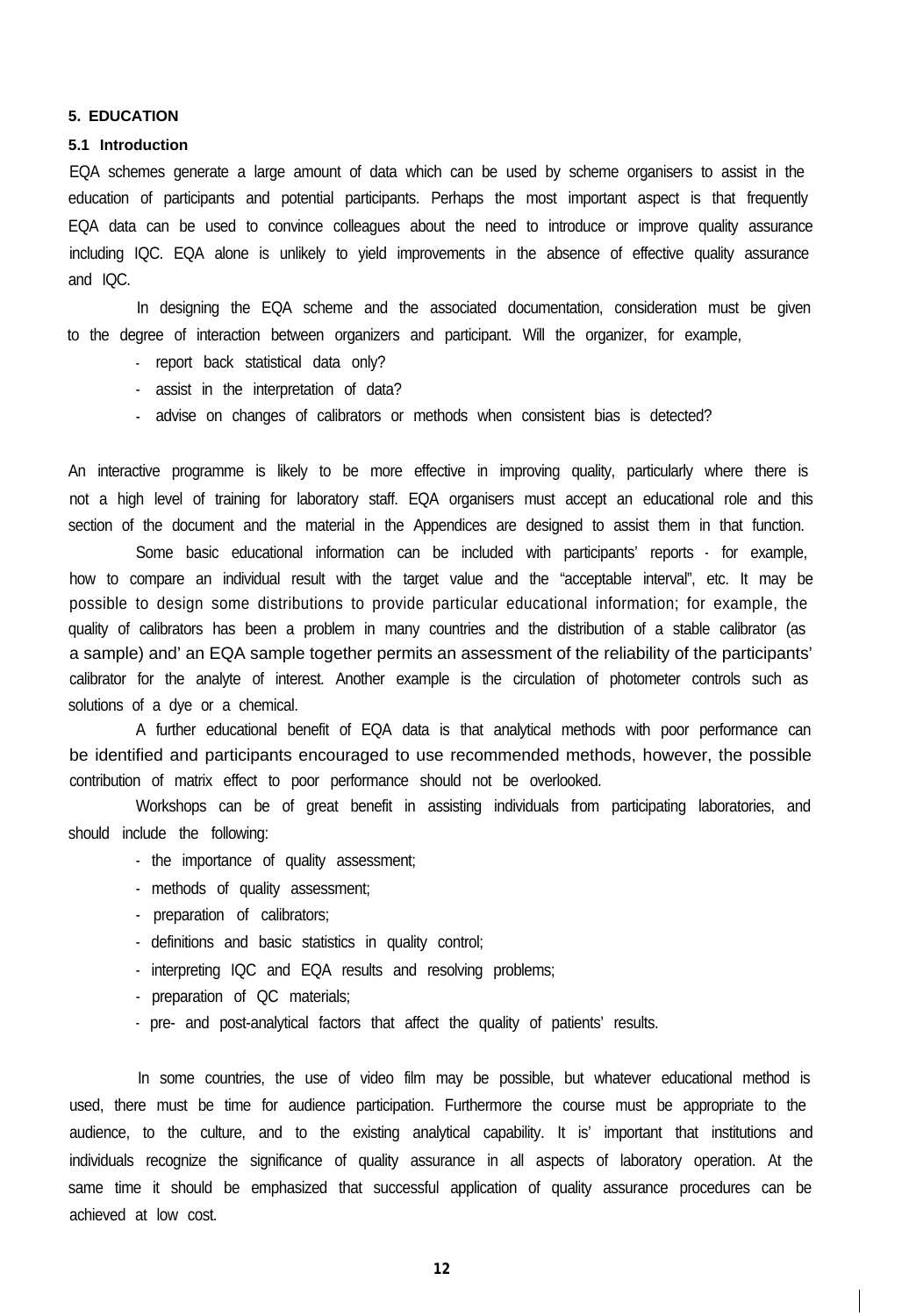#### **5. EDUCATION**

#### **5.1 Introduction**

EQA schemes generate a large amount of data which can be used by scheme organisers to assist in the education of participants and potential participants. Perhaps the most important aspect is that frequently EQA data can be used to convince colleagues about the need to introduce or improve quality assurance including IQC. EQA alone is unlikely to yield improvements in the absence of effective quality assurance and IQC.

In designing the EQA scheme and the associated documentation, consideration must be given to the degree of interaction between organizers and participant. Will the organizer, for example,

- report back statistical data only?
- assist in the interpretation of data?
- advise on changes of calibrators or methods when consistent bias is detected?

An interactive programme is likely to be more effective in improving quality, particularly where there is not a high level of training for laboratory staff. EQA organisers must accept an educational role and this section of the document and the material in the Appendices are designed to assist them in that function.

Some basic educational information can be included with participants' reports - for example, how to compare an individual result with the target value and the "acceptable interval", etc. It may be possible to design some distributions to provide particular educational information; for example, the quality of calibrators has been a problem in many countries and the distribution of a stable calibrator (as a sample) and' an EQA sample together permits an assessment of the reliability of the participants' calibrator for the analyte of interest. Another example is the circulation of photometer controls such as solutions of a dye or a chemical.

A further educational benefit of EQA data is that analytical methods with poor performance can be identified and participants encouraged to use recommended methods, however, the possible contribution of matrix effect to poor performance should not be overlooked.

Workshops can be of great benefit in assisting individuals from participating laboratories, and should include the following:

- the importance of quality assessment;
- methods of quality assessment;
- preparation of calibrators;
- definitions and basic statistics in quality control;
- interpreting IQC and EQA results and resolving problems;
- preparation of QC materials;
- pre- and post-analytical factors that affect the quality of patients' results.

In some countries, the use of video film may be possible, but whatever educational method is used, there must be time for audience participation. Furthermore the course must be appropriate to the audience, to the culture, and to the existing analytical capability. It is' important that institutions and individuals recognize the significance of quality assurance in all aspects of laboratory operation. At the same time it should be emphasized that successful application of quality assurance procedures can be achieved at low cost.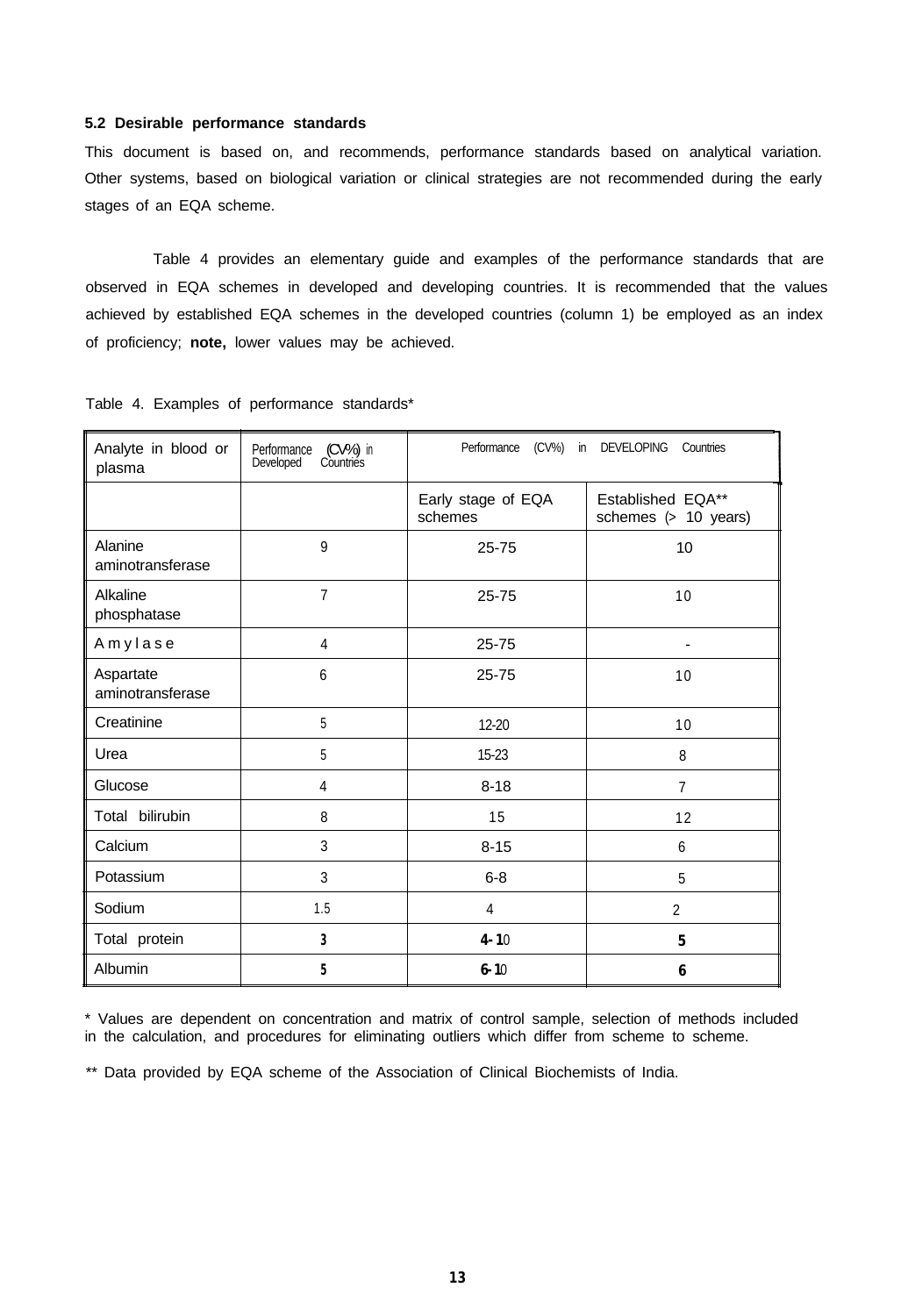#### **5.2 Desirable performance standards**

This document is based on, and recommends, performance standards based on analytical variation. Other systems, based on biological variation or clinical strategies are not recommended during the early stages of an EQA scheme.

Table 4 provides an elementary guide and examples of the performance standards that are observed in EQA schemes in developed and developing countries. It is recommended that the values achieved by established EQA schemes in the developed countries (column 1) be employed as an index of proficiency; **note,** lower values may be achieved.

| Analyte in blood or<br>plasma | (CV%) in<br>Performance<br>Countries<br>Developed | $(CV\%)$<br>Performance<br><b>DEVELOPING</b><br>Countries<br>in |                                           |  |
|-------------------------------|---------------------------------------------------|-----------------------------------------------------------------|-------------------------------------------|--|
|                               |                                                   | Early stage of EQA<br>schemes                                   | Established EQA**<br>schemes (> 10 years) |  |
| Alanine<br>aminotransferase   | 9                                                 | 25-75                                                           | 10                                        |  |
| Alkaline<br>phosphatase       | $\overline{7}$                                    | $25 - 75$                                                       | 10                                        |  |
| Amylase                       | 4                                                 | 25-75                                                           |                                           |  |
| Aspartate<br>aminotransferase | 6                                                 | 25-75                                                           | 10                                        |  |
| Creatinine                    | 5                                                 | 12-20                                                           | 10                                        |  |
| Urea                          | 5                                                 | 15-23                                                           | 8                                         |  |
| Glucose                       | 4                                                 | $8 - 18$                                                        | $\overline{7}$                            |  |
| Total bilirubin               | 8                                                 | 15                                                              | 12                                        |  |
| Calcium                       | 3                                                 | $8 - 15$                                                        | 6                                         |  |
| Potassium                     | 3                                                 | $6 - 8$                                                         | 5                                         |  |
| Sodium                        | 1.5                                               | $\overline{4}$                                                  | $\overline{2}$                            |  |
| Total protein                 | 3                                                 | $4 - 10$                                                        | $\mathbf{5}$                              |  |
| Albumin                       | 5                                                 | $6 - 10$                                                        | 6                                         |  |

Table 4. Examples of performance standards\*

\* Values are dependent on concentration and matrix of control sample, selection of methods included in the calculation, and procedures for eliminating outliers which differ from scheme to scheme.

\*\* Data provided by EQA scheme of the Association of Clinical Biochemists of India.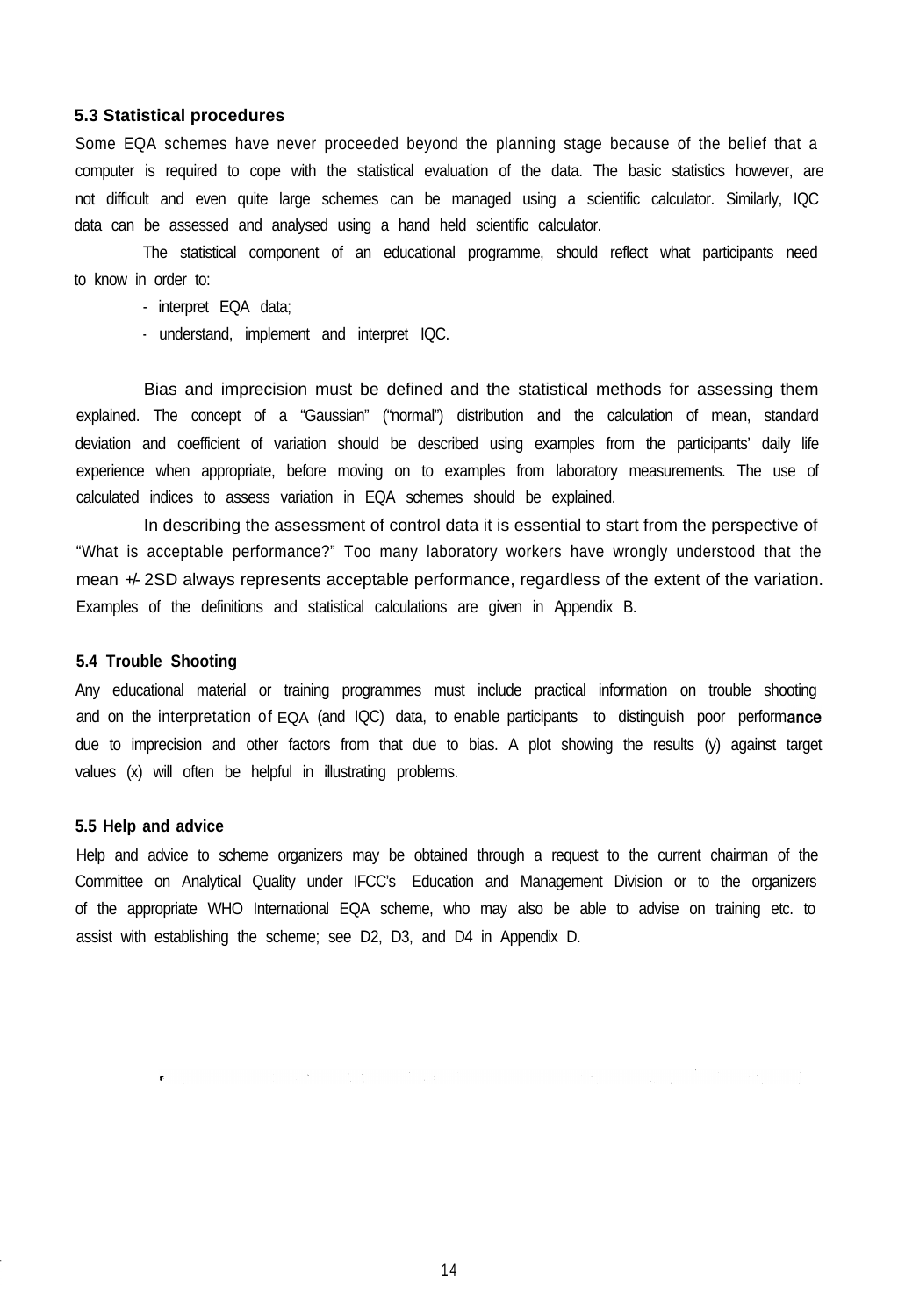### **5.3 Statistical procedures**

Some EQA schemes have never proceeded beyond the planning stage because of the belief that a computer is required to cope with the statistical evaluation of the data. The basic statistics however, are not difficult and even quite large schemes can be managed using a scientific calculator. Similarly, IQC data can be assessed and analysed using a hand held scientific calculator.

The statistical component of an educational programme, should reflect what participants need to know in order to:

- interpret EQA data;
- understand, implement and interpret IQC.

Bias and imprecision must be defined and the statistical methods for assessing them explained. The concept of a "Gaussian" ("normal") distribution and the calculation of mean, standard deviation and coefficient of variation should be described using examples from the participants' daily life experience when appropriate, before moving on to examples from laboratory measurements. The use of calculated indices to assess variation in EQA schemes should be explained.

In describing the assessment of control data it is essential to start from the perspective of "What is acceptable performance?" Too many laboratory workers have wrongly understood that the mean  $\#$ - 2SD always represents acceptable performance, regardless of the extent of the variation. Examples of the definitions and statistical calculations are given in Appendix B.

## **5.4 Trouble Shooting**

Any educational material or training programmes must include practical information on trouble shooting and on the interpretation of EQA (and IQC) data, to enable participants to distinguish poor performance due to imprecision and other factors from that due to bias. A plot showing the results (y) against target values (x) will often be helpful in illustrating problems.

#### **5.5 Help and advice**

Help and advice to scheme organizers may be obtained through a request to the current chairman of the Committee on Analytical Quality under IFCC's Education and Management Division or to the organizers of the appropriate WHO International EQA scheme, who may also be able to advise on training etc. to assist with establishing the scheme; see D2, D3, and D4 in Appendix D.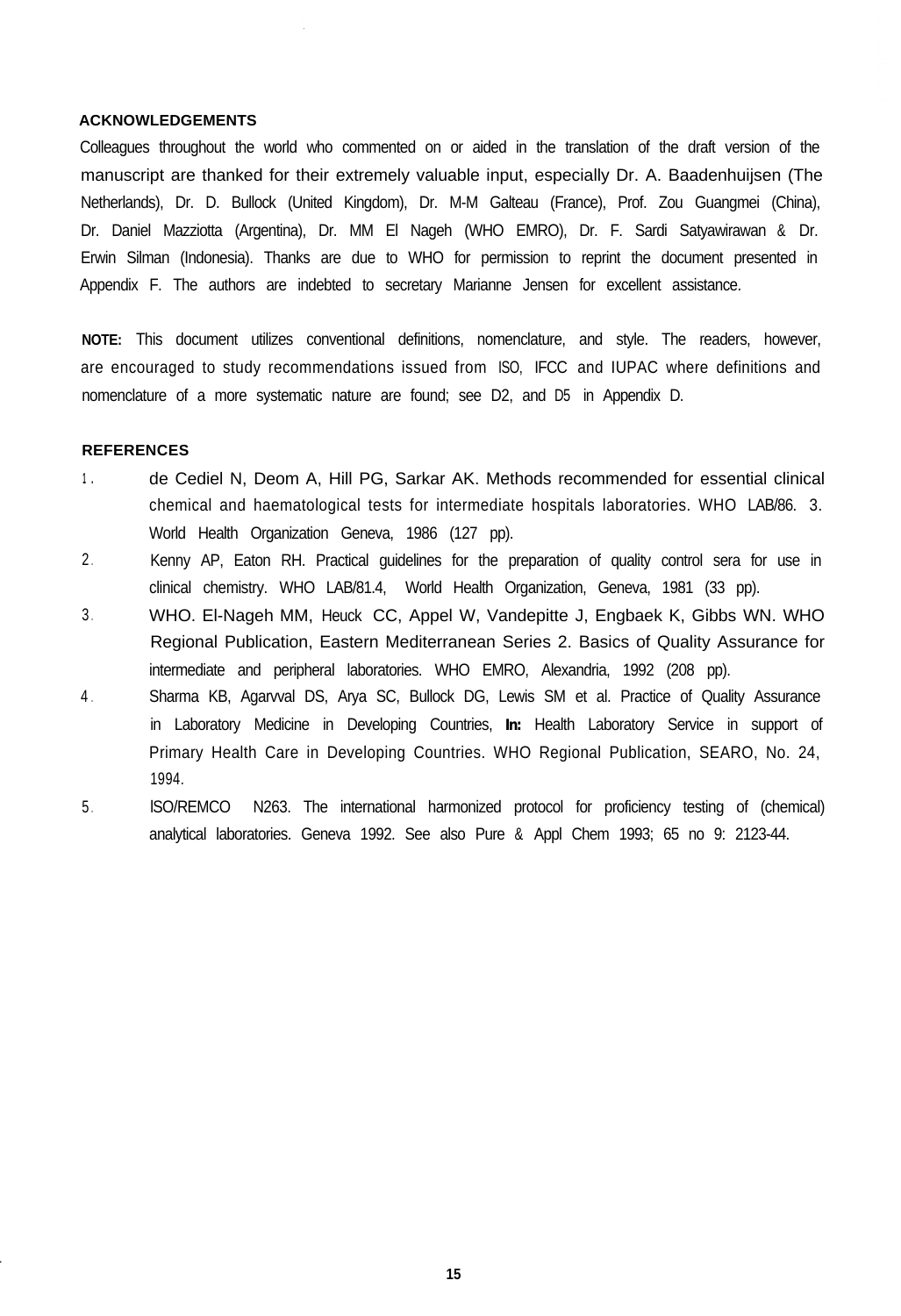#### **ACKNOWLEDGEMENTS**

Colleagues throughout the world who commented on or aided in the translation of the draft version of the manuscript are thanked for their extremely valuable input, especially Dr. A. Baadenhuijsen (The Netherlands), Dr. D. Bullock (United Kingdom), Dr. M-M Galteau (France), Prof. Zou Guangmei (China), Dr. Daniel Mazziotta (Argentina), Dr. MM El Nageh (WHO EMRO), Dr. F. Sardi Satyawirawan & Dr. Erwin Silman (Indonesia). Thanks are due to WHO for permission to reprint the document presented in Appendix F. The authors are indebted to secretary Marianne Jensen for excellent assistance.

**NOTE:** This document utilizes conventional definitions, nomenclature, and style. The readers, however, are encouraged to study recommendations issued from ISO, IFCC and IUPAC where definitions and nomenclature of a more systematic nature are found; see D2, and D5 in Appendix D.

#### **REFERENCES**

- **<sup>1</sup> .** de Cediel N, Deom A, Hill PG, Sarkar AK. Methods recommended for essential clinical chemical and haematological tests for intermediate hospitals laboratories. WHO LAB/86. 3. World Health Organization Geneva, 1986 (127 pp).
- 2 . Kenny AP, Eaton RH. Practical guidelines for the preparation of quality control sera for use in clinical chemistry. WHO LAB/81.4, World Health Organization, Geneva, 1981 (33 pp).
- 3 . WHO. El-Nageh MM, Heuck CC, Appel W, Vandepitte J, Engbaek K, Gibbs WN. WHO Regional Publication, Eastern Mediterranean Series 2. Basics of Quality Assurance for intermediate and peripheral laboratories. WHO EMRO, Alexandria, 1992 (208 pp).
- $4<sub>1</sub>$ Sharma KB, Agarvval DS, Arya SC, Bullock DG, Lewis SM et al. Practice of Quality Assurance in Laboratory Medicine in Developing Countries, *In:* Health Laboratory Service in support of Primary Health Care in Developing Countries. WHO Regional Publication, SEARO, No. 24, 1994.
- 5 . lSO/REMCO N263. The international harmonized protocol for proficiency testing of (chemical) analytical laboratories. Geneva 1992. See also Pure & Appl Chem 1993; 65 no 9: 2123-44.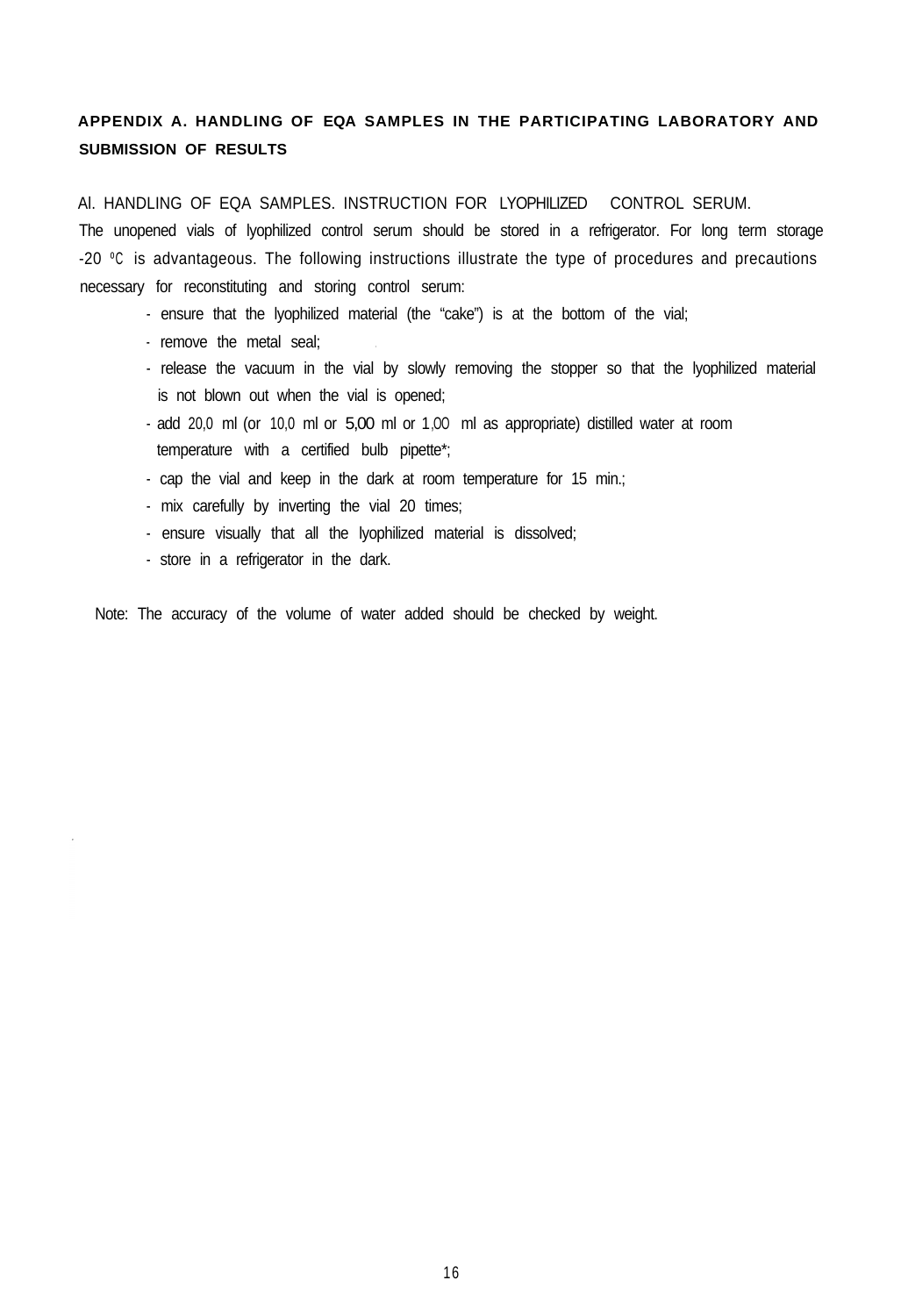# **APPENDIX A. HANDLING OF EQA SAMPLES IN THE PARTICIPATING LABORATORY AND SUBMISSION OF RESULTS**

Al. HANDLING OF EQA SAMPLES. INSTRUCTION FOR LYOPHILIZED CONTROL SERUM.

The unopened vials of lyophilized control serum should be stored in a refrigerator. For long term storage -20 °C is advantageous. The following instructions illustrate the type of procedures and precautions necessary for reconstituting and storing control serum:

- ensure that the lyophilized material (the "cake") is at the bottom of the vial;
- remove the metal seal;
- release the vacuum in the vial by slowly removing the stopper so that the lyophilized material is not blown out when the vial is opened;
- add 20,0 ml (or 10,0 ml or 5,00 ml or 1,OO ml as appropriate) distilled water at room temperature with a certified bulb pipette\*;
- cap the vial and keep in the dark at room temperature for 15 min.;
- mix carefully by inverting the vial 20 times;
- ensure visually that all the lyophilized material is dissolved;
- store in a refrigerator in the dark.

Note: The accuracy of the volume of water added should be checked by weight.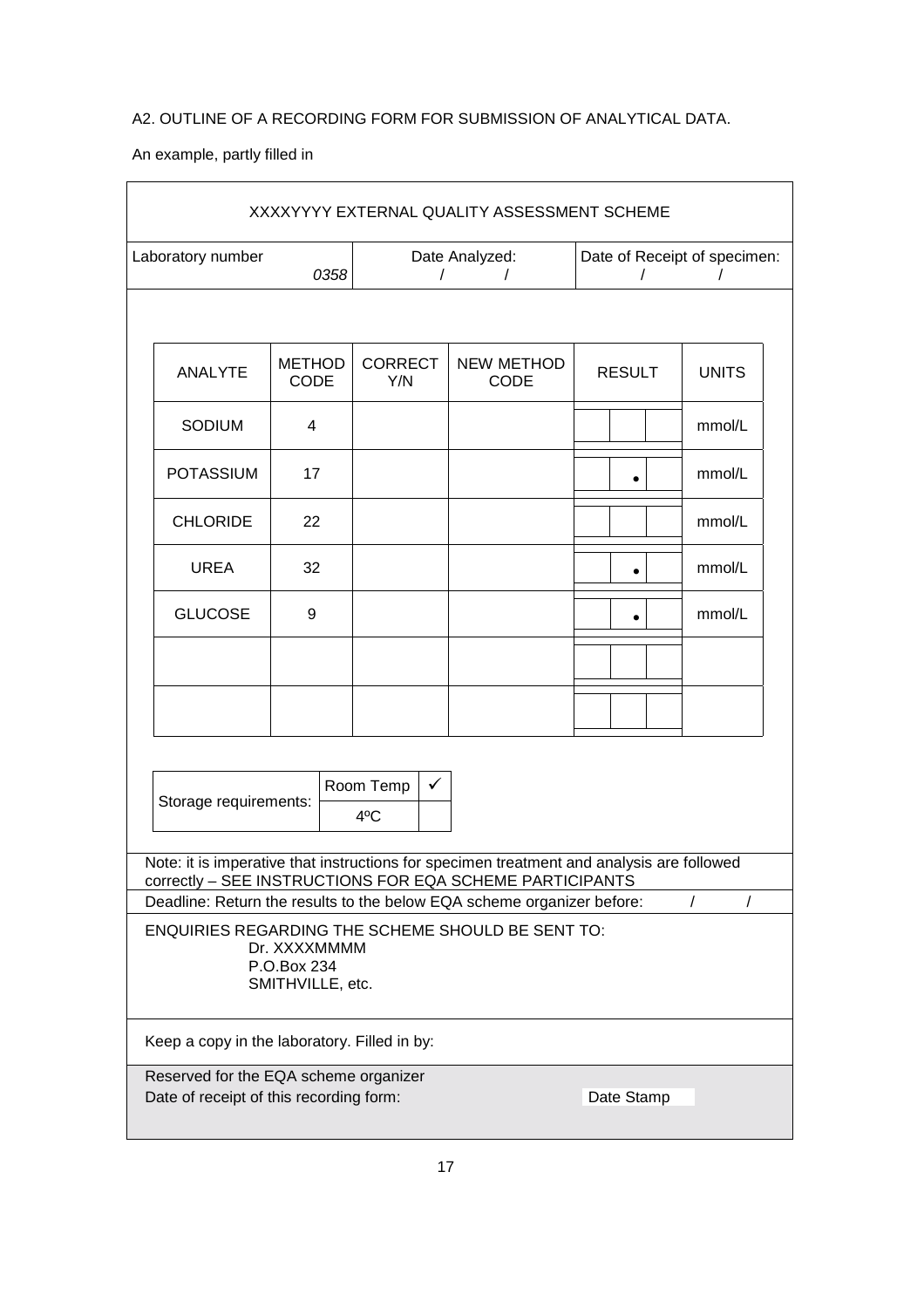# A2. OUTLINE OF A RECORDING FORM FOR SUBMISSION OF ANALYTICAL DATA.

An example, partly filled in

| XXXXYYYY EXTERNAL QUALITY ASSESSMENT SCHEME                                                                                                                                                       |                              |                                        |                           |                                                        |              |  |
|---------------------------------------------------------------------------------------------------------------------------------------------------------------------------------------------------|------------------------------|----------------------------------------|---------------------------|--------------------------------------------------------|--------------|--|
| Laboratory number                                                                                                                                                                                 | 0358                         | Date Analyzed:<br>$\prime$<br>$\prime$ |                           | Date of Receipt of specimen:<br>$\sqrt{ }$<br>$\prime$ |              |  |
|                                                                                                                                                                                                   |                              |                                        |                           |                                                        |              |  |
| ANALYTE                                                                                                                                                                                           | <b>METHOD</b><br><b>CODE</b> | <b>CORRECT</b><br>Y/N                  | <b>NEW METHOD</b><br>CODE | <b>RESULT</b>                                          | <b>UNITS</b> |  |
| SODIUM                                                                                                                                                                                            | 4                            |                                        |                           |                                                        | mmol/L       |  |
| <b>POTASSIUM</b>                                                                                                                                                                                  | 17                           |                                        |                           |                                                        | mmol/L       |  |
| <b>CHLORIDE</b>                                                                                                                                                                                   | 22                           |                                        |                           |                                                        | mmol/L       |  |
| <b>UREA</b>                                                                                                                                                                                       | 32                           |                                        |                           |                                                        | mmol/L       |  |
| <b>GLUCOSE</b>                                                                                                                                                                                    | 9                            |                                        |                           | $\bullet$                                              | mmol/L       |  |
|                                                                                                                                                                                                   |                              |                                        |                           |                                                        |              |  |
|                                                                                                                                                                                                   |                              |                                        |                           |                                                        |              |  |
| Room Temp<br>$\checkmark$<br>Storage requirements:<br>4°C                                                                                                                                         |                              |                                        |                           |                                                        |              |  |
| Note: it is imperative that instructions for specimen treatment and analysis are followed<br>correctly - SEE INSTRUCTIONS FOR EQA SCHEME PARTICIPANTS                                             |                              |                                        |                           |                                                        |              |  |
| Deadline: Return the results to the below EQA scheme organizer before:<br>$\prime$<br><b>ENQUIRIES REGARDING THE SCHEME SHOULD BE SENT TO:</b><br>Dr. XXXXMMMM<br>P.O.Box 234<br>SMITHVILLE, etc. |                              |                                        |                           |                                                        |              |  |
| Keep a copy in the laboratory. Filled in by:                                                                                                                                                      |                              |                                        |                           |                                                        |              |  |
| Reserved for the EQA scheme organizer<br>Date of receipt of this recording form:<br>Date Stamp                                                                                                    |                              |                                        |                           |                                                        |              |  |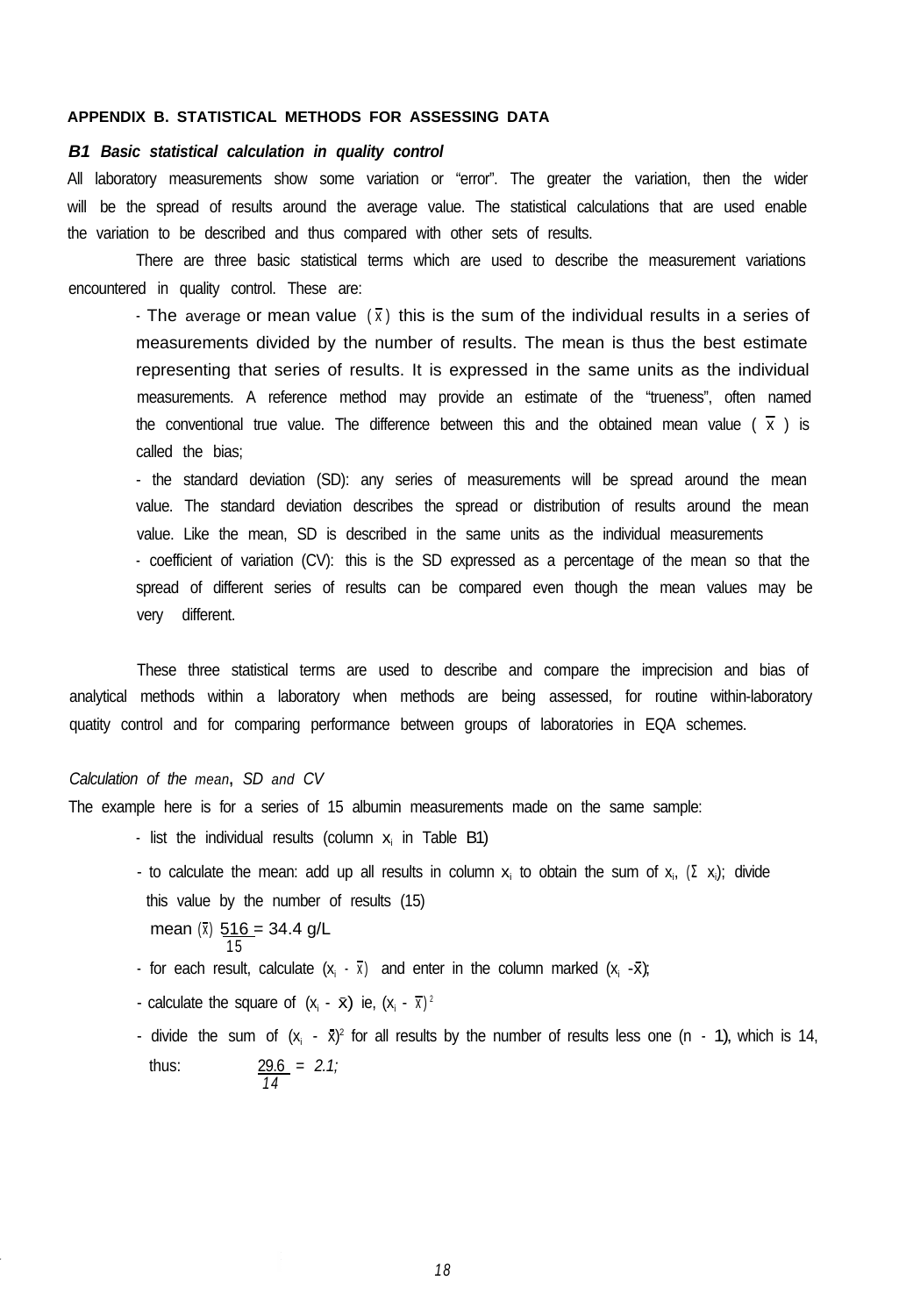#### **APPENDIX B. STATISTICAL METHODS FOR ASSESSING DATA**

# *B1 Basic statistical calculation in quality control*

All laboratory measurements show some variation or "error". The greater the variation, then the wider will be the spread of results around the average value. The statistical calculations that are used enable the variation to be described and thus compared with other sets of results.

There are three basic statistical terms which are used to describe the measurement variations encountered in quality control. These are:

- The average or mean value  $(\bar{x})$  this is the sum of the individual results in a series of measurements divided by the number of results. The mean is thus the best estimate representing that series of results. It is expressed in the same units as the individual measurements. A reference method may provide an estimate of the "trueness", often named the conventional true value. The difference between this and the obtained mean value ( $\overline{x}$ ) is called the bias;

- the standard deviation (SD): any series of measurements will be spread around the mean value. The standard deviation describes the spread or distribution of results around the mean value. Like the mean, SD is described in the same units as the individual measurements - coefficient of variation (CV): this is the SD expressed as a percentage of the mean so that the spread of different series of results can be compared even though the mean values may be very different.

These three statistical terms are used to describe and compare the imprecision and bias of analytical methods within a laboratory when methods are being assessed, for routine within-laboratory quatity control and for comparing performance between groups of laboratories in EQA schemes.

### *Calculation of the mean***,** *SD and CV*

The example here is for a series of 15 albumin measurements made on the same sample:

- list the individual results (column  $x_i$  in Table B1)
- to calculate the mean: add up all results in column  $x_i$  to obtain the sum of  $x_i$ ,  $(\Sigma x_i)$ ; divide this value by the number of results (15) mean  $(\bar{x})$  516 = 34.4 g/L 15
- for each result, calculate  $(x_i \overline{x})$  and enter in the column marked  $(x_i \overline{x})$ ;
- calculate the square of  $(x_i \bar{x})$  ie,  $(x_i \bar{x})^2$
- divide the sum of  $(x_i \bar{x})^2$  for all results by the number of results less one (n 1), which is 14, thus: 29.6 *= 2.1; 14*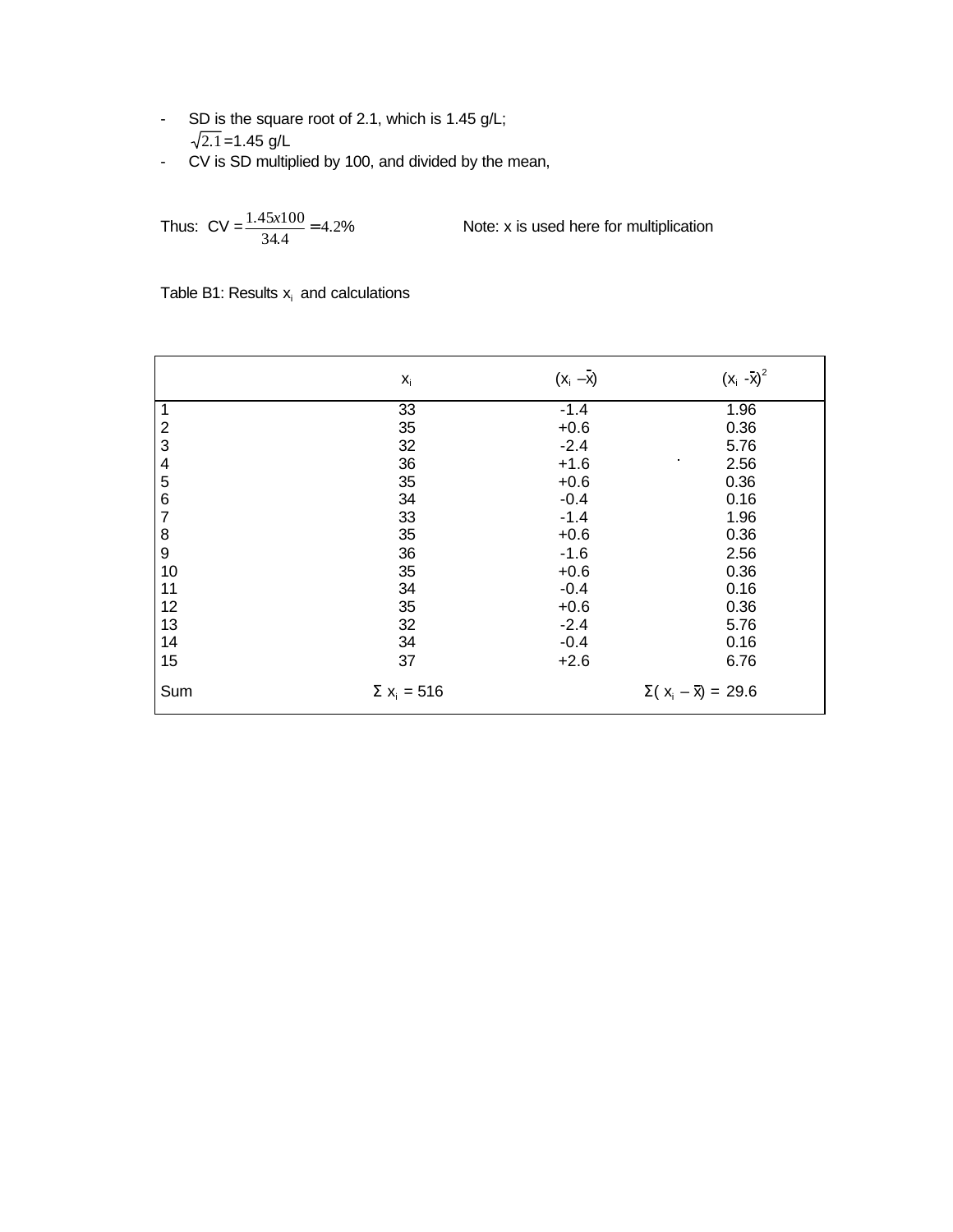- SD is the square root of 2.1, which is 1.45 g/L; 2.1 =1.45 g/L
- CV is SD multiplied by 100, and divided by the mean,

Thus: CV =  $\frac{1.45x100}{34.4}$  = 4.2%

Note: x is used here for multiplication

|                | $\mathsf{X}_\mathsf{i}$       | $(x_i -\overline{x})$ | $(x_i - x)^2$                  |
|----------------|-------------------------------|-----------------------|--------------------------------|
| 1              | 33                            | $-1.4$                | 1.96                           |
| $\overline{2}$ | 35                            | $+0.6$                | 0.36                           |
| 3              | 32                            | $-2.4$                | 5.76                           |
| 4              | 36                            | $+1.6$                | ٠<br>2.56                      |
| 5              | 35                            | $+0.6$                | 0.36                           |
| 6              | 34                            | $-0.4$                | 0.16                           |
| $\overline{7}$ | 33                            | $-1.4$                | 1.96                           |
| 8              | 35                            | $+0.6$                | 0.36                           |
| 9              | 36                            | $-1.6$                | 2.56                           |
| 10             | 35                            | $+0.6$                | 0.36                           |
| 11             | 34                            | $-0.4$                | 0.16                           |
| 12             | 35                            | $+0.6$                | 0.36                           |
| 13             | 32                            | $-2.4$                | 5.76                           |
| 14             | 34                            | $-0.4$                | 0.16                           |
| 15             | 37                            | $+2.6$                | 6.76                           |
| Sum            | $\Sigma$ x <sub>i</sub> = 516 |                       | $\Sigma(x_i - \bar{x}) = 29.6$ |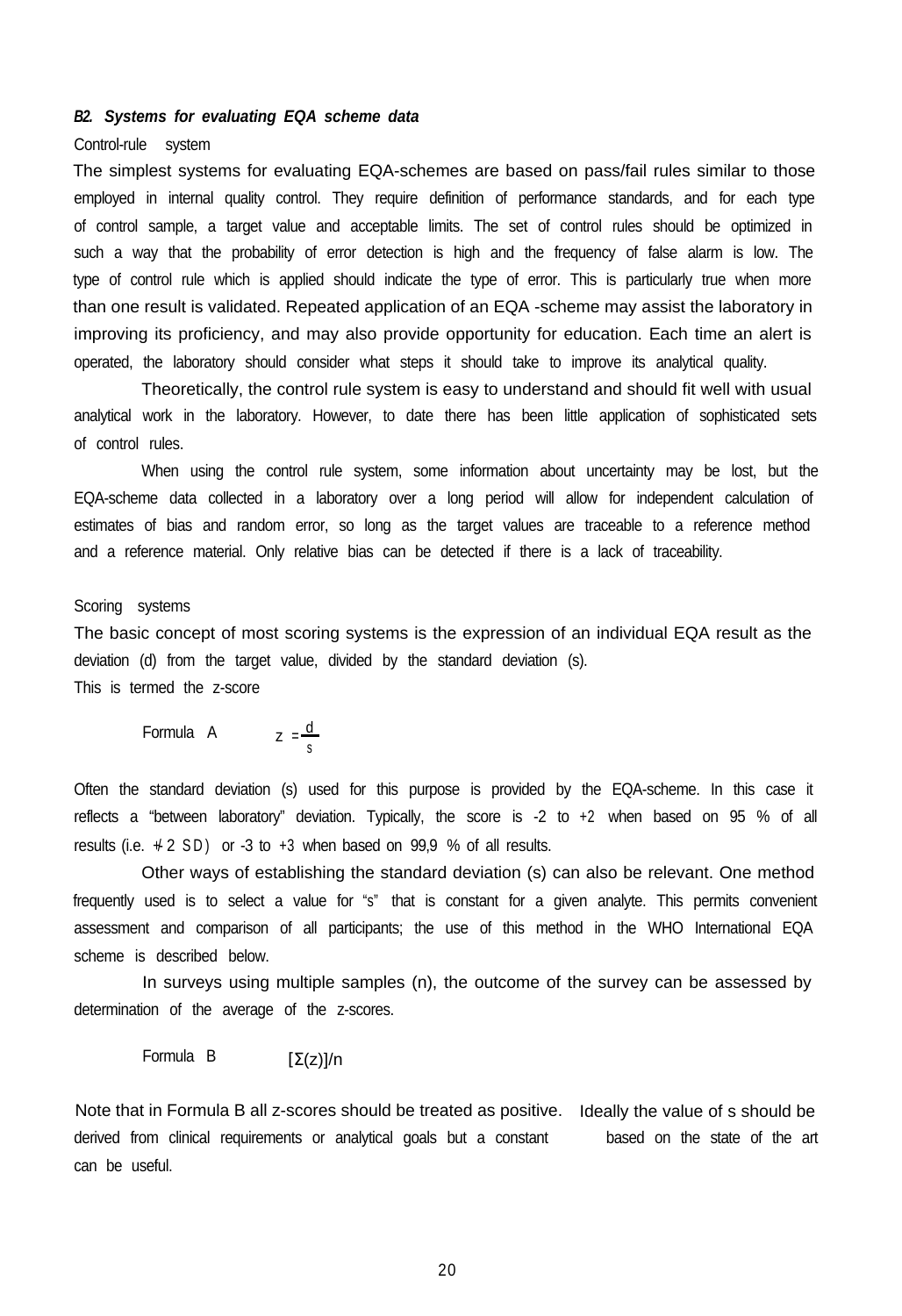# *B2. Systems for evaluating EQA scheme data*

#### Control-rule system

The simplest systems for evaluating EQA-schemes are based on pass/fail rules similar to those employed in internal quality control. They require definition of performance standards, and for each type of control sample, a target value and acceptable limits. The set of control rules should be optimized in such a way that the probability of error detection is high and the frequency of false alarm is low. The type of control rule which is applied should indicate the type of error. This is particularly true when more than one result is validated. Repeated application of an EQA -scheme may assist the laboratory in improving its proficiency, and may also provide opportunity for education. Each time an alert is operated, the laboratory should consider what steps it should take to improve its analytical quality.

Theoretically, the control rule system is easy to understand and should fit well with usual analytical work in the laboratory. However, to date there has been little application of sophisticated sets of control rules.

When using the control rule system, some information about uncertainty may be lost, but the EQA-scheme data collected in a laboratory over a long period will allow for independent calculation of estimates of bias and random error, so long as the target values are traceable to a reference method and a reference material. Only relative bias can be detected if there is a lack of traceability.

#### Scoring systems

The basic concept of most scoring systems is the expression of an individual EQA result as the deviation (d) from the target value, divided by the standard deviation (s). This is termed the z-score

Formula A 
$$
z = \frac{d}{s}
$$

Often the standard deviation (s) used for this purpose is provided by the EQA-scheme. In this case it reflects a "between laboratory" deviation. Typically, the score is -2 to +2 when based on 95 % of all results (i.e.  $\neq$  2 SD) or -3 to +3 when based on 99,9 % of all results.

Other ways of establishing the standard deviation (s) can also be relevant. One method frequently used is to select a value for "s" that is constant for a given analyte. This permits convenient assessment and comparison of all participants; the use of this method in the WHO International EQA scheme is described below.

In surveys using multiple samples (n), the outcome of the survey can be assessed by determination of the average of the z-scores.

Formula B [Σ(z)]/n

Note that in Formula B all z-scores should be treated as positive. Ideally the value of s should be derived from clinical requirements or analytical goals but a constant based on the state of the art can be useful.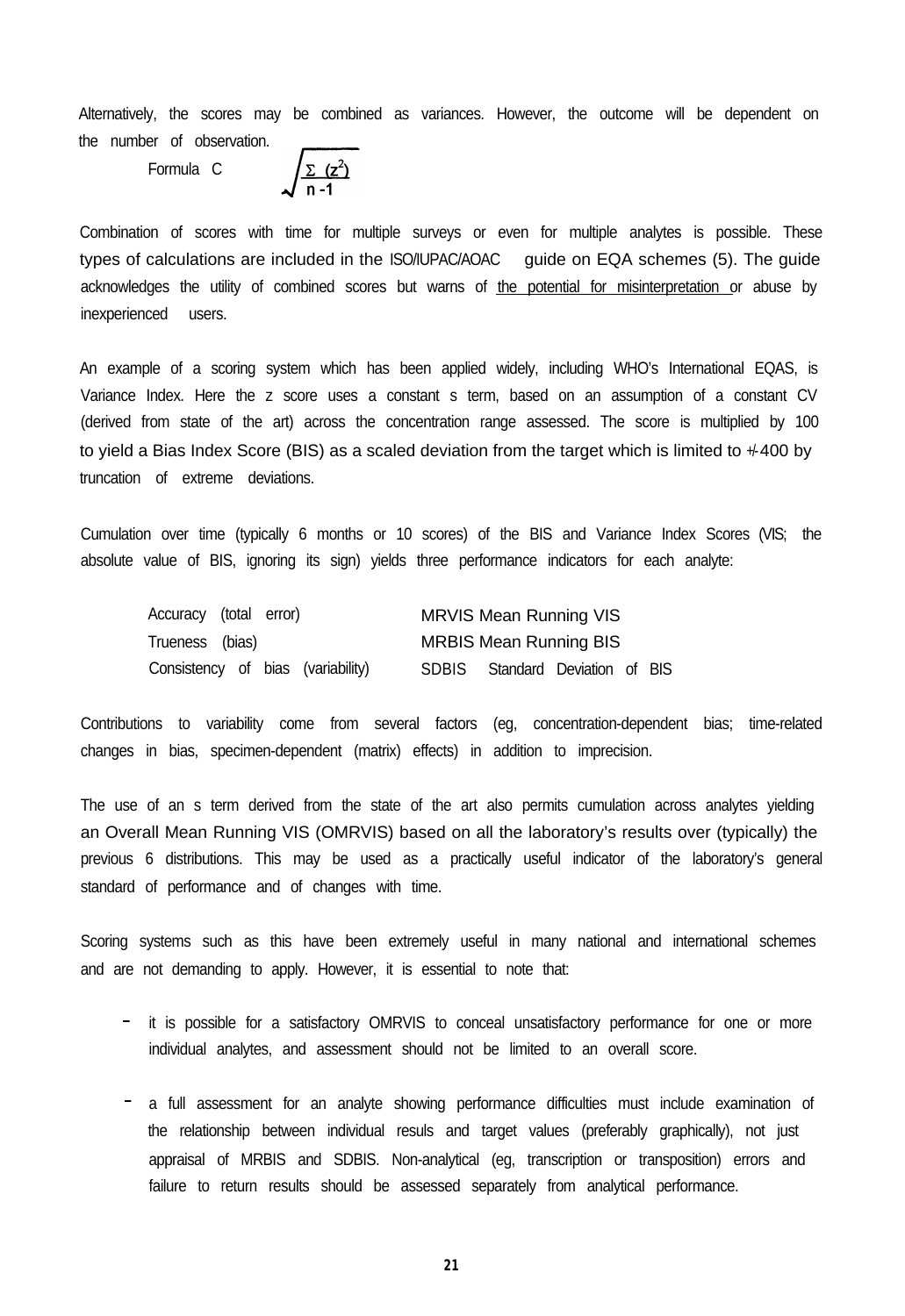Alternatively, the scores may be combined as variances. However, the outcome will be dependent on the number of observation.

Formula C

 $\int \frac{\sum (z^2)}{n-1}$ 

Combination of scores with time for multiple surveys or even for multiple analytes is possible. These types of calculations are included in the ISO/IUPAC/AOAC guide on EQA schemes (5). The guide acknowledges the utility of combined scores but warns of the potential for misinterpretation or abuse by inexperienced users.

An example of a scoring system which has been applied widely, including WHO's International EQAS, is Variance Index. Here the z score uses a constant s term, based on an assumption of a constant CV (derived from state of the art) across the concentration range assessed. The score is multiplied by 100 to yield a Bias Index Score (BIS) as a scaled deviation from the target which is limited to  $+400$  by truncation of extreme deviations.

Cumulation over time (typically 6 months or 10 scores) of the BIS and Variance Index Scores (VIS; the absolute value of BIS, ignoring its sign) yields three performance indicators for each analyte:

| Accuracy (total error)            | <b>MRVIS Mean Running VIS</b>             |
|-----------------------------------|-------------------------------------------|
| Trueness (bias)                   | <b>MRBIS Mean Running BIS</b>             |
| Consistency of bias (variability) | Standard Deviation of BIS<br><b>SDBIS</b> |

Contributions to variability come from several factors (eg, concentration-dependent bias; time-related changes in bias, specimen-dependent (matrix) effects) in addition to imprecision.

The use of an s term derived from the state of the art also permits cumulation across analytes yielding an Overall Mean Running VIS (OMRVIS) based on all the laboratory's results over (typically) the previous 6 distributions. This may be used as a practically useful indicator of the laboratory's general standard of performance and of changes with time.

Scoring systems such as this have been extremely useful in many national and international schemes and are not demanding to apply. However, it is essential to note that:

- it is possible for a satisfactory OMRVIS to conceal unsatisfactory performance for one or more individual analytes, and assessment should not be limited to an overall score.
- a full assessment for an analyte showing performance difficulties must include examination of the relationship between individual resuls and target values (preferably graphically), not just appraisal of MRBIS and SDBIS. Non-analytical (eg, transcription or transposition) errors and failure to return results should be assessed separately from analytical performance.

**2 1**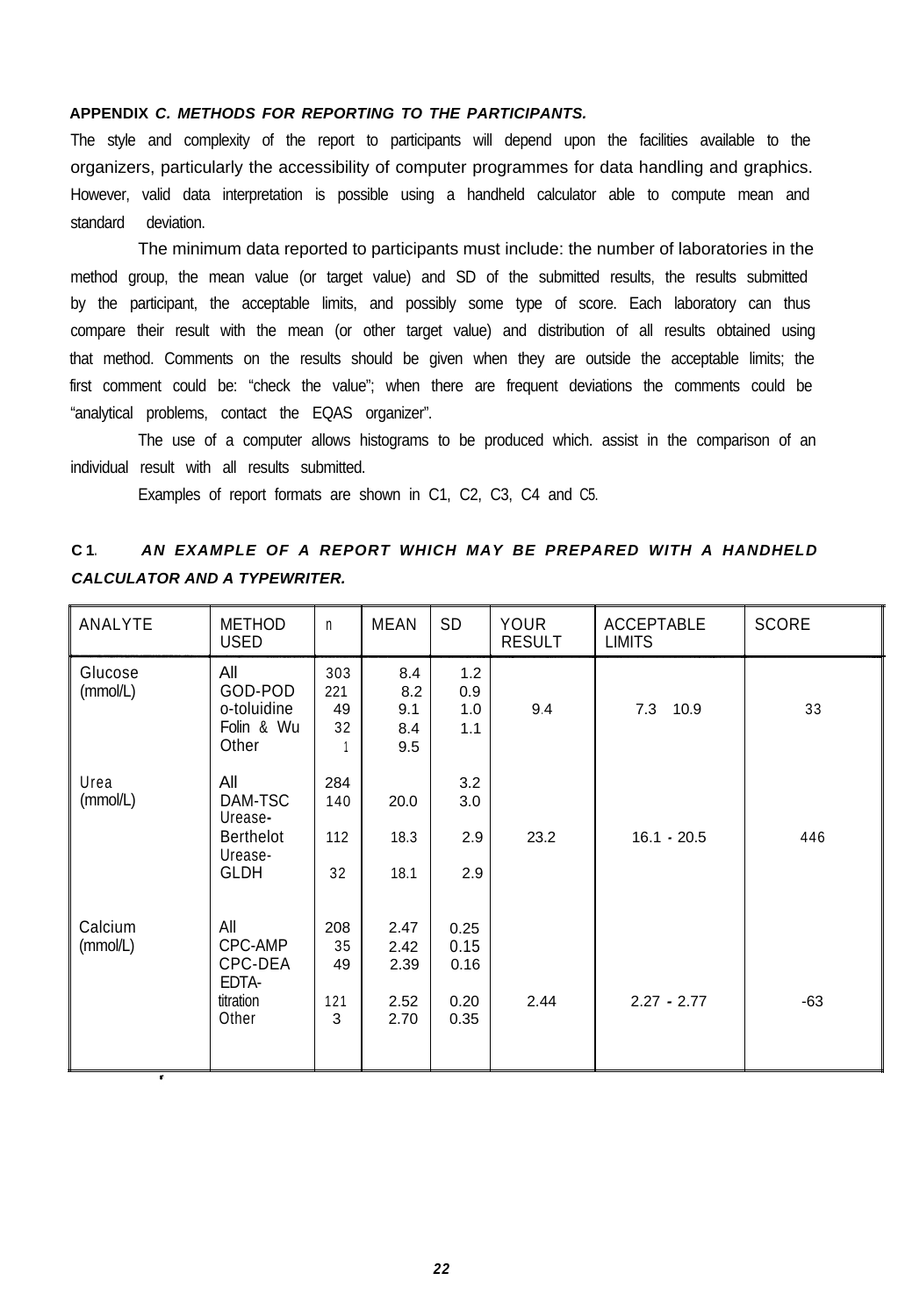# **APPENDIX** *C. METHODS FOR REPORTING TO THE PARTICIPANTS.*

The style and complexity of the report to participants will depend upon the facilities available to the organizers, particularly the accessibility of computer programmes for data handling and graphics. However, valid data interpretation is possible using a handheld calculator able to compute mean and standard deviation.

The minimum data reported to participants must include: the number of laboratories in the method group, the mean value (or target value) and SD of the submitted results, the results submitted by the participant, the acceptable limits, and possibly some type of score. Each laboratory can thus compare their result with the mean (or other target value) and distribution of all results obtained using that method. Comments on the results should be given when they are outside the acceptable limits; the first comment could be: "check the value"; when there are frequent deviations the comments could be "analytical problems, contact the EQAS organizer".

The use of a computer allows histograms to be produced which. assist in the comparison of an individual result with all results submitted.

Examples of report formats are shown in C1, C2, C3, C4 and C5.

# **C 1.** *AN EXAMPLE OF A REPORT WHICH MAY BE PREPARED WITH A HANDHELD CALCULATOR AND A TYPEWRITER.*

| ANALYTE             | <b>METHOD</b><br><b>USED</b>                                            | $\mathsf{n}$                | <b>MEAN</b>                          | SD                                   | <b>YOUR</b><br><b>RESULT</b> | <b>ACCEPTABLE</b><br><b>LIMITS</b> | <b>SCORE</b> |
|---------------------|-------------------------------------------------------------------------|-----------------------------|--------------------------------------|--------------------------------------|------------------------------|------------------------------------|--------------|
| Glucose<br>(mmol/L) | All<br>GOD-POD<br>o-toluidine<br>Folin & Wu<br>Other                    | 303<br>221<br>49<br>32      | 8.4<br>8.2<br>9.1<br>8.4<br>9.5      | 1.2<br>0.9<br>1.0<br>1.1             | 9.4                          | 10.9<br>7.3                        | 33           |
| Urea<br>(mmol/L)    | All<br>DAM-TSC<br>Urease-<br><b>Berthelot</b><br>Urease-<br><b>GLDH</b> | 284<br>140<br>112<br>32     | 20.0<br>18.3<br>18.1                 | 3.2<br>3.0<br>2.9<br>2.9             | 23.2                         | $16.1 - 20.5$                      | 446          |
| Calcium<br>(mmol/L) | All<br>CPC-AMP<br>CPC-DEA<br>EDTA-<br>titration<br>Other                | 208<br>35<br>49<br>121<br>3 | 2.47<br>2.42<br>2.39<br>2.52<br>2.70 | 0.25<br>0.15<br>0.16<br>0.20<br>0.35 | 2.44                         | $2.27 - 2.77$                      | $-63$        |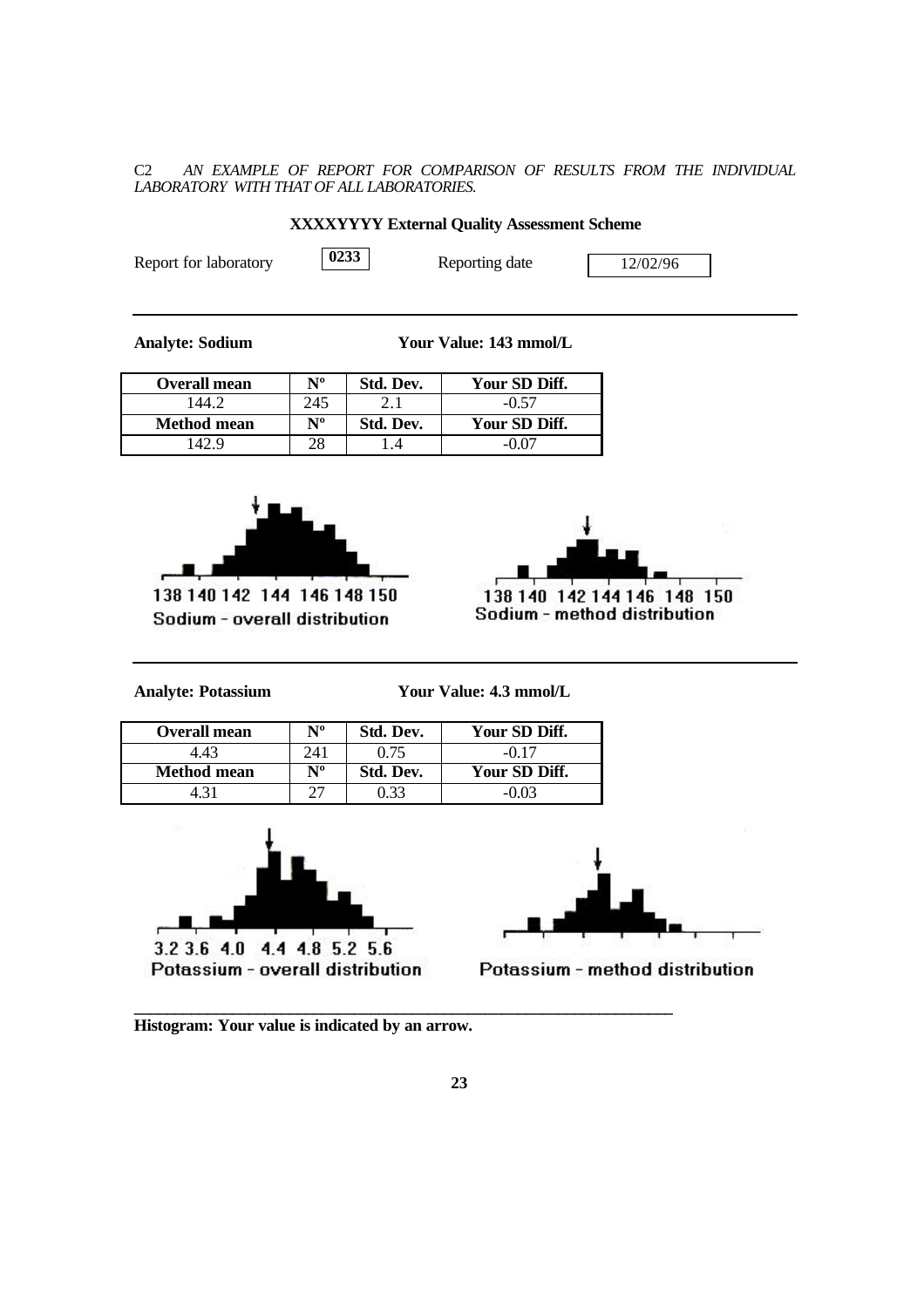C2 *AN EXAMPLE OF REPORT FOR COMPARISON OF RESULTS FROM THE INDIVIDUAL LABORATORY WITH THAT OF ALL LABORATORIES.*

| THERE'S I I LINGTHAN QUALITY TRODUCTION DURING |      |                |          |  |  |
|------------------------------------------------|------|----------------|----------|--|--|
| Report for laboratory                          | 0233 | Reporting date | 12/02/96 |  |  |
|                                                |      |                |          |  |  |

**XXXXYYYY External Quality Assessment Scheme**

**Analyte: Sodium Your Value: 143 mmol/L**

| <b>Overall mean</b> | $N^{\rm o}$ | Std. Dev. | Your SD Diff. |
|---------------------|-------------|-----------|---------------|
| 44.7                | 245         |           | $-0.57$       |
| <b>Method mean</b>  | $N^{\rm o}$ | Std. Dev. | Your SD Diff. |
|                     |             |           |               |



138 140 142 144 146 148 150 Sodium - overall distribution



Sodium - method distribution

**Analyte: Potassium Your Value: 4.3 mmol/L**

| <b>Overall mean</b> | $N^{\rm o}$ | Std. Dev. | Your SD Diff. |
|---------------------|-------------|-----------|---------------|
| 4.43                | 241         | 0.75      | $-0.17$       |
| <b>Method mean</b>  | $N^{\rm o}$ | Std. Dev. | Your SD Diff. |
|                     |             |           | -0.03         |





Potassium - method distribution

**\_\_\_\_\_\_\_\_\_\_\_\_\_\_\_\_\_\_\_\_\_\_\_\_\_\_\_\_\_\_\_\_\_\_\_\_\_\_\_\_\_\_\_\_\_\_\_\_\_\_\_\_\_\_\_\_\_\_\_\_\_\_\_\_\_\_ Histogram: Your value is indicated by an arrow.**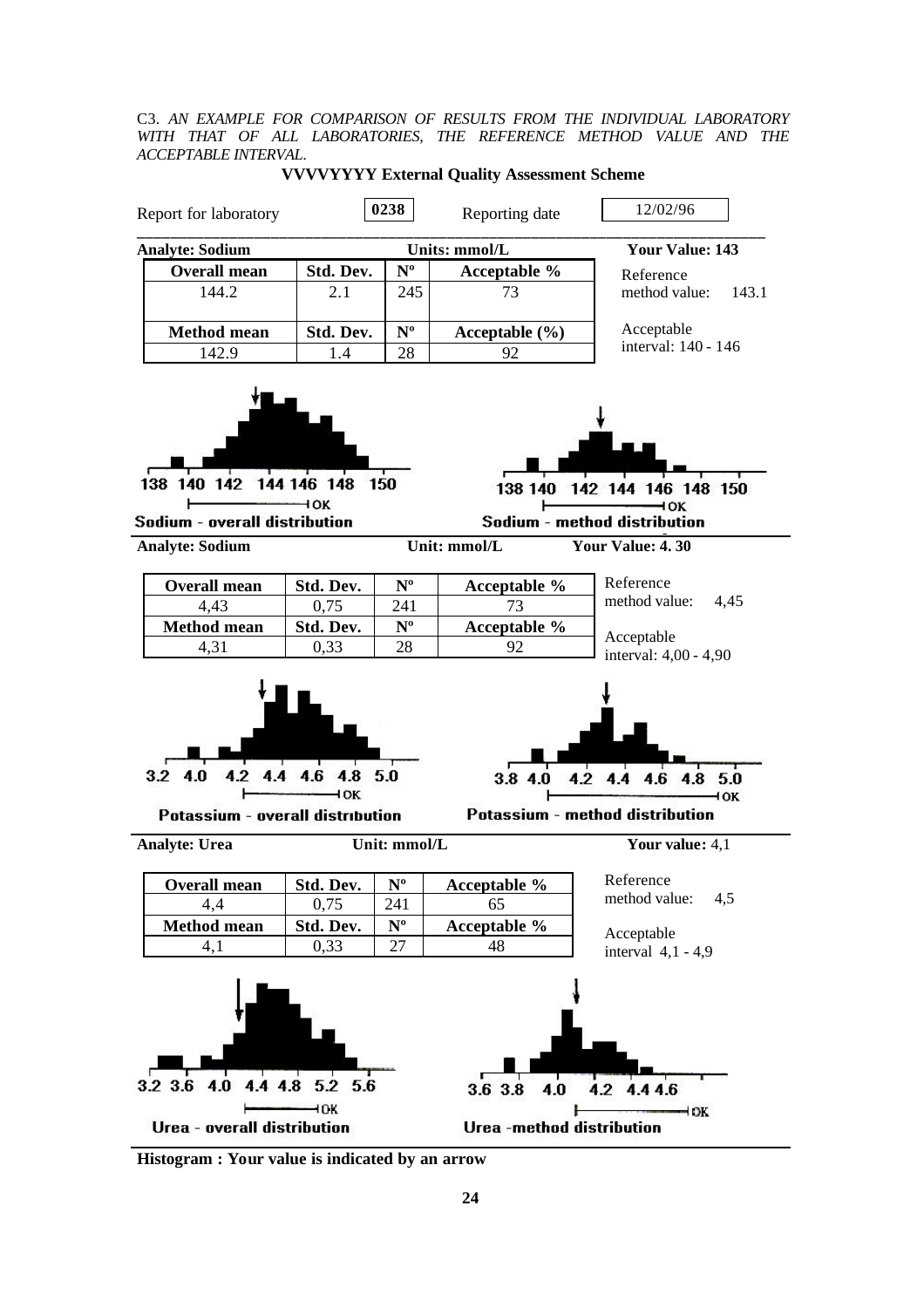C3. *AN EXAMPLE FOR COMPARISON OF RESULTS FROM THE INDIVIDUAL LABORATORY WITH THAT OF ALL LABORATORIES, THE REFERENCE METHOD VALUE AND THE ACCEPTABLE INTERVAL*.



**VVVVYYYY External Quality Assessment Scheme**

**Histogram : Your value is indicated by an arrow**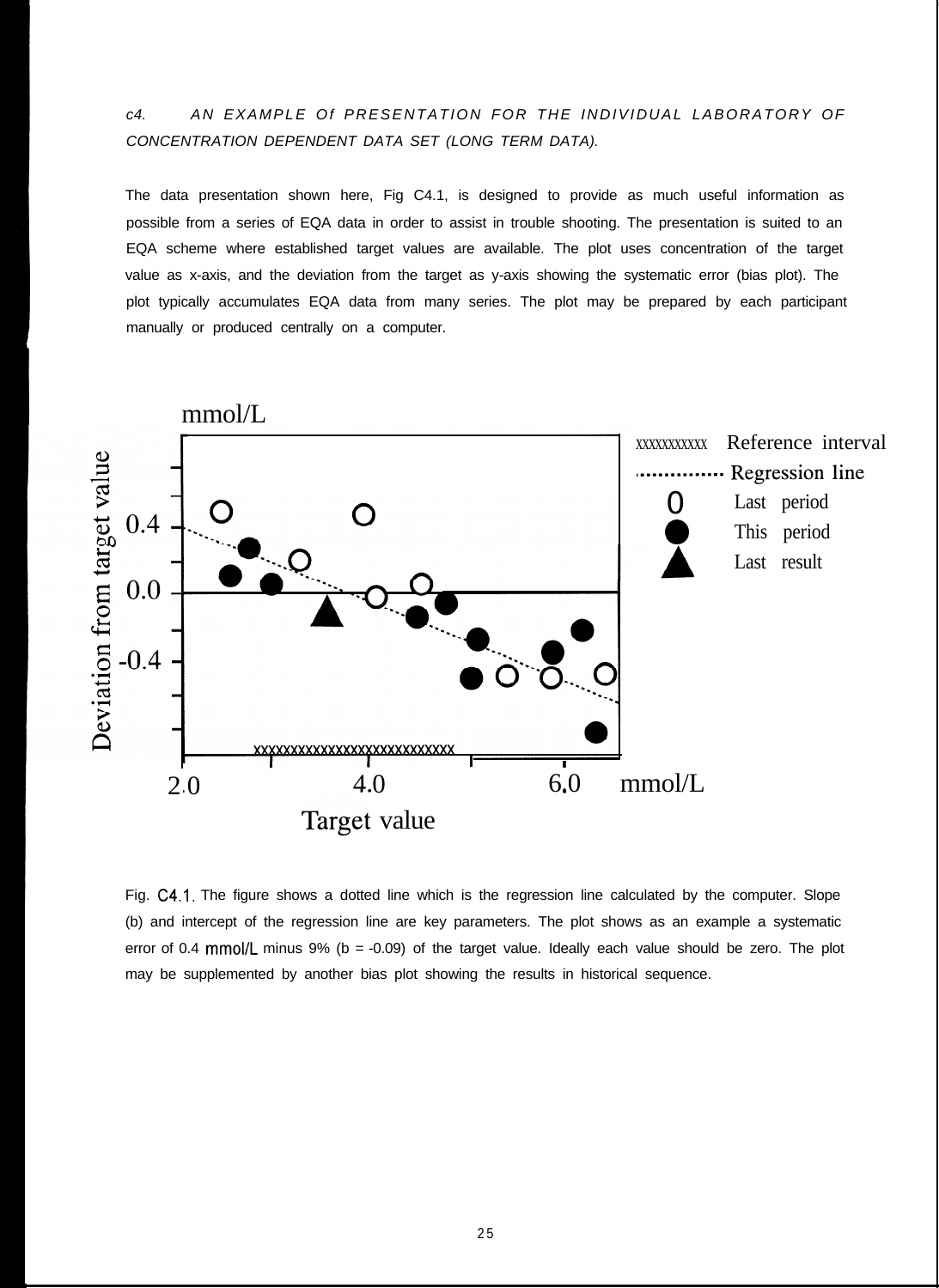# *c4. AN EXAMPLE Of PRESENTATION FOR THE INDIVIDUAL LABORATORY OF CONCENTRATION DEPENDENT DATA SET (LONG TERM DATA).*

The data presentation shown here, Fig C4.1, is designed to provide as much useful information as possible from a series of EQA data in order to assist in trouble shooting. The presentation is suited to an EQA scheme where established target values are available. The plot uses concentration of the target value as x-axis, and the deviation from the target as y-axis showing the systematic error (bias plot). The plot typically accumulates EQA data from many series. The plot may be prepared by each participant manually or produced centrally on a computer.



Fig. C4.1. The figure shows a dotted line which is the regression line calculated by the computer. Slope (b) and intercept of the regression line are key parameters. The plot shows as an example a systematic error of 0.4 mmol/L minus 9% (b = -0.09) of the target value. Ideally each value should be zero. The plot may be supplemented by another bias plot showing the results in historical sequence.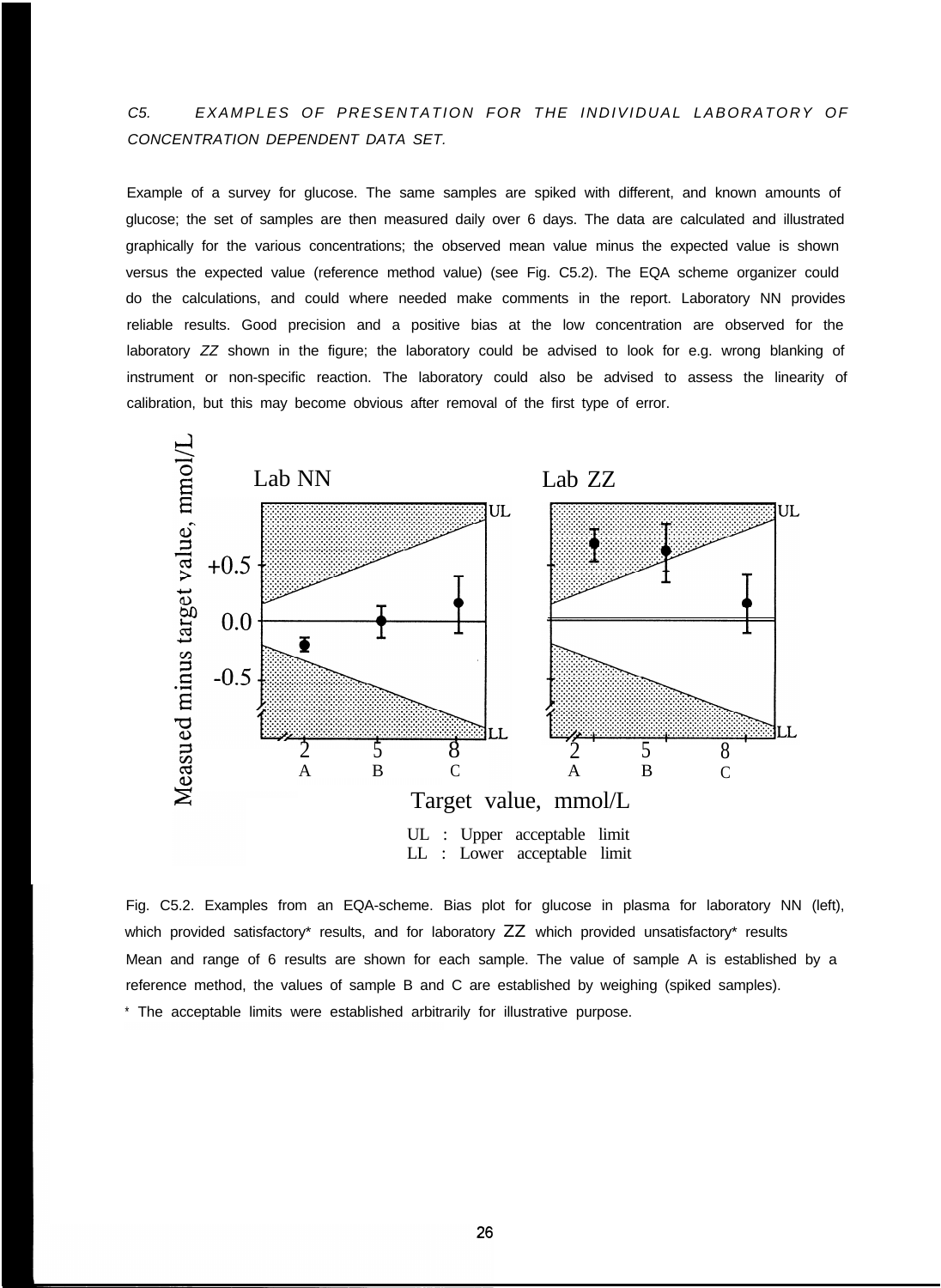*C5. EXAMPLES OF PRESENTATION FOR THE INDIVIDUAL LABORATORY OF CONCENTRATION DEPENDENT DATA SET.*

Example of a survey for glucose. The same samples are spiked with different, and known amounts of glucose; the set of samples are then measured daily over 6 days. The data are calculated and illustrated graphically for the various concentrations; the observed mean value minus the expected value is shown versus the expected value (reference method value) (see Fig. C5.2). The EQA scheme organizer could do the calculations, and could where needed make comments in the report. Laboratory NN provides reliable results. Good precision and a positive bias at the low concentration are observed for the laboratory *ZZ* shown in the figure; the laboratory could be advised to look for e.g. wrong blanking of instrument or non-specific reaction. The laboratory could also be advised to assess the linearity of calibration, but this may become obvious after removal of the first type of error.



Fig. C5.2. Examples from an EQA-scheme. Bias plot for glucose in plasma for laboratory NN (left), which provided satisfactory\* results, and for laboratory ZZ which provided unsatisfactory\* results Mean and range of 6 results are shown for each sample. The value of sample A is established by a reference method, the values of sample B and C are established by weighing (spiked samples). \* The acceptable limits were established arbitrarily for illustrative purpose.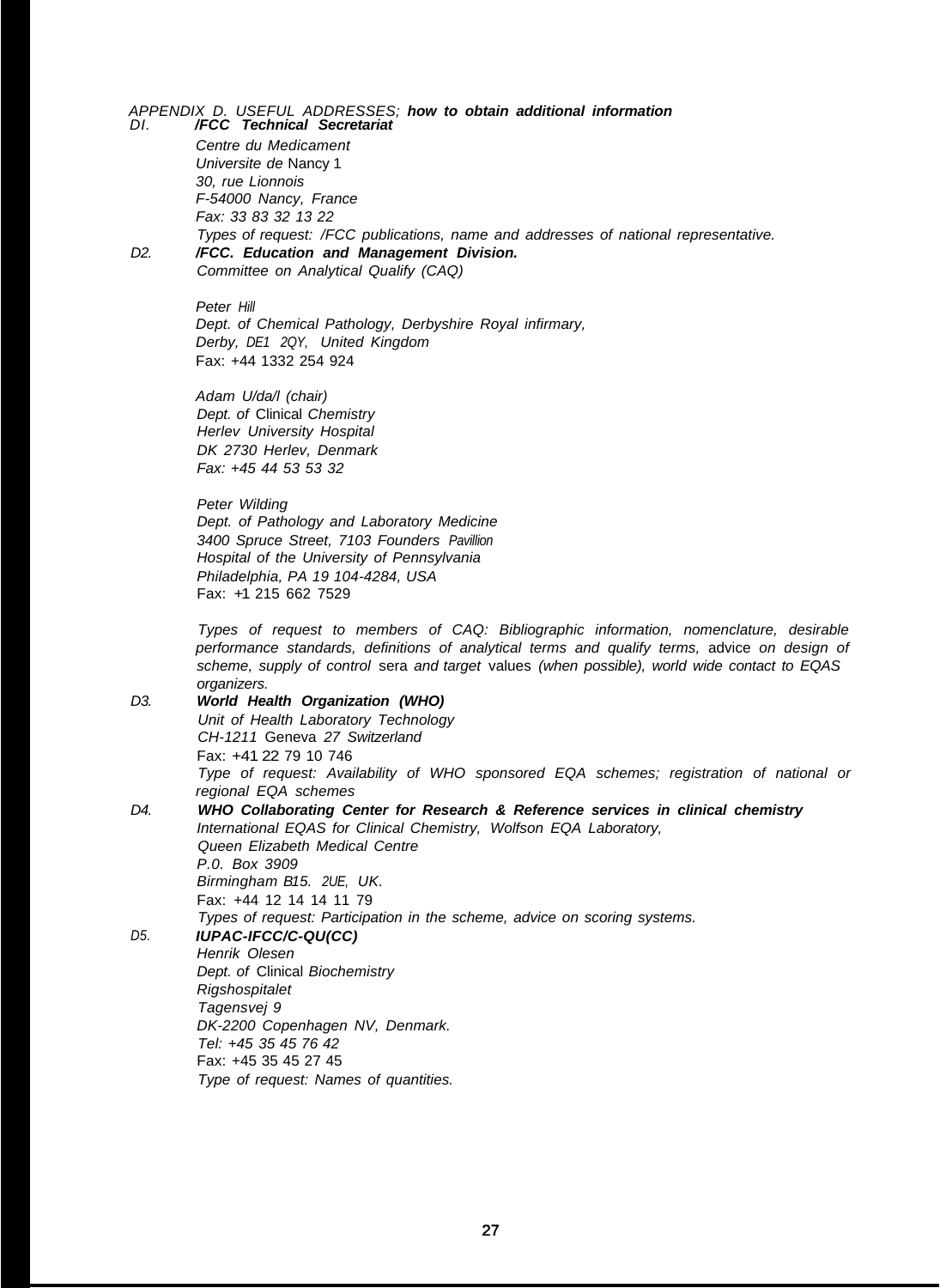#### *APPENDIX D. USEFUL ADDRESSES; how to obtain additional information DI. /FCC Technical Secretariat*

*Centre du Medicament Universite de* Nancy 1 *30, rue Lionnois F-54000 Nancy, France Fax: 33 83 32 13 22 Types of request: /FCC publications, name and addresses of national representative.*

*D2.*

*/FCC. Education and Management Division. Committee on Analytical Qualify (CAQ)*

*Peter Hill Dept. of Chemical Pathology, Derbyshire Royal infirmary, Derby, DE1 2QY, United Kingdom* Fax: +44 1332 254 924

*Adam U/da/l (chair) Dept. of* Clinical *Chemistry Herlev University Hospital DK 2730 Herlev, Denmark Fax: +45 44 53 53 32*

*Peter Wilding Dept. of Pathology and Laboratory Medicine 3400 Spruce Street, 7103 Founders Pavillion Hospital of the University of Pennsylvania Philadelphia, PA 19 104-4284, USA* Fax: +1 215 662 7529

*Types of request to members of CAQ: Bibliographic information, nomenclature, desirable performance standards, definitions of analytical terms and qualify terms,* advice *on design of scheme, supply of control* sera *and target* values *(when possible), world wide contact to EQAS organizers.*

*D3. World Health Organization (WHO) Unit of Health Laboratory Technology CH-1211* Geneva *27 Switzerland* Fax: +41 22 79 10 746 *D4. Type of request: Availability of WHO sponsored EQA schemes; registration of national or regional EQA schemes WHO Collaborating Center for Research & Reference services in clinical chemistry International EQAS for Clinical Chemistry, Wolfson EQA Laboratory, Queen Elizabeth Medical Centre*

*D5. P.0. Box 3909 Birmingham B15. 2UE, UK.* Fax: +44 12 14 14 11 79 *Types of request: Participation in the scheme, advice on scoring systems. IUPAC-IFCC/C-QU(CC) Henrik Olesen Dept. of* Clinical *Biochemistry Rigshospitalet Tagensvej 9 DK-2200 Copenhagen NV, Denmark. Tel: +45 35 45 76 42* Fax: +45 35 45 27 45 *Type of request: Names of quantities.*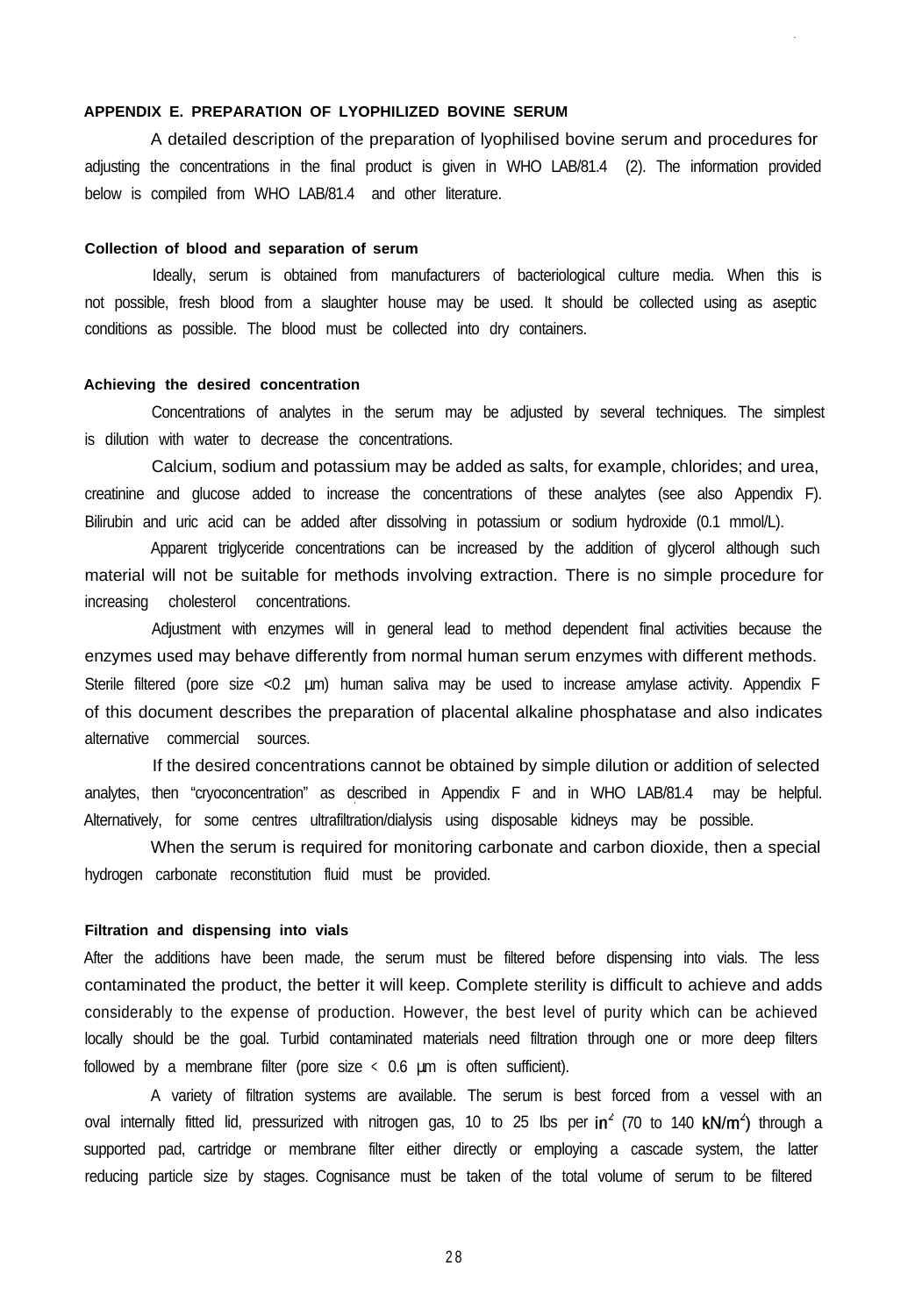# **APPENDIX E. PREPARATION OF LYOPHILIZED BOVINE SERUM**

A detailed description of the preparation of lyophilised bovine serum and procedures for adjusting the concentrations in the final product is given in WHO LAB/81.4 (2). The information provided below is compiled from WHO LAB/81.4 and other literature.

#### **Collection of blood and separation of serum**

Ideally, serum is obtained from manufacturers of bacteriological culture media. When this is not possible, fresh blood from a slaughter house may be used. It should be collected using as aseptic conditions as possible. The blood must be collected into dry containers.

# **Achieving the desired concentration**

Concentrations of analytes in the serum may be adjusted by several techniques. The simplest is dilution with water to decrease the concentrations.

Calcium, sodium and potassium may be added as salts, for example, chlorides; and urea, creatinine and glucose added to increase the concentrations of these analytes (see also Appendix F). Bilirubin and uric acid can be added after dissolving in potassium or sodium hydroxide (0.1 mmol/L).

Apparent triglyceride concentrations can be increased by the addition of glycerol although such material will not be suitable for methods involving extraction. There is no simple procedure for increasing cholesterol concentrations.

Adjustment with enzymes will in general lead to method dependent final activities because the enzymes used may behave differently from normal human serum enzymes with different methods. Sterile filtered (pore size <0.2 µm) human saliva may be used to increase amylase activity. Appendix F of this document describes the preparation of placental alkaline phosphatase and also indicates alternative commercial sources.

If the desired concentrations cannot be obtained by simple dilution or addition of selected analytes, then "cryoconcentration" as described in Appendix F and in WHO LAB/81.4 may be helpful. . Alternatively, for some centres ultrafiltration/dialysis using disposable kidneys may be possible.

When the serum is required for monitoring carbonate and carbon dioxide, then a special hydrogen carbonate reconstitution fluid must be provided.

#### **Filtration and dispensing into vials**

After the additions have been made, the serum must be filtered before dispensing into vials. The less contaminated the product, the better it will keep. Complete sterility is difficult to achieve and adds considerably to the expense of production. However, the best level of purity which can be achieved locally should be the goal. Turbid contaminated materials need filtration through one or more deep filters followed by a membrane filter (pore size < 0.6 µm is often sufficient).

A variety of filtration systems are available. The serum is best forced from a vessel with an oval internally fitted lid, pressurized with nitrogen gas, 10 to 25 lbs per in<sup>2</sup> (70 to 140 kN/m<sup>2</sup>) through a supported pad, cartridge or membrane filter either directly or employing a cascade system, the latter reducing particle size by stages. Cognisance must be taken of the total volume of serum to be filtered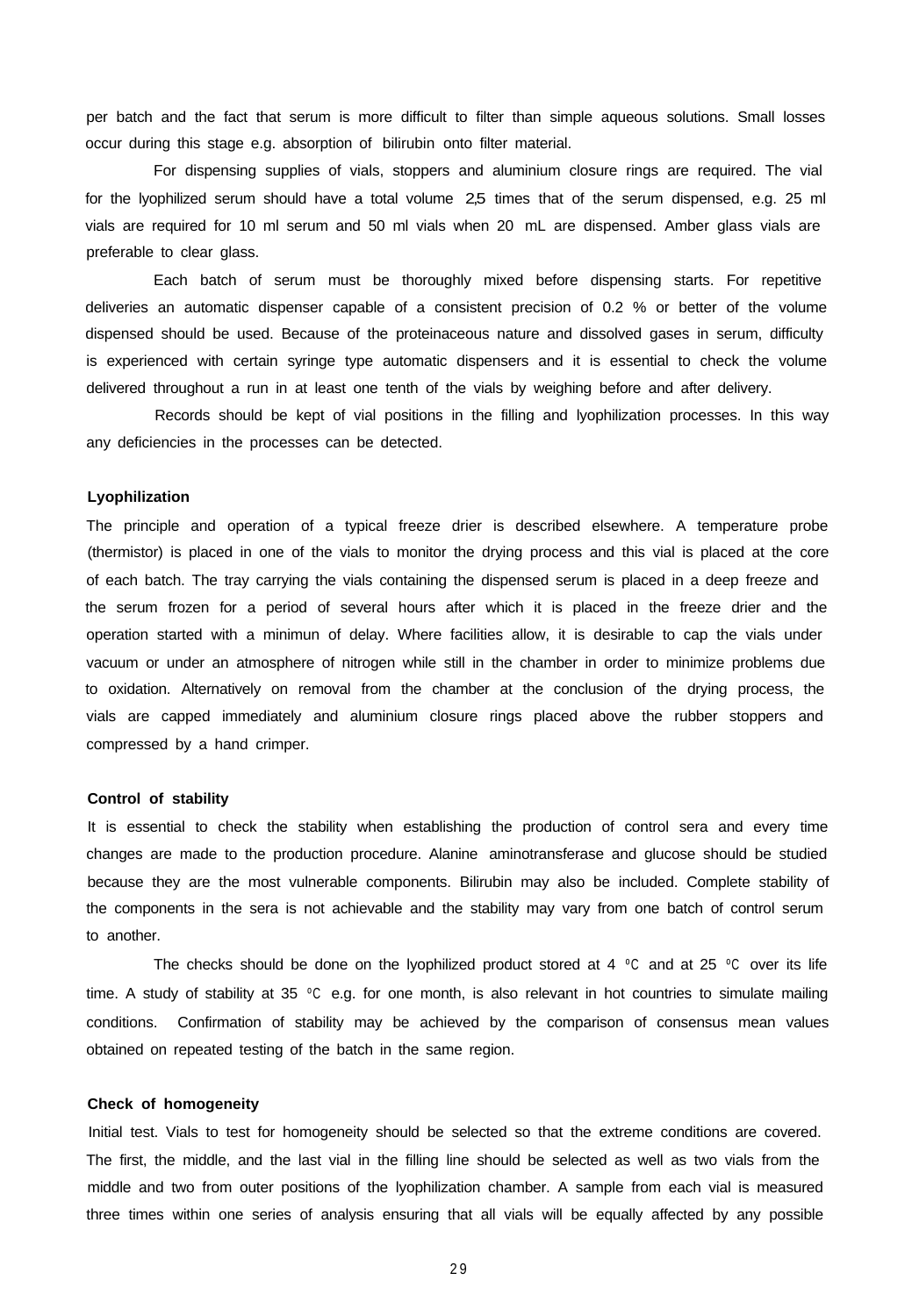per batch and the fact that serum is more difficult to filter than simple aqueous solutions. Small losses occur during this stage e.g. absorption of bilirubin onto filter material.

For dispensing supplies of vials, stoppers and aluminium closure rings are required. The vial for the Ivophilized serum should have a total volume 2,5 times that of the serum dispensed, e.g. 25 ml vials are required for 10 ml serum and 50 ml vials when 20 mL are dispensed. Amber glass vials are preferable to clear glass.

Each batch of serum must be thoroughly mixed before dispensing starts. For repetitive deliveries an automatic dispenser capable of a consistent precision of 0.2 % or better of the volume dispensed should be used. Because of the proteinaceous nature and dissolved gases in serum, difficulty is experienced with certain syringe type automatic dispensers and it is essential to check the volume delivered throughout a run in at least one tenth of the vials by weighing before and after delivery.

Records should be kept of vial positions in the filling and lyophilization processes. In this way any deficiencies in the processes can be detected.

#### **Lyophilization**

The principle and operation of a typical freeze drier is described elsewhere. A temperature probe (thermistor) is placed in one of the vials to monitor the drying process and this vial is placed at the core of each batch. The tray carrying the vials containing the dispensed serum is placed in a deep freeze and the serum frozen for a period of several hours after which it is placed in the freeze drier and the operation started with a minimun of delay. Where facilities allow, it is desirable to cap the vials under vacuum or under an atmosphere of nitrogen while still in the chamber in order to minimize problems due to oxidation. Alternatively on removal from the chamber at the conclusion of the drying process, the vials are capped immediately and aluminium closure rings placed above the rubber stoppers and compressed by a hand crimper.

#### **Control of stability**

It is essential to check the stability when establishing the production of control sera and every time changes are made to the production procedure. Alanine aminotransferase and glucose should be studied because they are the most vulnerable components. Bilirubin may also be included. Complete stability of the components in the sera is not achievable and the stability may vary from one batch of control serum to another.

The checks should be done on the lyophilized product stored at 4  $°C$  and at 25  $°C$  over its life time. A study of stability at 35 °C e.g. for one month, is also relevant in hot countries to simulate mailing conditions. Confirmation of stability may be achieved by the comparison of consensus mean values obtained on repeated testing of the batch in the same region.

#### **Check of homogeneity**

Initial test. Vials to test for homogeneity should be selected so that the extreme conditions are covered. The first, the middle, and the last vial in the filling line should be selected as well as two vials from the middle and two from outer positions of the lyophilization chamber. A sample from each vial is measured three times within one series of analysis ensuring that all vials will be equally affected by any possible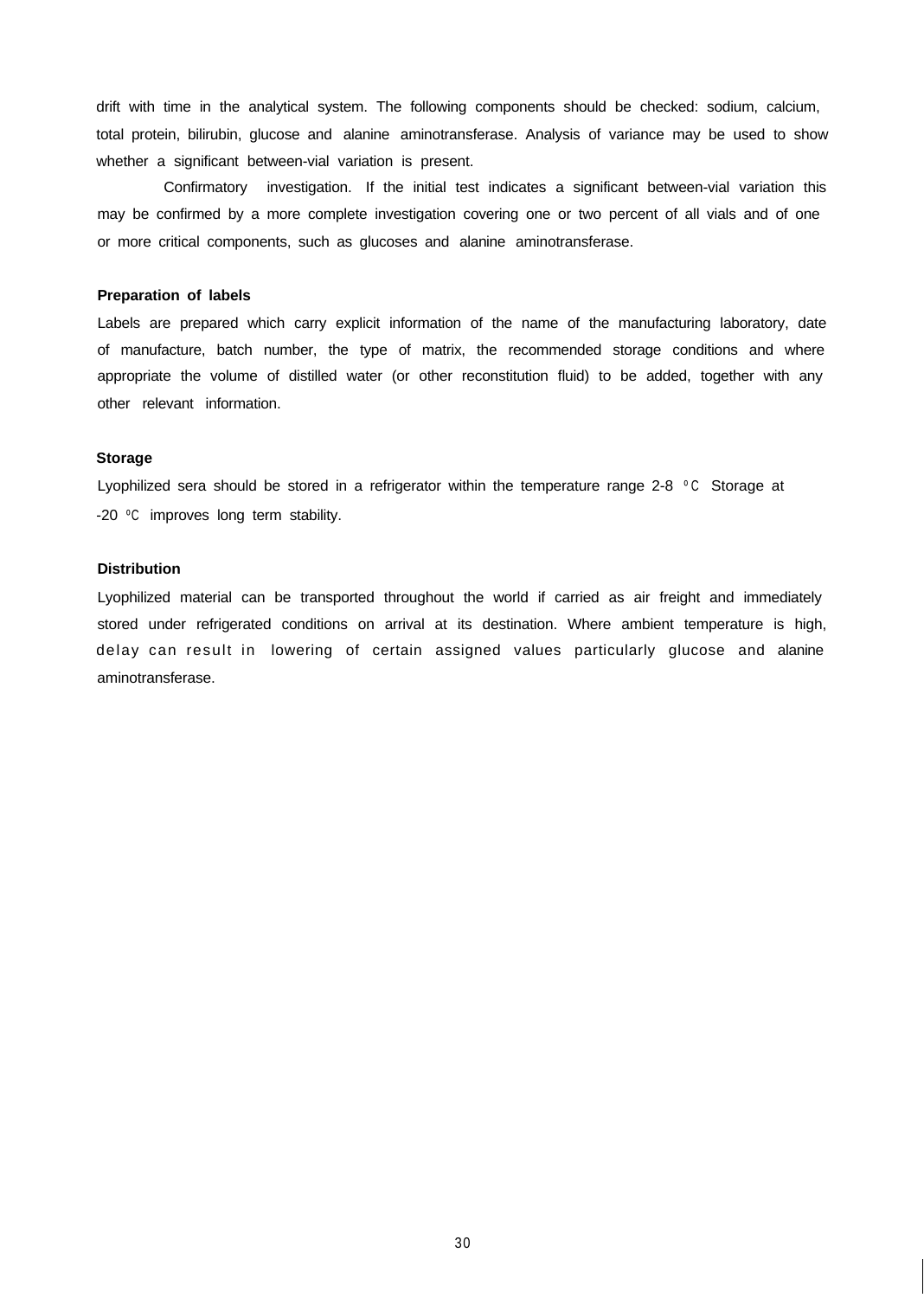drift with time in the analytical system. The following components should be checked: sodium, calcium, total protein, bilirubin, glucose and alanine aminotransferase. Analysis of variance may be used to show whether a significant between-vial variation is present.

Confirmatory investigation. If the initial test indicates a significant between-vial variation this may be confirmed by a more complete investigation covering one or two percent of all vials and of one or more critical components, such as glucoses and alanine aminotransferase.

#### **Preparation of labels**

Labels are prepared which carry explicit information of the name of the manufacturing laboratory, date of manufacture, batch number, the type of matrix, the recommended storage conditions and where appropriate the volume of distilled water (or other reconstitution fluid) to be added, together with any other relevant information.

#### **Storage**

Lyophilized sera should be stored in a refrigerator within the temperature range 2-8 °C Storage at -20 ºC improves long term stability.

#### **Distribution**

Lyophilized material can be transported throughout the world if carried as air freight and immediately stored under refrigerated conditions on arrival at its destination. Where ambient temperature is high, delay can result in lowering of certain assigned values particularly glucose and alanine aminotransferase.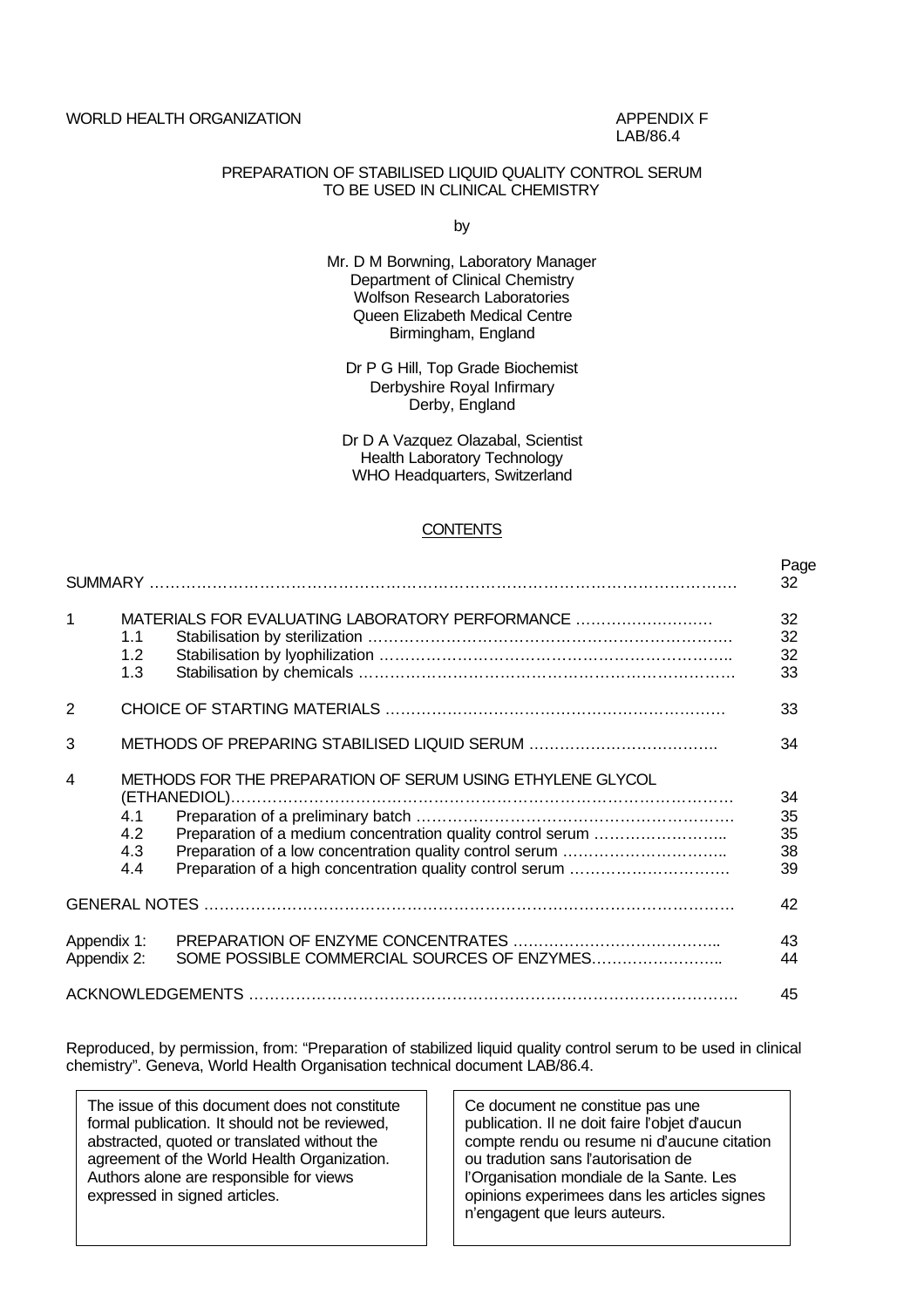WORLD HEALTH ORGANIZATION APPENDIX F

LAB/86.4

# PREPARATION OF STABILISED LIQUID QUALITY CONTROL SERUM TO BE USED IN CLINICAL CHEMISTRY

by

- Mr. D M Borwning, Laboratory Manager Department of Clinical Chemistry Wolfson Research Laboratories Queen Elizabeth Medical Centre Birmingham, England
	- Dr P G Hill, Top Grade Biochemist Derbyshire Royal Infirmary Derby, England

Dr D A Vazquez Olazabal, Scientist Health Laboratory Technology WHO Headquarters, Switzerland

# **CONTENTS**

|                            |                          |                                                            | Page<br>32                 |
|----------------------------|--------------------------|------------------------------------------------------------|----------------------------|
| 1                          | 1.1<br>1.2<br>1.3        | MATERIALS FOR EVALUATING LABORATORY PERFORMANCE            | 32<br>32<br>32<br>33       |
| $\overline{2}$             |                          |                                                            | 33                         |
| 3                          |                          |                                                            | 34                         |
| 4                          | 4.1<br>4.2<br>4.3<br>4.4 | METHODS FOR THE PREPARATION OF SERUM USING ETHYLENE GLYCOL | 34<br>35<br>35<br>38<br>39 |
|                            |                          |                                                            | 42                         |
| Appendix 1:<br>Appendix 2: |                          |                                                            | 43<br>44                   |
|                            |                          |                                                            | 45                         |

Reproduced, by permission, from: "Preparation of stabilized liquid quality control serum to be used in clinical chemistry". Geneva, World Health Organisation technical document LAB/86.4.

The issue of this document does not constitute formal publication. It should not be reviewed, abstracted, quoted or translated without the agreement of the World Health Organization. Authors alone are responsible for views expressed in signed articles.

Ce document ne constitue pas une publication. Il ne doit faire l'objet d'aucun compte rendu ou resume ni d'aucune citation ou tradution sans l'autorisation de l'Organisation mondiale de la Sante. Les opinions experimees dans les articles signes n'engagent que leurs auteurs.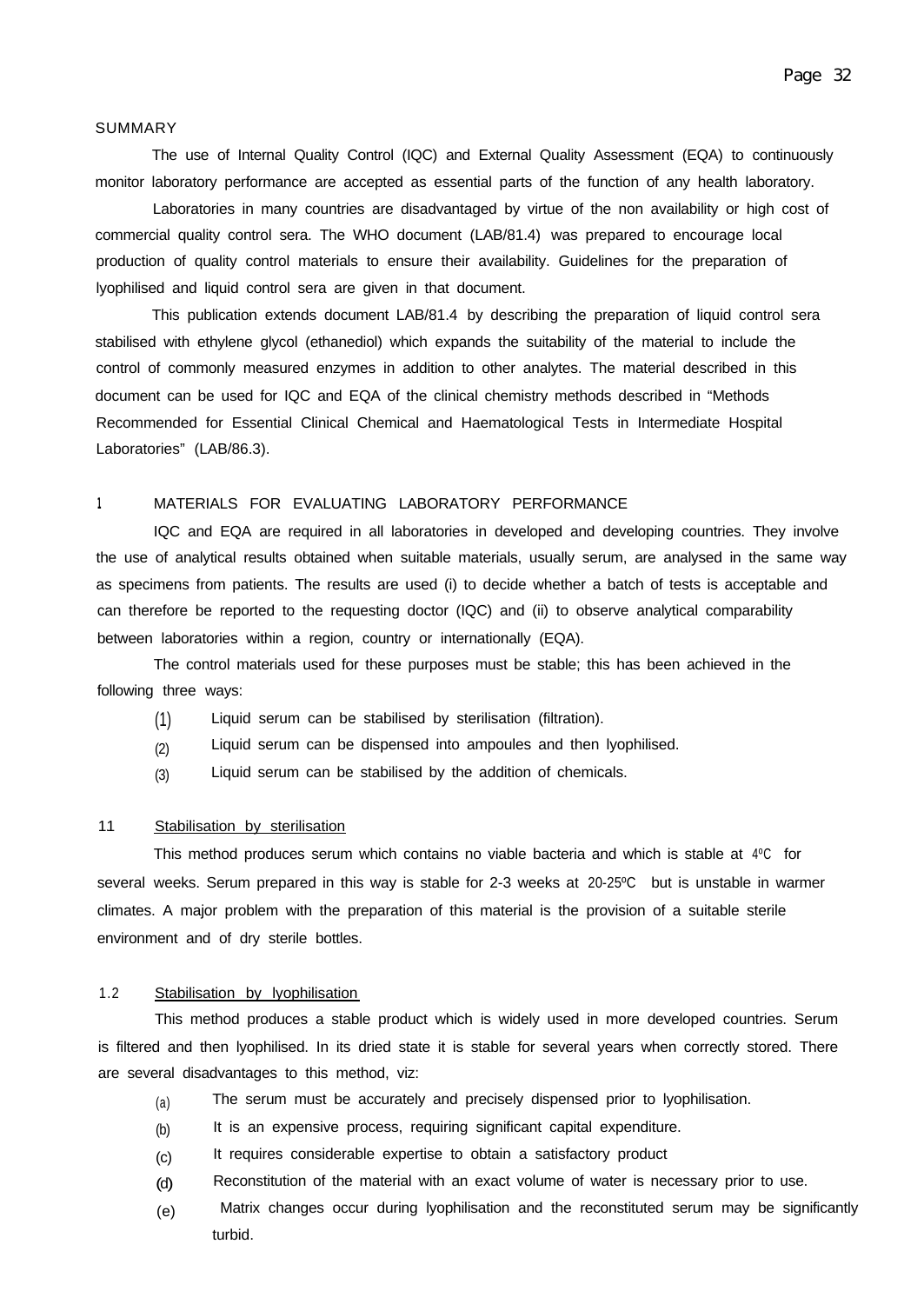#### SUMMARY

The use of Internal Quality Control (IQC) and External Quality Assessment (EQA) to continuously monitor laboratory performance are accepted as essential parts of the function of any health laboratory.

Laboratories in many countries are disadvantaged by virtue of the non availability or high cost of commercial quality control sera. The WHO document (LAB/81.4) was prepared to encourage local production of quality control materials to ensure their availability. Guidelines for the preparation of lyophilised and liquid control sera are given in that document.

This publication extends document LAB/81.4 by describing the preparation of liquid control sera stabilised with ethylene glycol (ethanediol) which expands the suitability of the material to include the control of commonly measured enzymes in addition to other analytes. The material described in this document can be used for IQC and EQA of the clinical chemistry methods described in "Methods Recommended for Essential Clinical Chemical and Haematological Tests in Intermediate Hospital Laboratories" (LAB/86.3).

#### **<sup>1</sup>** MATERIALS FOR EVALUATING LABORATORY PERFORMANCE

IQC and EQA are required in all laboratories in developed and developing countries. They involve the use of analytical results obtained when suitable materials, usually serum, are analysed in the same way as specimens from patients. The results are used (i) to decide whether a batch of tests is acceptable and can therefore be reported to the requesting doctor (IQC) and (ii) to observe analytical comparability between laboratories within a region, country or internationally (EQA).

The control materials used for these purposes must be stable; this has been achieved in the following three ways:

- (1) Liquid serum can be stabilised by sterilisation (filtration).
- (2) Liquid serum can be dispensed into ampoules and then lyophilised.
- (3) Liquid serum can be stabilised by the addition of chemicals.

#### 11. Stabilisation by sterilisation

several weeks. Serum prepared in this way is stable for 2-3 weeks at 20-25ºC but is unstable in warmer This method produces serum which contains no viable bacteria and which is stable at 4ºC for climates. A major problem with the preparation of this material is the provision of a suitable sterile environment and of dry sterile bottles.

# 1.2 Stabilisation by lyophilisation

This method produces a stable product which is widely used in more developed countries. Serum is filtered and then lyophilised. In its dried state it is stable for several years when correctly stored. There are several disadvantages to this method, viz:

- (a) The serum must be accurately and precisely dispensed prior to lyophilisation.
- (b) It is an expensive process, requiring significant capital expenditure.
- (c) It requires considerable expertise to obtain a satisfactory product
- (d) Reconstitution of the material with an exact volume of water is necessary prior to use.
- (e) Matrix changes occur during lyophilisation and the reconstituted serum may be significantly turbid.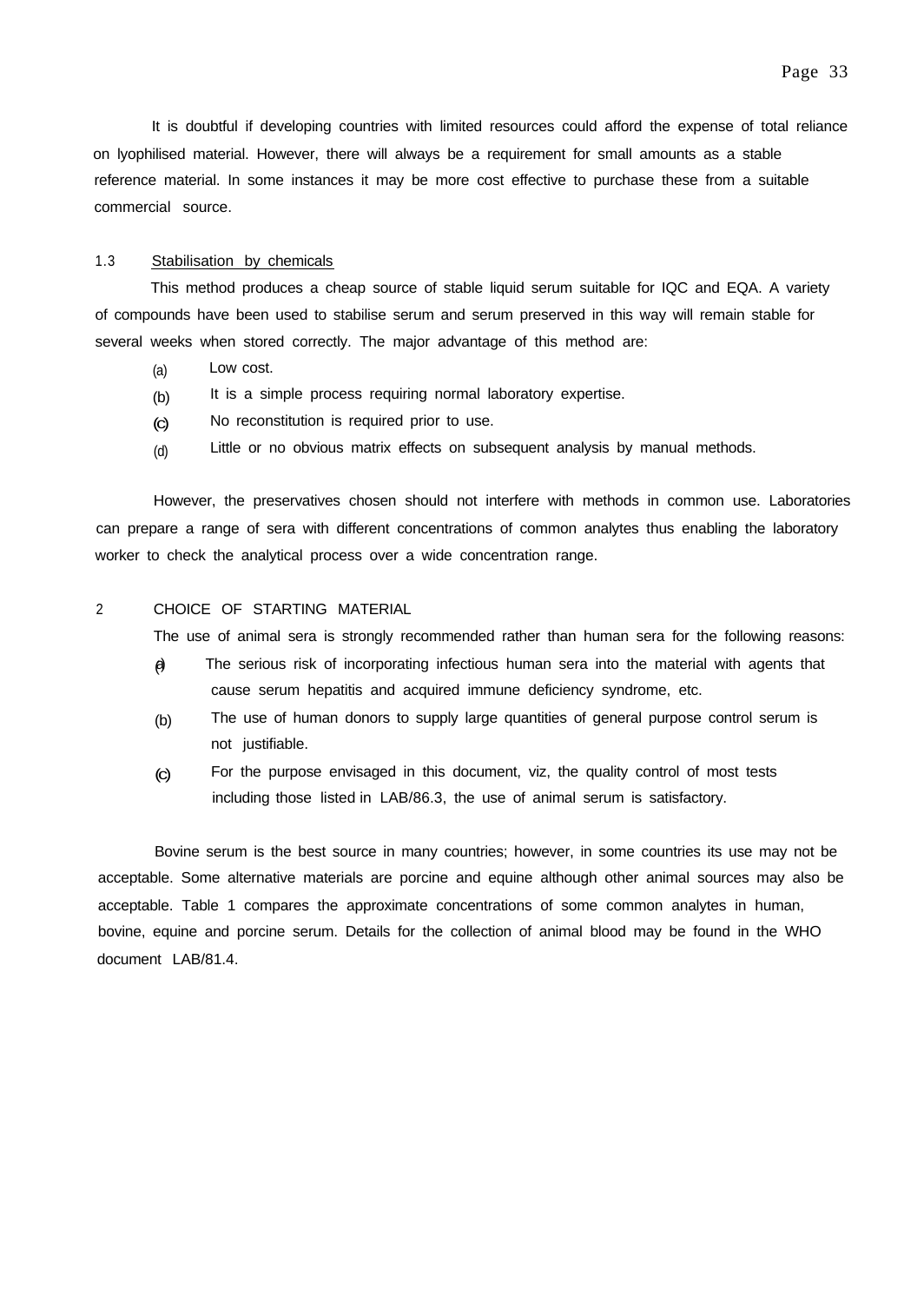It is doubtful if developing countries with limited resources could afford the expense of total reliance on lyophilised material. However, there will always be a requirement for small amounts as a stable reference material. In some instances it may be more cost effective to purchase these from a suitable commercial source.

#### 1.3 Stabilisation by chemicals

This method produces a cheap source of stable liquid serum suitable for IQC and EQA. A variety of compounds have been used to stabilise serum and serum preserved in this way will remain stable for several weeks when stored correctly. The major advantage of this method are:

- (a) Low cost.
- (b) It is a simple process requiring normal laboratory expertise.
- (c) No reconstitution is required prior to use.
- (d) Little or no obvious matrix effects on subsequent analysis by manual methods.

However, the preservatives chosen should not interfere with methods in common use. Laboratories can prepare a range of sera with different concentrations of common analytes thus enabling the laboratory worker to check the analytical process over a wide concentration range.

#### 2 CHOICE OF STARTING MATERIAL

The use of animal sera is strongly recommended rather than human sera for the following reasons:

- $\theta$ The serious risk of incorporating infectious human sera into the material with agents that cause serum hepatitis and acquired immune deficiency syndrome, etc.
- (b) The use of human donors to supply large quantities of general purpose control serum is not justifiable.
- (c) For the purpose envisaged in this document, viz, the quality control of most tests including those listed in LAB/86.3, the use of animal serum is satisfactory.

Bovine serum is the best source in many countries; however, in some countries its use may not be acceptable. Some alternative materials are porcine and equine although other animal sources may also be acceptable. Table 1 compares the approximate concentrations of some common analytes in human, bovine, equine and porcine serum. Details for the collection of animal blood may be found in the WHO document LAB/81.4.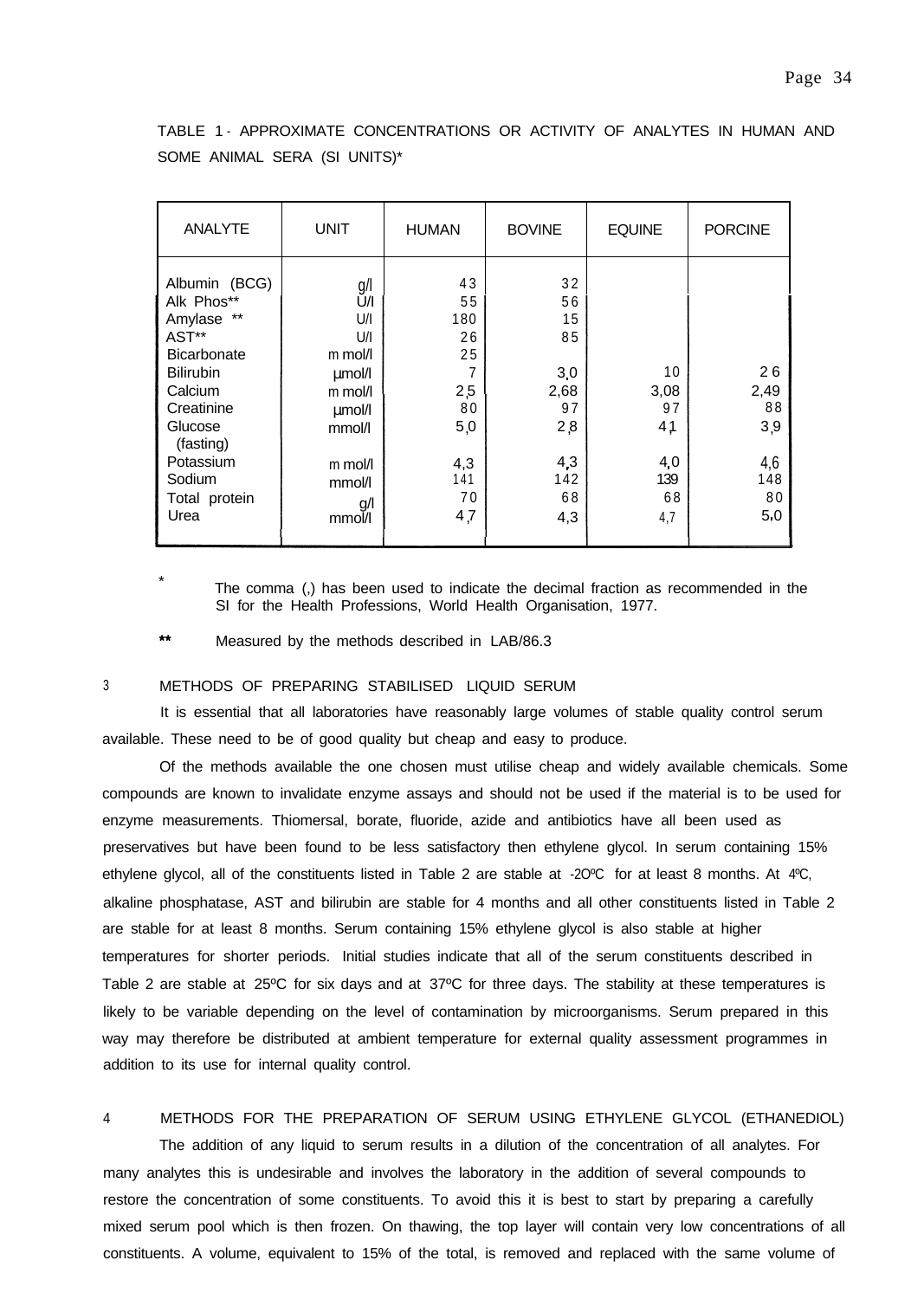TABLE 1 - APPROXIMATE CONCENTRATIONS OR ACTIVITY OF ANALYTES IN HUMAN AND SOME ANIMAL SERA (SI UNITS)\*

| <b>ANALYTE</b>                                                                                                                                                                                | <b>UNIT</b>                                                                                                        | <b>HUMAN</b>                                                                    | <b>BOVINE</b>                                                               | <b>EQUINE</b>                                                 | <b>PORCINE</b>                                     |
|-----------------------------------------------------------------------------------------------------------------------------------------------------------------------------------------------|--------------------------------------------------------------------------------------------------------------------|---------------------------------------------------------------------------------|-----------------------------------------------------------------------------|---------------------------------------------------------------|----------------------------------------------------|
| Albumin (BCG)<br>Alk Phos**<br>Amylase **<br>AST**<br><b>Bicarbonate</b><br><b>Bilirubin</b><br>Calcium<br>Creatinine<br>Glucose<br>(fasting)<br>Potassium<br>Sodium<br>Total protein<br>Urea | g/l<br>U/I<br>U/I<br>U/I<br>m mol/l<br>umol/l<br>m mol/l<br>umol/l<br>mmol/l<br>m mol/l<br>mmol/l<br>g/l<br>mmol/l | 43<br>55<br>180<br>26<br>25<br>7<br>2,5<br>80<br>5,0<br>4,3<br>141<br>70<br>4,7 | 32<br>56<br>15<br>85<br>3,0<br>2,68<br>97<br>2,8<br>4,3<br>142<br>68<br>4,3 | 10<br>3,08<br>97<br>4 <sub>1</sub><br>4,0<br>139<br>68<br>4,7 | 26<br>2,49<br>88<br>3,9<br>4,6<br>148<br>80<br>5,0 |

The comma (.) has been used to indicate the decimal fraction as recommended in the SI for the Health Professions, World Health Organisation, 1977.

 $\star\star$ Measured by the methods described in LAB/86.3

# 3 METHODS OF PREPARING STABILISED LIQUID SERUM

It is essential that all laboratories have reasonably large volumes of stable quality control serum available. These need to be of good quality but cheap and easy to produce.

Of the methods available the one chosen must utilise cheap and widely available chemicals. Some compounds are known to invalidate enzyme assays and should not be used if the material is to be used for enzyme measurements. Thiomersal, borate, fluoride, azide and antibiotics have all been used as preservatives but have been found to be less satisfactory then ethylene glycol. In serum containing 15% ethylene glycol, all of the constituents listed in Table 2 are stable at -2OºC for at least 8 months. At 4ºC, alkaline phosphatase, AST and bilirubin are stable for 4 months and all other constituents listed in Table 2 are stable for at least 8 months. Serum containing 15% ethylene glycol is also stable at higher temperatures for shorter periods. Initial studies indicate that all of the serum constituents described in Table 2 are stable at 25ºC for six days and at 37ºC for three days. The stability at these temperatures is likely to be variable depending on the level of contamination by microorganisms. Serum prepared in this way may therefore be distributed at ambient temperature for external quality assessment programmes in addition to its use for internal quality control.

#### 4 METHODS FOR THE PREPARATION OF SERUM USING ETHYLENE GLYCOL (ETHANEDIOL)

The addition of any liquid to serum results in a dilution of the concentration of all analytes. For many analytes this is undesirable and involves the laboratory in the addition of several compounds to restore the concentration of some constituents. To avoid this it is best to start by preparing a carefully mixed serum pool which is then frozen. On thawing, the top layer will contain very low concentrations of all constituents. A volume, equivalent to 15% of the total, is removed and replaced with the same volume of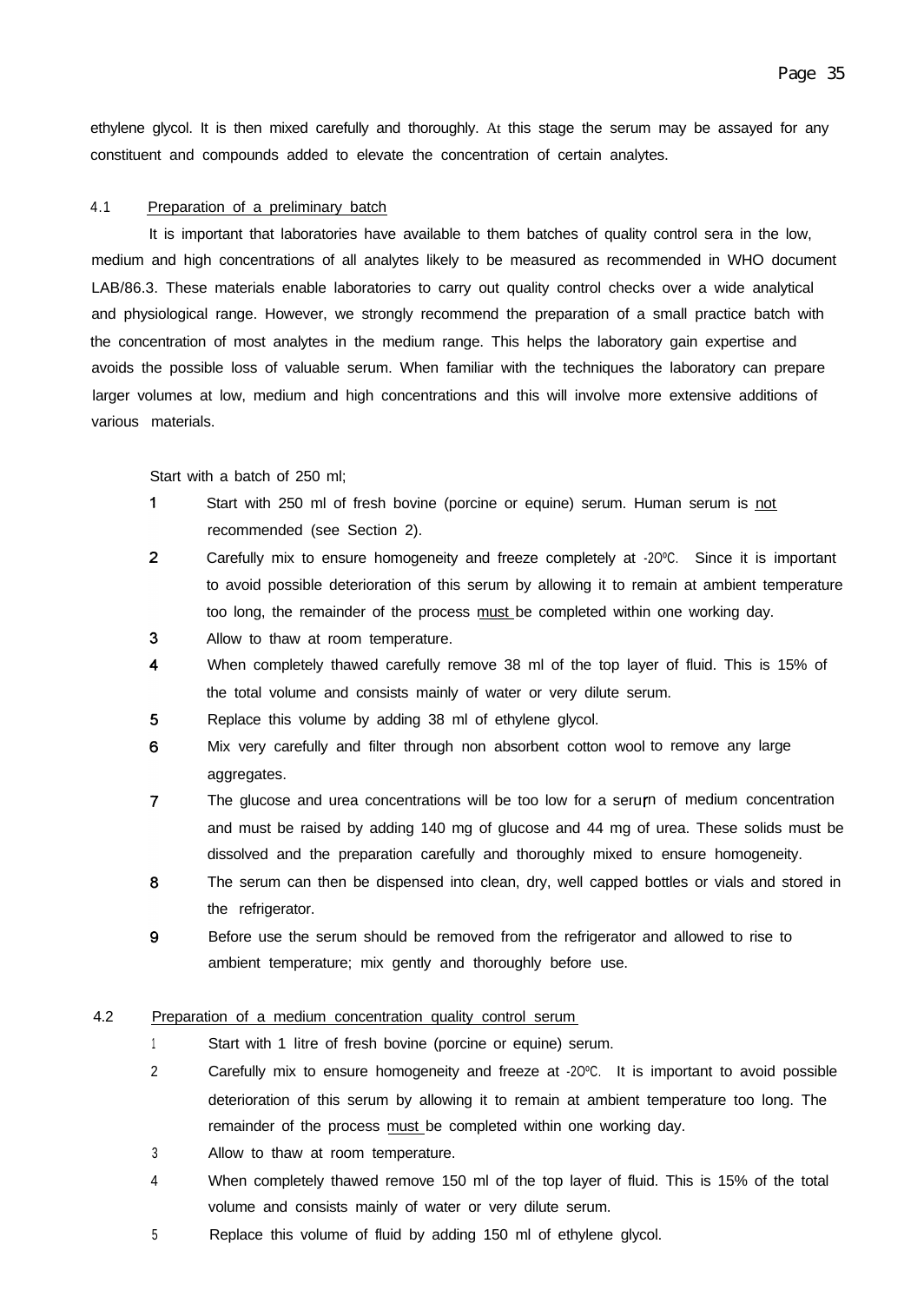ethylene glycol. It is then mixed carefully and thoroughly. At this stage the serum may be assayed for any constituent and compounds added to elevate the concentration of certain analytes.

#### 4.1 Preparation of a preliminary batch

It is important that laboratories have available to them batches of quality control sera in the low, medium and high concentrations of all analytes likely to be measured as recommended in WHO document LAB/86.3. These materials enable laboratories to carry out quality control checks over a wide analytical and physiological range. However, we strongly recommend the preparation of a small practice batch with the concentration of most analytes in the medium range. This helps the laboratory gain expertise and avoids the possible loss of valuable serum. When familiar with the techniques the laboratory can prepare larger volumes at low, medium and high concentrations and this will involve more extensive additions of various materials.

Start with a batch of 250 ml;

- $\mathbf{1}$ Start with 250 ml of fresh bovine (porcine or equine) serum. Human serum is not recommended (see Section 2).
- $\overline{2}$ Carefully mix to ensure homogeneity and freeze completely at -2OºC. Since it is important to avoid possible deterioration of this serum by allowing it to remain at ambient temperature too long, the remainder of the process must be completed within one working day.
- $\overline{3}$ Allow to thaw at room temperature.
- $\overline{4}$ When completely thawed carefully remove 38 ml of the top layer of fluid. This is 15% of the total volume and consists mainly of water or very dilute serum.
- 5 Replace this volume by adding 38 ml of ethylene glycol.
- 6 Mix very carefully and filter through non absorbent cotton wool to remove any large aggregates.
- $\overline{7}$ The glucose and urea concentrations will be too low for a seru n of medium concentration and must be raised by adding 140 mg of glucose and 44 mg of urea. These solids must be dissolved and the preparation carefully and thoroughly mixed to ensure homogeneity.
- 8 The serum can then be dispensed into clean, dry, well capped bottles or vials and stored in the refrigerator.
- Before use the serum should be removed from the refrigerator and allowed to rise to 9 ambient temperature; mix gently and thoroughly before use.

#### 4.2 Preparation of a medium concentration quality control serum

- <sup>1</sup> Start with 1 litre of fresh bovine (porcine or equine) serum.
- 2 Carefully mix to ensure homogeneity and freeze at -2OºC. It is important to avoid possible deterioration of this serum by allowing it to remain at ambient temperature too long. The remainder of the process must be completed within one working day.
- 3 Allow to thaw at room temperature.
- 4 When completely thawed remove 150 ml of the top layer of fluid. This is 15% of the total volume and consists mainly of water or very dilute serum.
- 5 Replace this volume of fluid by adding 150 ml of ethylene glycol.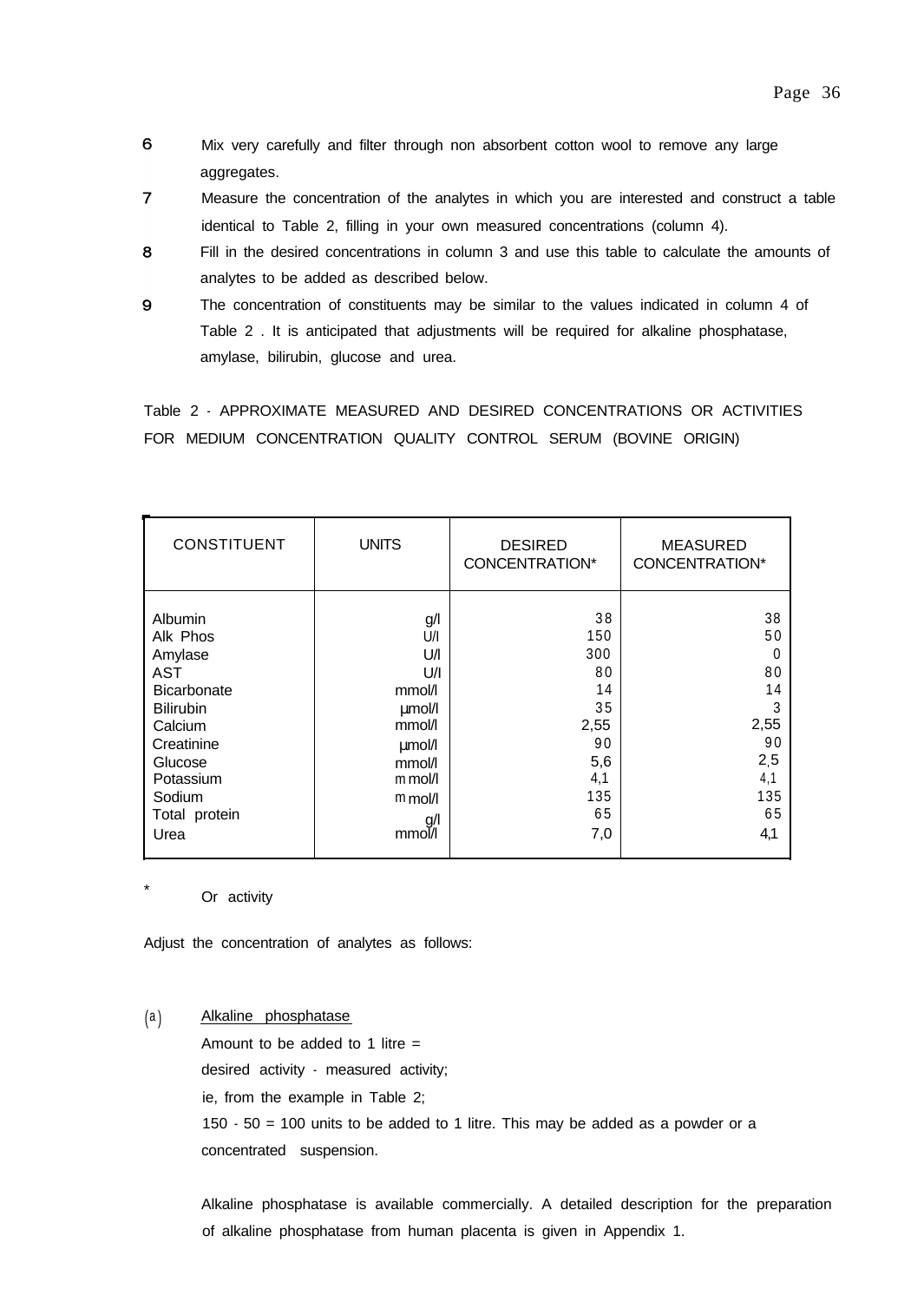- 6 Mix very carefully and filter through non absorbent cotton wool to remove any large aggregates.
- $\overline{7}$ Measure the concentration of the analytes in which you are interested and construct a table identical to Table 2, filling in your own measured concentrations (column 4).
- 8 Fill in the desired concentrations in column 3 and use this table to calculate the amounts of analytes to be added as described below.
- 9 The concentration of constituents may be similar to the values indicated in column 4 of Table 2 . It is anticipated that adjustments will be required for alkaline phosphatase, amylase, bilirubin, glucose and urea.

Table 2 - APPROXIMATE MEASURED AND DESIRED CONCENTRATIONS OR ACTIVITIES FOR MEDIUM CONCENTRATION QUALITY CONTROL SERUM (BOVINE ORIGIN)

| <b>CONSTITUENT</b> | <b>UNITS</b> | <b>DESIRED</b><br>CONCENTRATION* | <b>MEASURED</b><br><b>CONCENTRATION*</b> |
|--------------------|--------------|----------------------------------|------------------------------------------|
| Albumin            | g/l          | 38                               | 38                                       |
| Alk Phos           | U/I          | 150                              | 50                                       |
| Amylase            | U/I          | 300                              | 0                                        |
| <b>AST</b>         | U/I          | 80                               | 80                                       |
| <b>Bicarbonate</b> | mmol/l       | 14                               | 14                                       |
| <b>Bilirubin</b>   | umol/l       | 35                               | 3                                        |
| Calcium            | mmol/l       | 2,55                             | 2,55                                     |
| Creatinine         | $\mu$ mol/l  | 90                               | 90                                       |
| Glucose            | mmol/l       | 5,6                              | 2,5                                      |
| Potassium          | $m$ mol/l    | 4,1                              | 4,1                                      |
| Sodium             | $m$ mol/     | 135                              | 135                                      |
| Total protein      | g/l          | 65                               | 65                                       |
| Urea               | mmol/l       | 7,0                              | 4,1                                      |

Or activity

Adjust the concentration of analytes as follows:

(a) Alkaline phosphatase

Amount to be added to 1 litre  $=$ desired activity - measured activity; ie, from the example in Table 2; 150 - 50 = 100 units to be added to 1 litre. This may be added as a powder or a concentrated suspension.

Alkaline phosphatase is available commercially. A detailed description for the preparation of alkaline phosphatase from human placenta is given in Appendix 1.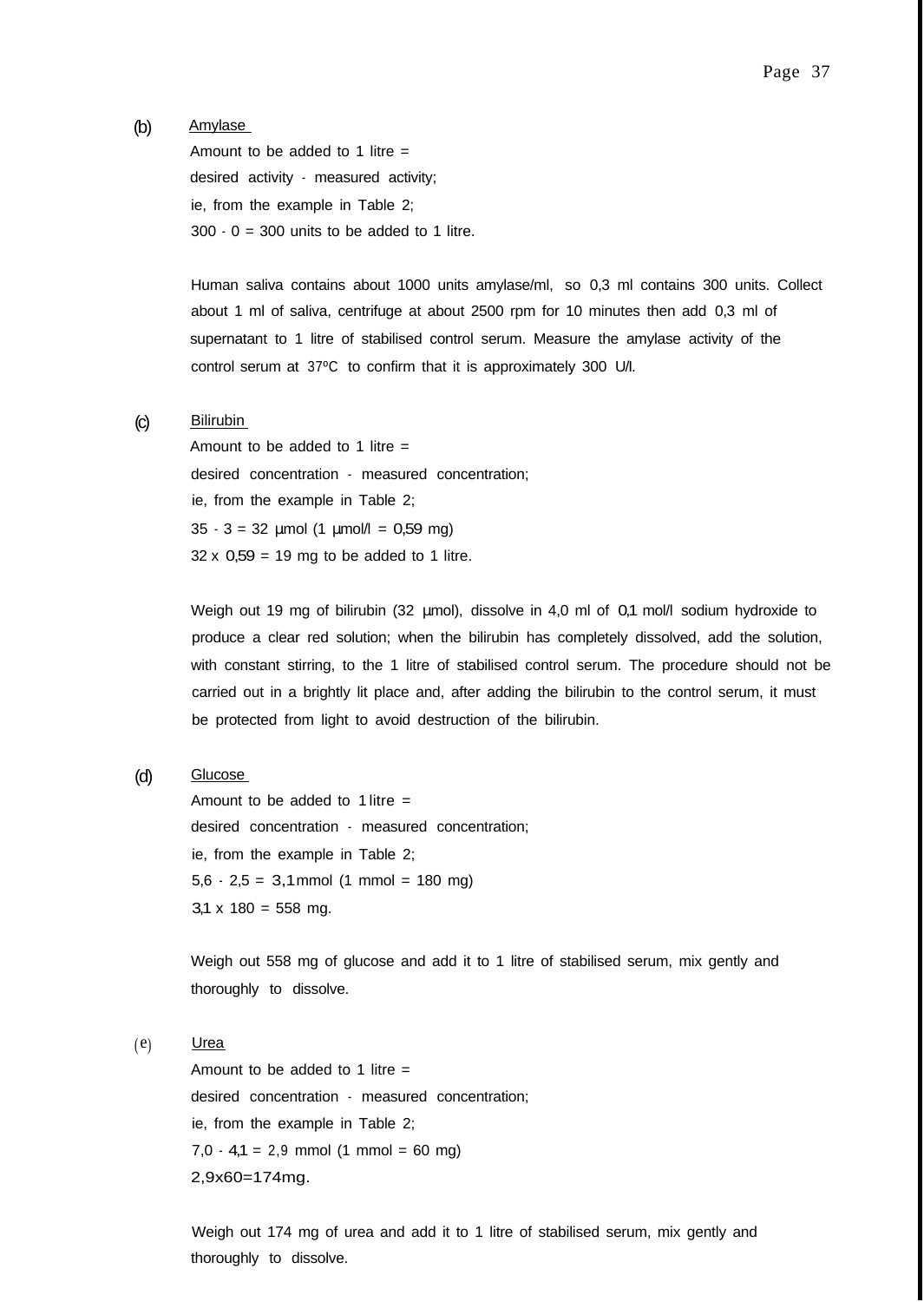(b) Amylase

Amount to be added to 1 litre  $=$ desired activity - measured activity; ie, from the example in Table 2;  $300 \cdot 0 = 300$  units to be added to 1 litre.

Human saliva contains about 1000 units amylase/ml, so 0,3 ml contains 300 units. Collect about 1 ml of saliva, centrifuge at about 2500 rpm for 10 minutes then add 0,3 ml of supernatant to 1 litre of stabilised control serum. Measure the amylase activity of the control serum at 37ºC to confirm that it is approximately 300 U/I.

#### (c) Bilirubin

Amount to be added to 1 litre  $=$ desired concentration - measured concentration; ie, from the example in Table 2;  $35 \cdot 3 = 32 \text{ \mu}$ mol (1  $\mu$ mol/l = 0,59 mg)  $32 \times 0.59 = 19$  mg to be added to 1 litre.

Weigh out 19 mg of bilirubin (32 µmol), dissolve in 4,0 ml of 0,1 mol/l sodium hydroxide to produce a clear red solution; when the bilirubin has completely dissolved, add the solution, with constant stirring, to the 1 litre of stabilised control serum. The procedure should not be carried out in a brightly lit place and, after adding the bilirubin to the control serum, it must be protected from light to avoid destruction of the bilirubin.

(d) Glucose

Amount to be added to  $1$  litre = desired concentration - measured concentration; ie, from the example in Table 2;  $5,6 \cdot 2,5 = 3,1 \text{mmol}$  (1 mmol = 180 mg)  $3,1 \times 180 = 558$  mg.

Weigh out 558 mg of glucose and add it to 1 litre of stabilised serum, mix gently and thoroughly to dissolve.

 $(e)$  Urea

Amount to be added to 1 litre  $=$ desired concentration - measured concentration; ie, from the example in Table 2;  $7,0 - 4,1 = 2,9$  mmol  $(1 \text{ mmol} = 60 \text{ mg})$ 2,9x60=174mg.

Weigh out 174 mg of urea and add it to 1 litre of stabilised serum, mix gently and thoroughly to dissolve.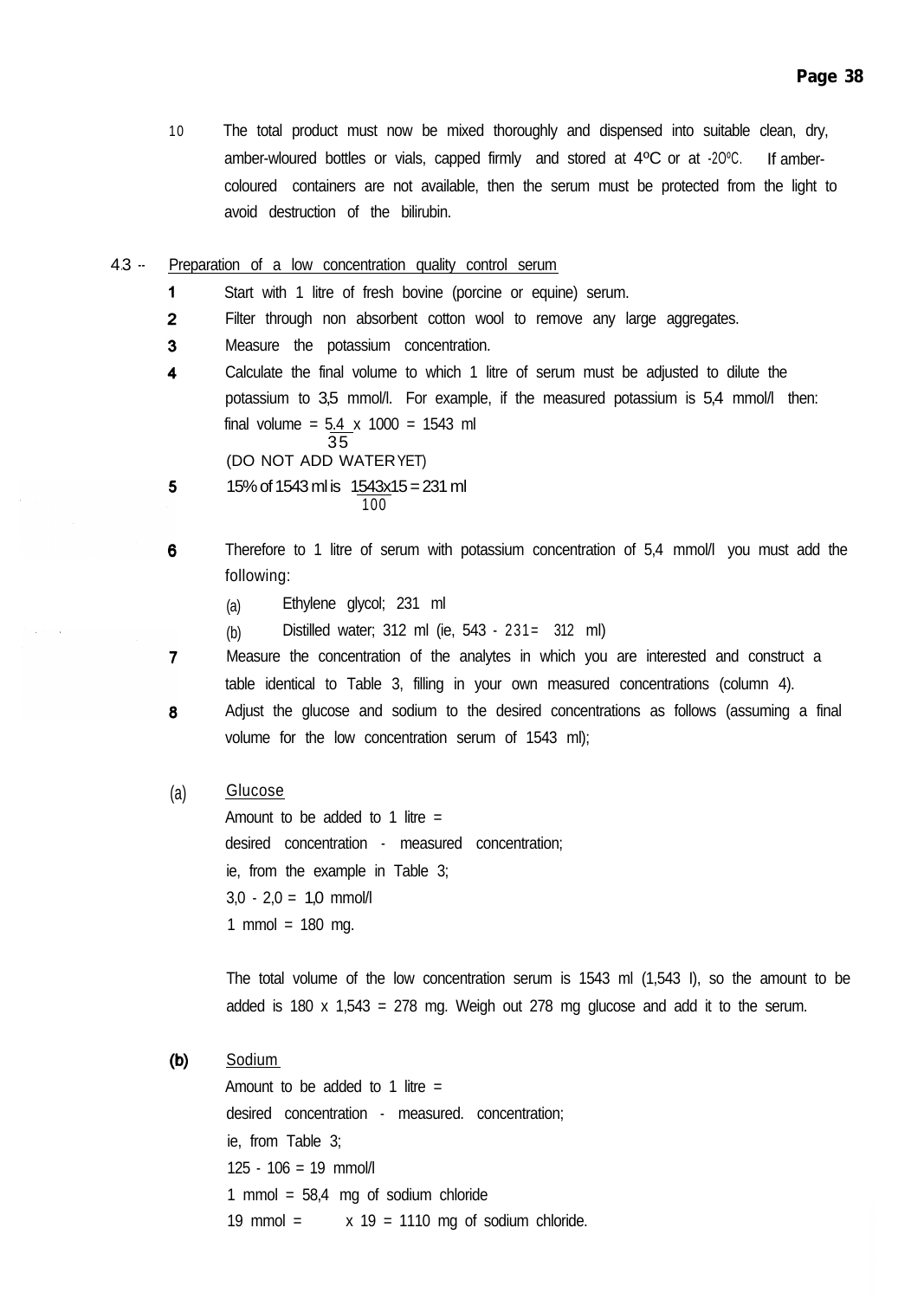- 10 The total product must now be mixed thoroughly and dispensed into suitable clean, dry, amber-wloured bottles or vials, capped firmly and stored at 4ºC or at -2OºC. If ambercoloured containers are not available, then the serum must be protected from the light to avoid destruction of the bilirubin.
- 4.3 -- Preparation of a low concentration quality control serum
	- $\mathbf{1}$ Start with 1 litre of fresh bovine (porcine or equine) serum.
	- $\overline{2}$ Filter through non absorbent cotton wool to remove any large aggregates.
	- $\overline{\mathbf{3}}$ Measure the potassium concentration.
	- 4 Calculate the final volume to which 1 litre of serum must be adjusted to dilute the potassium to 3,5 mmol/l. For example, if the measured potassium is 5,4 mmol/l then: final volume =  $5.4 \times 1000 = 1543$  ml 35 (DO NOT ADD WATERYET)
	- 5 15% of 1543 ml is 1543x15 = 231 ml 100
	- 6 Therefore to 1 litre of serum with potassium concentration of 5,4 mmol/l you must add the following:
		- (a) Ethylene glycol; 231 ml
		- (b) Distilled water; 312 ml (ie, 543 231= 312 ml)
	- $\overline{7}$ Measure the concentration of the analytes in which you are interested and construct a table identical to Table 3, filling in your own measured concentrations (column 4).
	- Adjust the glucose and sodium to the desired concentrations as follows (assuming a final 8 volume for the low concentration serum of 1543 ml);

#### (a) Glucose

Amount to be added to 1 litre  $=$ desired concentration - measured concentration; ie, from the example in Table 3;  $3,0 - 2,0 = 1,0$  mmol/l 1 mmol =  $180$  mg.

The total volume of the low concentration serum is  $1543$  ml  $(1,543$  I), so the amount to be added is 180 x 1,543 = 278 mg. Weigh out 278 mg glucose and add it to the serum.

Sodium  $(b)$ 

> Amount to be added to 1 litre  $=$ desired concentration - measured. concentration; ie, from Table 3;  $125 - 106 = 19$  mmol/l 1 mmol =  $58.4$  mg of sodium chloride 19 mmol =  $x$  19 = 1110 mg of sodium chloride.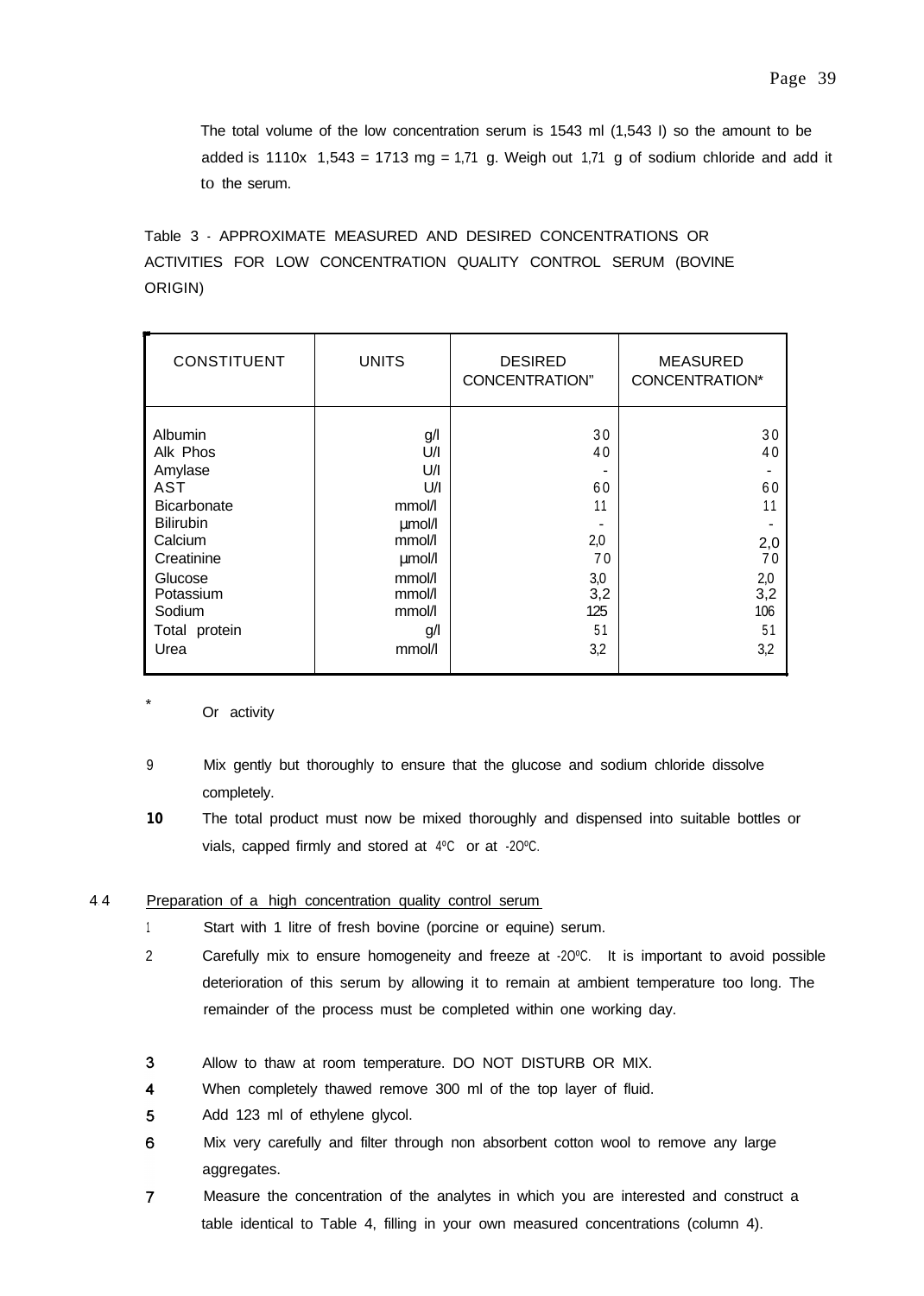The total volume of the low concentration serum is  $1543$  ml  $(1,543$  I) so the amount to be added is  $1110x$  1,543 = 1713 mg = 1,71 g. Weigh out 1,71 g of sodium chloride and add it to the serum.

Table 3 - APPROXIMATE MEASURED AND DESIRED CONCENTRATIONS OR ACTIVITIES FOR LOW CONCENTRATION QUALITY CONTROL SERUM (BOVINE ORIGIN)

| <b>CONSTITUENT</b>                                                                                                                                                         | <b>UNITS</b>                                                                                                    | <b>DESIRED</b><br>CONCENTRATION"                                    | <b>MEASURED</b><br>CONCENTRATION*                                   |
|----------------------------------------------------------------------------------------------------------------------------------------------------------------------------|-----------------------------------------------------------------------------------------------------------------|---------------------------------------------------------------------|---------------------------------------------------------------------|
| <b>Albumin</b><br>Alk Phos<br>Amylase<br>AST<br><b>Bicarbonate</b><br><b>Bilirubin</b><br>Calcium<br>Creatinine<br>Glucose<br>Potassium<br>Sodium<br>Total protein<br>Urea | g/l<br>U/I<br>U/I<br>U/I<br>mmol/l<br>umol/l<br>mmol/l<br>umol/l<br>mmol/l<br>mmol/l<br>mmol/l<br>g/l<br>mmol/l | 30<br>40<br>60<br>11<br>2,0<br>70<br>3,0<br>3,2<br>125<br>51<br>3,2 | 30<br>40<br>60<br>11<br>2,0<br>70<br>2,0<br>3,2<br>106<br>51<br>3,2 |

Or activity

- 9 Mix gently but thoroughly to ensure that the glucose and sodium chloride dissolve completely.
- **10** The total product must now be mixed thoroughly and dispensed into suitable bottles or vials, capped firmly and stored at 4ºC or at -2OºC.

# 4 4. Preparation of a high concentration quality control serum

- <sup>1</sup> Start with 1 litre of fresh bovine (porcine or equine) serum.
- 2 Carefully mix to ensure homogeneity and freeze at -2OºC. It is important to avoid possible deterioration of this serum by allowing it to remain at ambient temperature too long. The remainder of the process must be completed within one working day.
- 3 Allow to thaw at room temperature. DO NOT DISTURB OR MIX.
- $\overline{\mathbf{4}}$ When completely thawed remove 300 ml of the top layer of fluid.
- 5 Add 123 ml of ethylene glycol.
- 6 Mix very carefully and filter through non absorbent cotton wool to remove any large aggregates.
- $\overline{7}$ Measure the concentration of the analytes in which you are interested and construct a table identical to Table 4, filling in your own measured concentrations (column 4).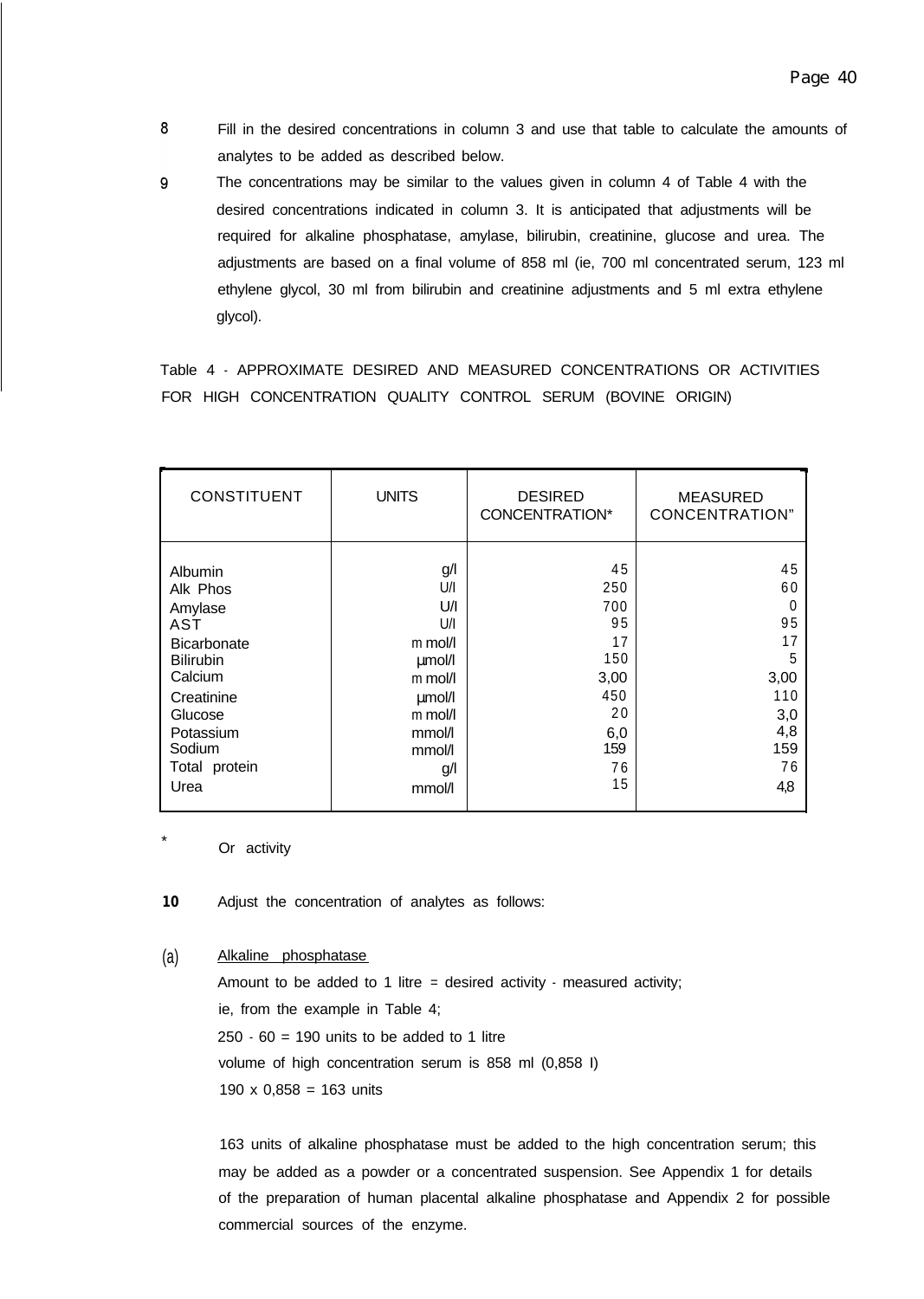- 8 Fill in the desired concentrations in column 3 and use that table to calculate the amounts of analytes to be added as described below.
- 9 The concentrations may be similar to the values given in column 4 of Table 4 with the desired concentrations indicated in column 3. It is anticipated that adjustments will be required for alkaline phosphatase, amylase, bilirubin, creatinine, glucose and urea. The adjustments are based on a final volume of 858 ml (ie, 700 ml concentrated serum, 123 ml ethylene glycol, 30 ml from bilirubin and creatinine adjustments and 5 ml extra ethylene glycol).

Table 4 - APPROXIMATE DESIRED AND MEASURED CONCENTRATIONS OR ACTIVITIES FOR HIGH CONCENTRATION QUALITY CONTROL SERUM (BOVINE ORIGIN)

| <b>CONSTITUENT</b> | <b>UNITS</b> | <b>DESIRED</b><br>CONCENTRATION* | <b>MEASURED</b><br><b>CONCENTRATION"</b> |
|--------------------|--------------|----------------------------------|------------------------------------------|
| Albumin            | g/l          | 45                               | 45                                       |
| Alk Phos           | U/I          | 250                              | 60                                       |
| Amylase            | U/I          | 700                              | 0                                        |
| AST                | U/I          | 95                               | 95                                       |
| <b>Bicarbonate</b> | m mol/l      | 17                               | 17                                       |
| <b>Bilirubin</b>   | umol/l       | 150                              | 5                                        |
| Calcium            | m mol/l      | 3,00                             | 3,00                                     |
| Creatinine         | umol/l       | 450                              | 110                                      |
| Glucose            | m mol/l      | 20                               | 3,0                                      |
| Potassium          | mmol/l       | 6,0                              | 4,8                                      |
| Sodium             | mmol/l       | 159                              | 159                                      |
| Total protein      | g/l          | 76                               | 76                                       |
| Urea               | mmol/l       | 15                               | 4,8                                      |

Or activity

**10** Adjust the concentration of analytes as follows:

## (a) Alkaline phosphatase

Amount to be added to 1 litre = desired activity  $\cdot$  measured activity; ie, from the example in Table 4;  $250 \cdot 60 = 190$  units to be added to 1 litre volume of high concentration serum is 858 ml (0,858 I) 190  $\times$  0,858 = 163 units

163 units of alkaline phosphatase must be added to the high concentration serum; this may be added as a powder or a concentrated suspension. See Appendix 1 for details of the preparation of human placental alkaline phosphatase and Appendix 2 for possible commercial sources of the enzyme.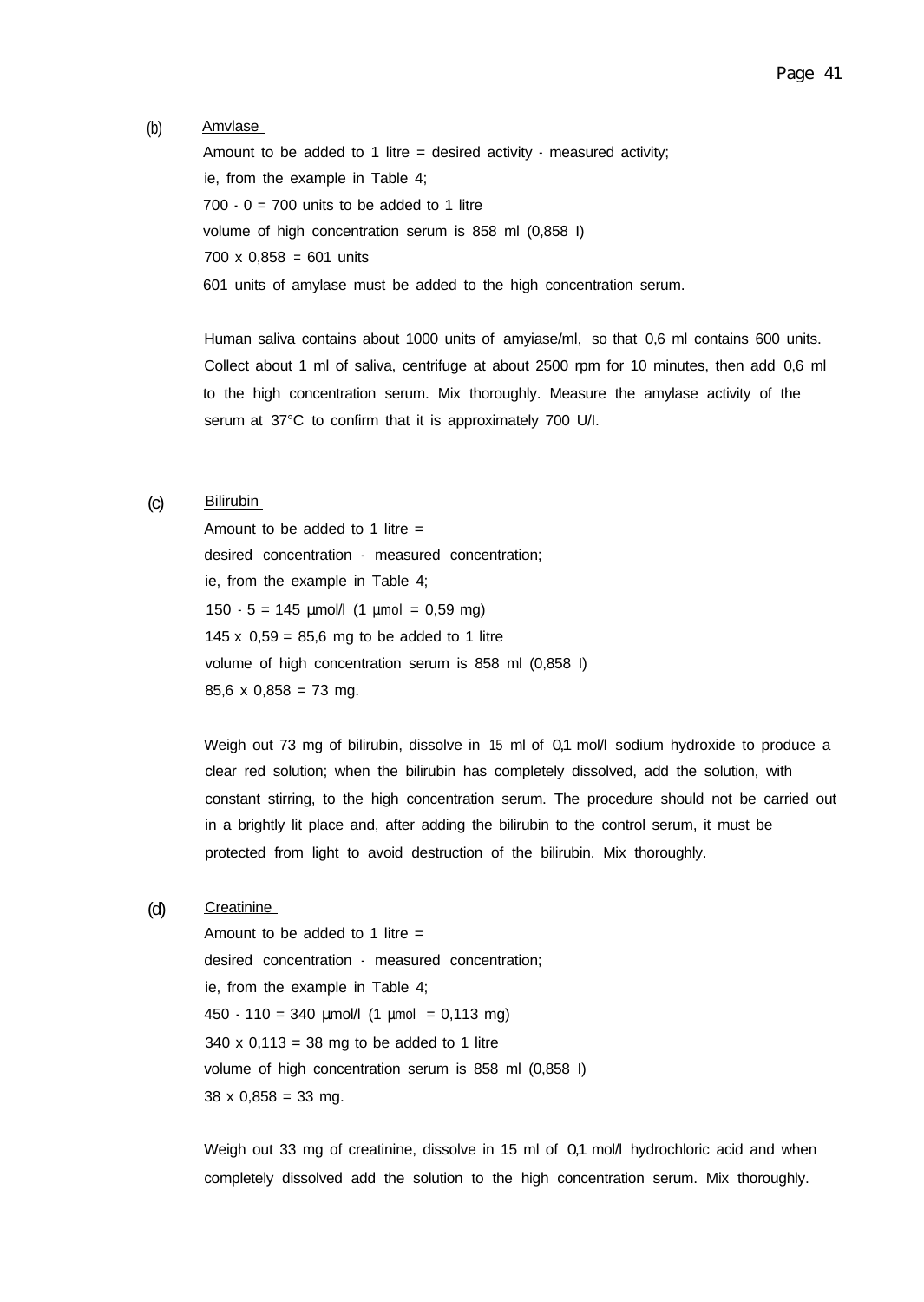#### (b) Amvlase

Amount to be added to 1 litre = desired activity  $\cdot$  measured activity; ie, from the example in Table 4;  $700 - 0 = 700$  units to be added to 1 litre volume of high concentration serum is 858 ml (0,858 I) 700 x 0,858 = 601 units 601 units of amylase must be added to the high concentration serum.

Human saliva contains about 1000 units of amyiase/ml, so that 0,6 ml contains 600 units. Collect about 1 ml of saliva, centrifuge at about 2500 rpm for 10 minutes, then add 0,6 ml to the high concentration serum. Mix thoroughly. Measure the amylase activity of the serum at 37°C to confirm that it is approximately 700 U/I.

#### (c) Bilirubin

Amount to be added to 1 litre  $=$ desired concentration - measured concentration; ie, from the example in Table 4; 150  $-5 = 145$  µmol/l (1 µmol = 0,59 mg) 145 x  $0.59 = 85.6$  mg to be added to 1 litre volume of high concentration serum is 858 ml (0,858 I)  $85,6 \times 0,858 = 73$  mg.

Weigh out 73 mg of bilirubin, dissolve in 15 ml of 0,1 mol/l sodium hydroxide to produce a clear red solution; when the bilirubin has completely dissolved, add the solution, with constant stirring, to the high concentration serum. The procedure should not be carried out in a brightly lit place and, after adding the bilirubin to the control serum, it must be protected from light to avoid destruction of the bilirubin. Mix thoroughly.

# (d) Creatinine

Amount to be added to 1 litre  $=$ desired concentration - measured concentration; ie, from the example in Table 4;  $450 \cdot 110 = 340$  µmol/l  $(1 \text{ µmol} = 0.113 \text{ mg})$  $340 \times 0,113 = 38$  mg to be added to 1 litre volume of high concentration serum is 858 ml (0,858 I)  $38 \times 0,858 = 33$  mg.

Weigh out 33 mg of creatinine, dissolve in 15 ml of 0,1 mol/l hydrochloric acid and when completely dissolved add the solution to the high concentration serum. Mix thoroughly.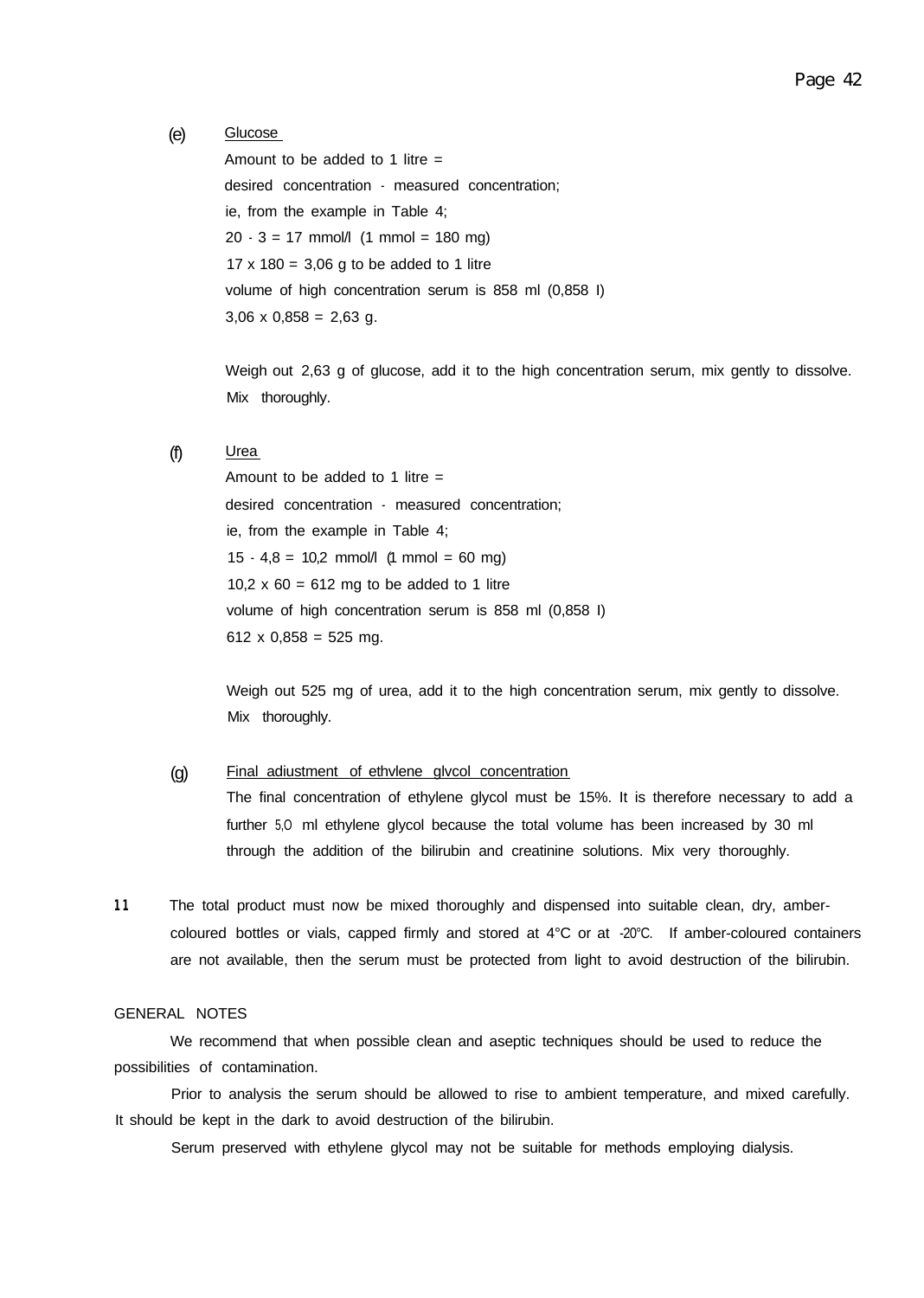## (e) Glucose

Amount to be added to 1 litre  $=$ desired concentration - measured concentration; ie, from the example in Table 4;  $20 - 3 = 17$  mmol/l  $(1 \text{ mmol} = 180 \text{ mg})$  $17 \times 180 = 3,06$  g to be added to 1 litre volume of high concentration serum is 858 ml (0,858 I)  $3,06 \times 0,858 = 2,63$  g.

Weigh out 2,63 g of glucose, add it to the high concentration serum, mix gently to dissolve. Mix thoroughly.

# $(f)$  Urea

Amount to be added to 1 litre  $=$ desired concentration - measured concentration; ie, from the example in Table 4;  $15 \cdot 4.8 = 10.2$  mmol/l (1 mmol = 60 mg) 10,2  $\times$  60 = 612 mg to be added to 1 litre volume of high concentration serum is 858 ml (0,858 I) 612 x 0,858 = 525 mg.

Weigh out 525 mg of urea, add it to the high concentration serum, mix gently to dissolve. Mix thoroughly.

# (g) Final adiustment of ethvlene glvcol concentration

The final concentration of ethylene glycol must be 15%. It is therefore necessary to add a further 5,O ml ethylene glycol because the total volume has been increased by 30 ml through the addition of the bilirubin and creatinine solutions. Mix very thoroughly.

11 The total product must now be mixed thoroughly and dispensed into suitable clean, dry, ambercoloured bottles or vials, capped firmly and stored at 4°C or at -20°C. If amber-coloured containers are not available, then the serum must be protected from light to avoid destruction of the bilirubin.

# GENERAL NOTES

We recommend that when possible clean and aseptic techniques should be used to reduce the possibilities of contamination.

Prior to analysis the serum should be allowed to rise to ambient temperature, and mixed carefully. It should be kept in the dark to avoid destruction of the bilirubin.

Serum preserved with ethylene glycol may not be suitable for methods employing dialysis.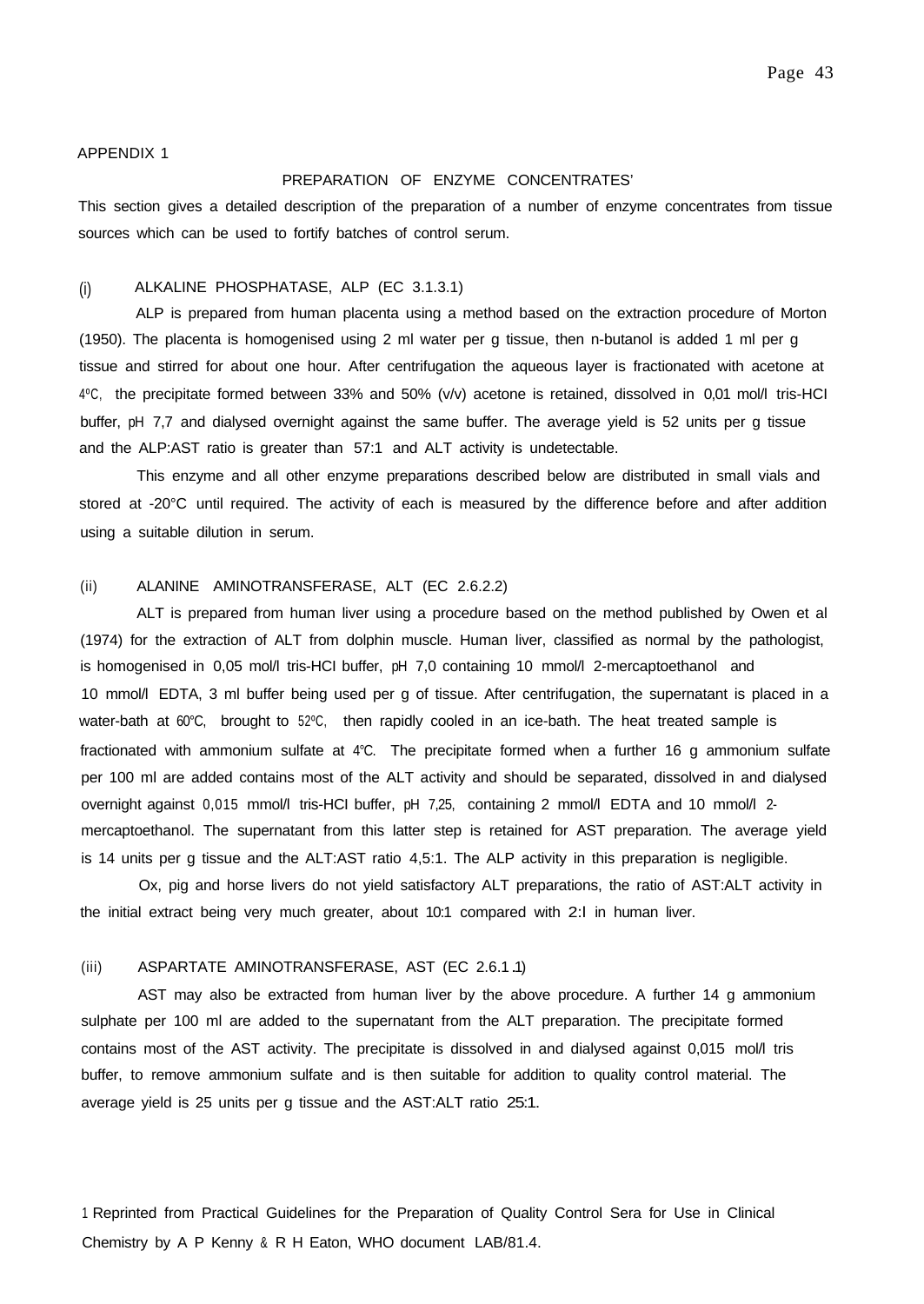#### APPENDIX 1

### PREPARATION OF ENZYME CONCENTRATES'

This section gives a detailed description of the preparation of a number of enzyme concentrates from tissue sources which can be used to fortify batches of control serum.

#### (i) ALKALINE PHOSPHATASE, ALP (EC 3.1.3.1)

ALP is prepared from human placenta using a method based on the extraction procedure of Morton (1950). The placenta is homogenised using 2 ml water per g tissue, then n-butanol is added 1 ml per g tissue and stirred for about one hour. After centrifugation the aqueous layer is fractionated with acetone at 4ºC, the precipitate formed between 33% and 50% (v/v) acetone is retained, dissolved in 0,01 mol/l tris-HCI buffer, pH 7,7 and dialysed overnight against the same buffer. The average yield is 52 units per g tissue and the ALP:AST ratio is greater than 57:1 and ALT activity is undetectable.

This enzyme and all other enzyme preparations described below are distributed in small vials and stored at -20°C until required. The activity of each is measured by the difference before and after addition using a suitable dilution in serum.

### (ii) ALANINE AMINOTRANSFERASE, ALT (EC 2.6.2.2)

ALT is prepared from human liver using a procedure based on the method published by Owen et al (1974) for the extraction of ALT from dolphin muscle. Human liver, classified as normal by the pathologist, is homogenised in 0,05 mol/l tris-HCI buffer, pH 7,0 containing 10 mmol/l 2-mercaptoethanol and 10 mmol/l EDTA, 3 ml buffer being used per g of tissue. After centrifugation, the supernatant is placed in a water-bath at 60°C, brought to 52°C, then rapidly cooled in an ice-bath. The heat treated sample is fractionated with ammonium sulfate at 4°C. The precipitate formed when a further 16 g ammonium sulfate per 100 ml are added contains most of the ALT activity and should be separated, dissolved in and dialysed overnight against 0,015 mmol/l tris-HCI buffer, pH 7,25, containing 2 mmol/l EDTA and 10 mmol/l 2mercaptoethanol. The supernatant from this latter step is retained for AST preparation. The average yield is 14 units per g tissue and the ALT:AST ratio 4,5:1. The ALP activity in this preparation is negligible.

Ox, pig and horse livers do not yield satisfactory ALT preparations, the ratio of AST:ALT activity in the initial extract being very much greater, about 10:1 compared with 2:l in human liver.

#### (iii) ASPARTATE AMINOTRANSFERASE, AST (EC 2.6.1 .1)

AST may also be extracted from human liver by the above procedure. A further 14 g ammonium sulphate per 100 ml are added to the supernatant from the ALT preparation. The precipitate formed contains most of the AST activity. The precipitate is dissolved in and dialysed against 0,015 mol/l tris buffer, to remove ammonium sulfate and is then suitable for addition to quality control material. The average yield is 25 units per g tissue and the AST:ALT ratio 25:1.

1 Reprinted from Practical Guidelines for the Preparation of Quality Control Sera for Use in Clinical Chemistry by A P Kenny & R H Eaton, WHO document LAB/81.4.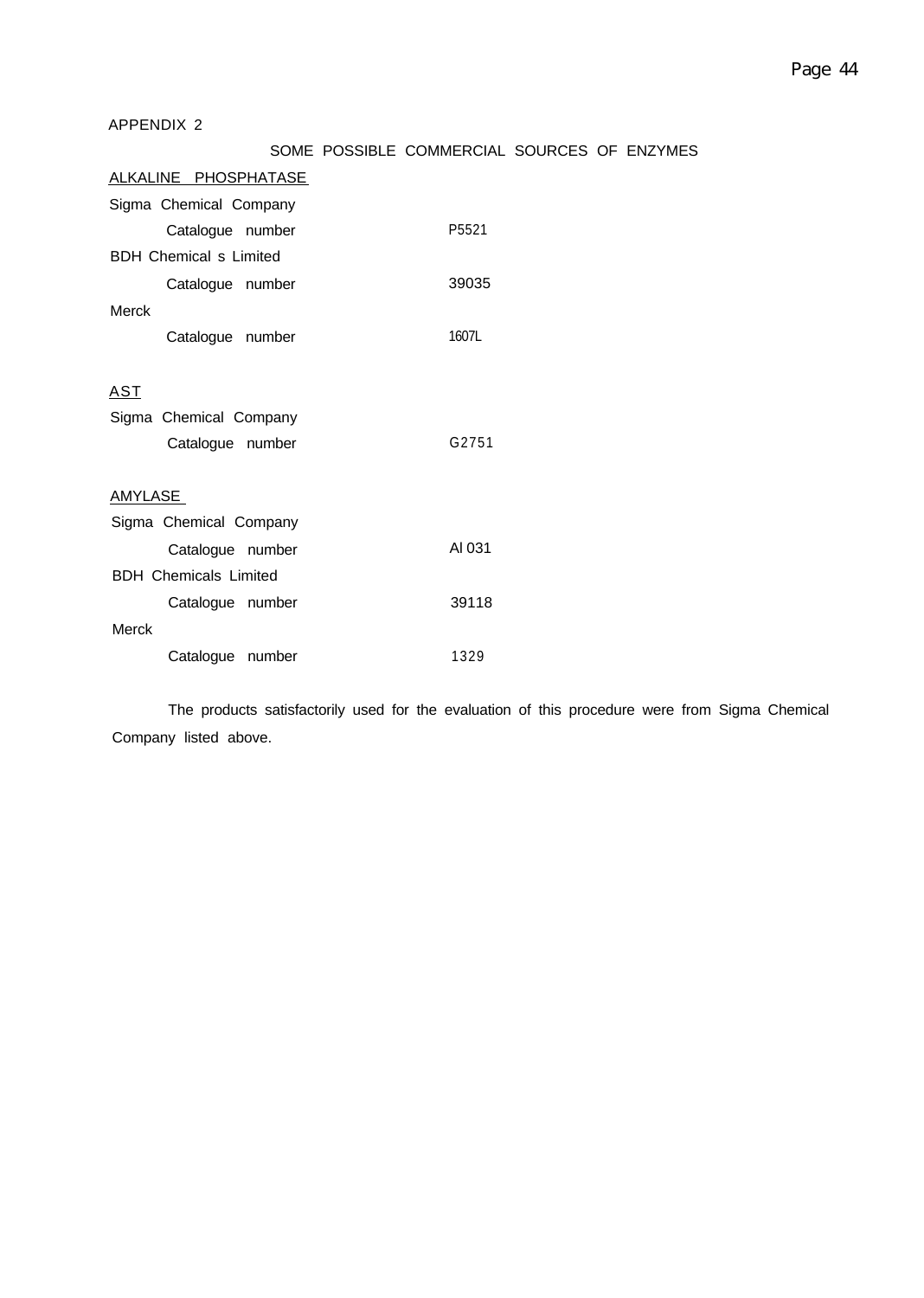# APPENDIX 2

# SOME POSSIBLE COMMERCIAL SOURCES OF ENZYMES

| <u>ALKALINE PHOSPHATASE</u>   |        |  |  |
|-------------------------------|--------|--|--|
| Sigma Chemical Company        |        |  |  |
| Catalogue number              | P5521  |  |  |
| <b>BDH Chemical s Limited</b> |        |  |  |
| Catalogue number              | 39035  |  |  |
| Merck                         |        |  |  |
| Catalogue number              | 1607L  |  |  |
|                               |        |  |  |
| <u>AST</u>                    |        |  |  |
| Sigma Chemical Company        |        |  |  |
| Catalogue number              | G2751  |  |  |
|                               |        |  |  |
| <b>AMYLASE</b>                |        |  |  |
| Sigma Chemical Company        |        |  |  |
| Catalogue number              | AI 031 |  |  |
| <b>BDH Chemicals Limited</b>  |        |  |  |
| Catalogue number              | 39118  |  |  |
| Merck                         |        |  |  |
| Catalogue number              | 1329   |  |  |

The products satisfactorily used for the evaluation of this procedure were from Sigma Chemical Company listed above.